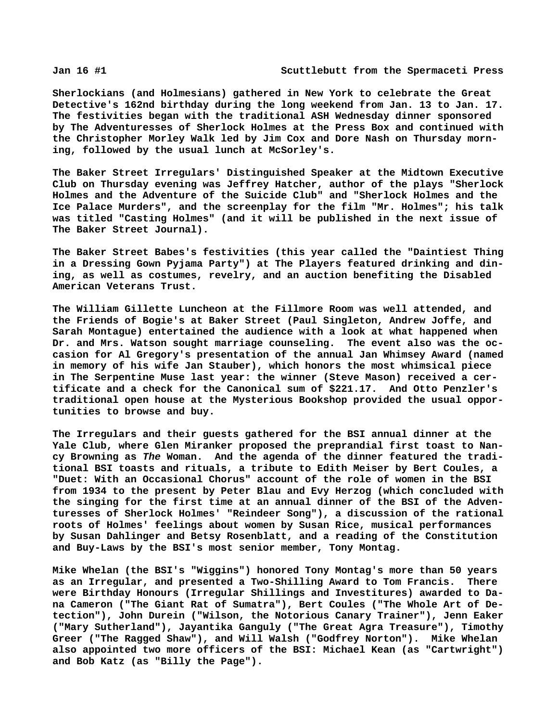**Sherlockians (and Holmesians) gathered in New York to celebrate the Great Detective's 162nd birthday during the long weekend from Jan. 13 to Jan. 17. The festivities began with the traditional ASH Wednesday dinner sponsored by The Adventuresses of Sherlock Holmes at the Press Box and continued with the Christopher Morley Walk led by Jim Cox and Dore Nash on Thursday morning, followed by the usual lunch at McSorley's.**

**The Baker Street Irregulars' Distinguished Speaker at the Midtown Executive Club on Thursday evening was Jeffrey Hatcher, author of the plays "Sherlock Holmes and the Adventure of the Suicide Club" and "Sherlock Holmes and the Ice Palace Murders", and the screenplay for the film "Mr. Holmes"; his talk was titled "Casting Holmes" (and it will be published in the next issue of The Baker Street Journal).**

**The Baker Street Babes's festivities (this year called the "Daintiest Thing in a Dressing Gown Pyjama Party") at The Players featured drinking and dining, as well as costumes, revelry, and an auction benefiting the Disabled American Veterans Trust.**

**The William Gillette Luncheon at the Fillmore Room was well attended, and the Friends of Bogie's at Baker Street (Paul Singleton, Andrew Joffe, and Sarah Montague) entertained the audience with a look at what happened when Dr. and Mrs. Watson sought marriage counseling. The event also was the occasion for Al Gregory's presentation of the annual Jan Whimsey Award (named in memory of his wife Jan Stauber), which honors the most whimsical piece in The Serpentine Muse last year: the winner (Steve Mason) received a certificate and a check for the Canonical sum of \$221.17. And Otto Penzler's traditional open house at the Mysterious Bookshop provided the usual opportunities to browse and buy.**

**The Irregulars and their guests gathered for the BSI annual dinner at the Yale Club, where Glen Miranker proposed the preprandial first toast to Nancy Browning as** *The* **Woman. And the agenda of the dinner featured the traditional BSI toasts and rituals, a tribute to Edith Meiser by Bert Coules, a "Duet: With an Occasional Chorus" account of the role of women in the BSI from 1934 to the present by Peter Blau and Evy Herzog (which concluded with the singing for the first time at an annual dinner of the BSI of the Adventuresses of Sherlock Holmes' "Reindeer Song"), a discussion of the rational roots of Holmes' feelings about women by Susan Rice, musical performances by Susan Dahlinger and Betsy Rosenblatt, and a reading of the Constitution and Buy-Laws by the BSI's most senior member, Tony Montag.**

**Mike Whelan (the BSI's "Wiggins") honored Tony Montag's more than 50 years as an Irregular, and presented a Two-Shilling Award to Tom Francis. There were Birthday Honours (Irregular Shillings and Investitures) awarded to Dana Cameron ("The Giant Rat of Sumatra"), Bert Coules ("The Whole Art of Detection"), John Durein ("Wilson, the Notorious Canary Trainer"), Jenn Eaker ("Mary Sutherland"), Jayantika Ganguly ("The Great Agra Treasure"), Timothy Greer ("The Ragged Shaw"), and Will Walsh ("Godfrey Norton"). Mike Whelan also appointed two more officers of the BSI: Michael Kean (as "Cartwright") and Bob Katz (as "Billy the Page").**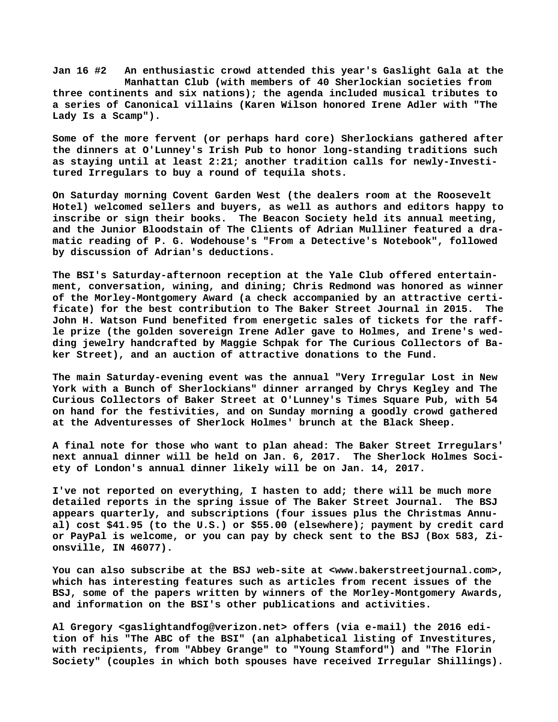**Jan 16 #2 An enthusiastic crowd attended this year's Gaslight Gala at the Manhattan Club (with members of 40 Sherlockian societies from three continents and six nations); the agenda included musical tributes to a series of Canonical villains (Karen Wilson honored Irene Adler with "The Lady Is a Scamp").**

**Some of the more fervent (or perhaps hard core) Sherlockians gathered after the dinners at O'Lunney's Irish Pub to honor long-standing traditions such as staying until at least 2:21; another tradition calls for newly-Investitured Irregulars to buy a round of tequila shots.**

**On Saturday morning Covent Garden West (the dealers room at the Roosevelt Hotel) welcomed sellers and buyers, as well as authors and editors happy to inscribe or sign their books. The Beacon Society held its annual meeting, and the Junior Bloodstain of The Clients of Adrian Mulliner featured a dramatic reading of P. G. Wodehouse's "From a Detective's Notebook", followed by discussion of Adrian's deductions.**

**The BSI's Saturday-afternoon reception at the Yale Club offered entertainment, conversation, wining, and dining; Chris Redmond was honored as winner of the Morley-Montgomery Award (a check accompanied by an attractive certificate) for the best contribution to The Baker Street Journal in 2015. The John H. Watson Fund benefited from energetic sales of tickets for the raffle prize (the golden sovereign Irene Adler gave to Holmes, and Irene's wedding jewelry handcrafted by Maggie Schpak for The Curious Collectors of Baker Street), and an auction of attractive donations to the Fund.**

**The main Saturday-evening event was the annual "Very Irregular Lost in New York with a Bunch of Sherlockians" dinner arranged by Chrys Kegley and The Curious Collectors of Baker Street at O'Lunney's Times Square Pub, with 54 on hand for the festivities, and on Sunday morning a goodly crowd gathered at the Adventuresses of Sherlock Holmes' brunch at the Black Sheep.**

**A final note for those who want to plan ahead: The Baker Street Irregulars' next annual dinner will be held on Jan. 6, 2017. The Sherlock Holmes Society of London's annual dinner likely will be on Jan. 14, 2017.**

**I've not reported on everything, I hasten to add; there will be much more detailed reports in the spring issue of The Baker Street Journal. The BSJ appears quarterly, and subscriptions (four issues plus the Christmas Annual) cost \$41.95 (to the U.S.) or \$55.00 (elsewhere); payment by credit card or PayPal is welcome, or you can pay by check sent to the BSJ (Box 583, Zionsville, IN 46077).**

**You can also subscribe at the BSJ web-site at <[www.bakerstreetjournal.com>,](http://www.bakerstreetjournal.com) which has interesting features such as articles from recent issues of the BSJ, some of the papers written by winners of the Morley-Montgomery Awards, and information on the BSI's other publications and activities.**

**Al Gregory <[gaslightandfog@verizon.net> o](mailto:gaslightandfog@verizon.net)ffers (via e-mail) the 2016 edition of his "The ABC of the BSI" (an alphabetical listing of Investitures, with recipients, from "Abbey Grange" to "Young Stamford") and "The Florin Society" (couples in which both spouses have received Irregular Shillings).**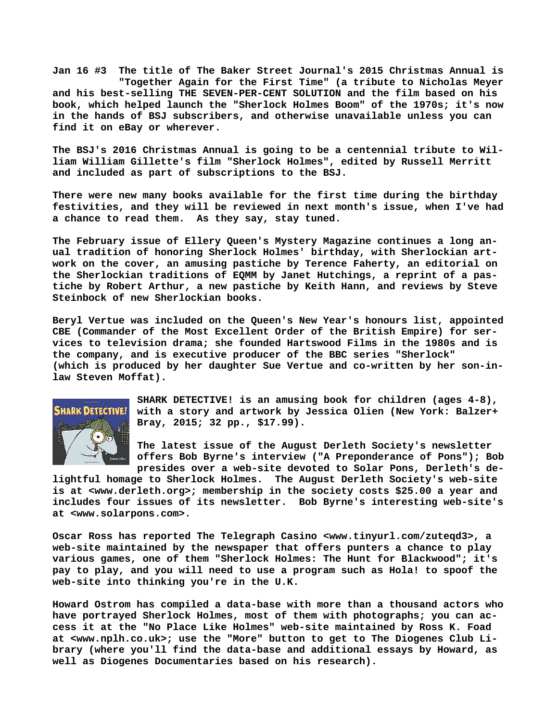**Jan 16 #3 The title of The Baker Street Journal's 2015 Christmas Annual is "Together Again for the First Time" (a tribute to Nicholas Meyer and his best-selling THE SEVEN-PER-CENT SOLUTION and the film based on his book, which helped launch the "Sherlock Holmes Boom" of the 1970s; it's now in the hands of BSJ subscribers, and otherwise unavailable unless you can find it on eBay or wherever.**

**The BSJ's 2016 Christmas Annual is going to be a centennial tribute to William William Gillette's film "Sherlock Holmes", edited by Russell Merritt and included as part of subscriptions to the BSJ.**

**There were new many books available for the first time during the birthday festivities, and they will be reviewed in next month's issue, when I've had a chance to read them. As they say, stay tuned.**

**The February issue of Ellery Queen's Mystery Magazine continues a long anual tradition of honoring Sherlock Holmes' birthday, with Sherlockian artwork on the cover, an amusing pastiche by Terence Faherty, an editorial on the Sherlockian traditions of EQMM by Janet Hutchings, a reprint of a pastiche by Robert Arthur, a new pastiche by Keith Hann, and reviews by Steve Steinbock of new Sherlockian books.**

**Beryl Vertue was included on the Queen's New Year's honours list, appointed CBE (Commander of the Most Excellent Order of the British Empire) for services to television drama; she founded Hartswood Films in the 1980s and is the company, and is executive producer of the BBC series "Sherlock" (which is produced by her daughter Sue Vertue and co-written by her son-inlaw Steven Moffat).**



**SHARK DETECTIVE! is an amusing book for children (ages 4-8), with a story and artwork by Jessica Olien (New York: Balzer+ Bray, 2015; 32 pp., \$17.99).**

**The latest issue of the August Derleth Society's newsletter offers Bob Byrne's interview ("A Preponderance of Pons"); Bob presides over a web-site devoted to Solar Pons, Derleth's de-**

**lightful homage to Sherlock Holmes. The August Derleth Society's web-site is at <[www.derleth.org>; m](http://www.derleth.org)embership in the society costs \$25.00 a year and includes four issues of its newsletter. Bob Byrne's interesting web-site's at [<www.solarpons.com>.](http://www.solarpons.com)**

**Oscar Ross has reported The Telegraph Casino [<www.tinyurl.com/zuteqd3>, a](http://www.tinyurl.com/zuteqd3) web-site maintained by the newspaper that offers punters a chance to play various games, one of them "Sherlock Holmes: The Hunt for Blackwood"; it's pay to play, and you will need to use a program such as Hola! to spoof the web-site into thinking you're in the U.K.**

**Howard Ostrom has compiled a data-base with more than a thousand actors who have portrayed Sherlock Holmes, most of them with photographs; you can access it at the "No Place Like Holmes" web-site maintained by Ross K. Foad at [<www.nplh.co.uk>; u](http://www.nplh.co.uk)se the "More" button to get to The Diogenes Club Library (where you'll find the data-base and additional essays by Howard, as well as Diogenes Documentaries based on his research).**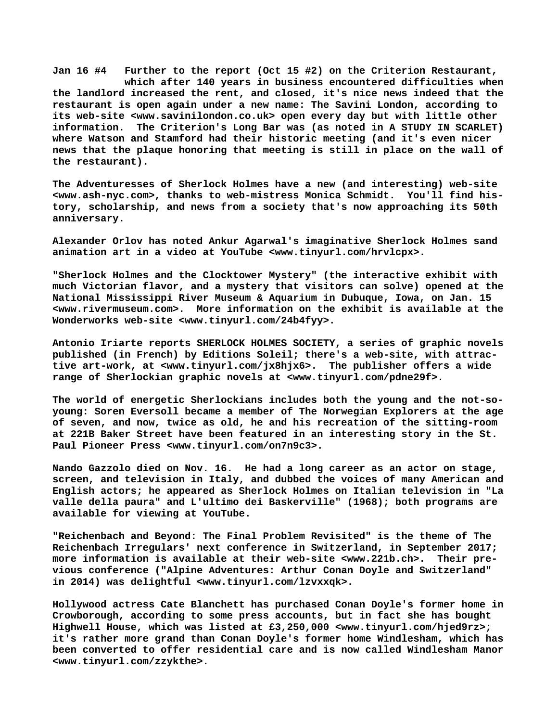**Jan 16 #4 Further to the report (Oct 15 #2) on the Criterion Restaurant, which after 140 years in business encountered difficulties when the landlord increased the rent, and closed, it's nice news indeed that the restaurant is open again under a new name: The Savini London, according to its web-site [<www.savinilondon.co.uk> o](http://www.savinilondon.co.uk)pen every day but with little other information. The Criterion's Long Bar was (as noted in A STUDY IN SCARLET) where Watson and Stamford had their historic meeting (and it's even nicer news that the plaque honoring that meeting is still in place on the wall of the restaurant).**

**The Adventuresses of Sherlock Holmes have a new (and interesting) web-site [<www.ash-nyc.com>, t](http://www.ash-nyc.com)hanks to web-mistress Monica Schmidt. You'll find history, scholarship, and news from a society that's now approaching its 50th anniversary.**

**Alexander Orlov has noted Ankur Agarwal's imaginative Sherlock Holmes sand animation art in a video at YouTube <[www.tinyurl.com/hrvlcpx>.](http://www.tinyurl.com/hrvlcpx)**

**"Sherlock Holmes and the Clocktower Mystery" (the interactive exhibit with much Victorian flavor, and a mystery that visitors can solve) opened at the National Mississippi River Museum & Aquarium in Dubuque, Iowa, on Jan. 15 [<www.rivermuseum.com>.](http://www.rivermuseum.com) More information on the exhibit is available at the Wonderworks web-site <[www.tinyurl.com/24b4fyy>.](http://www.tinyurl.com/24b4fyy)**

**Antonio Iriarte reports SHERLOCK HOLMES SOCIETY, a series of graphic novels published (in French) by Editions Soleil; there's a web-site, with attractive art-work, at [<www.tinyurl.com/jx8hjx6>.](http://www.tinyurl.com/jx8hjx6) The publisher offers a wide range of Sherlockian graphic novels at <[www.tinyurl.com/pdne29f>.](http://www.tinyurl.com/pdne29f)**

**The world of energetic Sherlockians includes both the young and the not-soyoung: Soren Eversoll became a member of The Norwegian Explorers at the age of seven, and now, twice as old, he and his recreation of the sitting-room at 221B Baker Street have been featured in an interesting story in the St. Paul Pioneer Press <[www.tinyurl.com/on7n9c3>.](http://www.tinyurl.com/on7n9c3)**

**Nando Gazzolo died on Nov. 16. He had a long career as an actor on stage, screen, and television in Italy, and dubbed the voices of many American and English actors; he appeared as Sherlock Holmes on Italian television in "La valle della paura" and L'ultimo dei Baskerville" (1968); both programs are available for viewing at YouTube.**

**"Reichenbach and Beyond: The Final Problem Revisited" is the theme of The Reichenbach Irregulars' next conference in Switzerland, in September 2017; more information is available at their web-site [<www.221b.ch>.](http://www.221b.ch) Their previous conference ("Alpine Adventures: Arthur Conan Doyle and Switzerland" in 2014) was delightful <[www.tinyurl.com/lzvxxqk>.](http://www.tinyurl.com/lzvxxqk)**

**Hollywood actress Cate Blanchett has purchased Conan Doyle's former home in Crowborough, according to some press accounts, but in fact she has bought Highwell House, which was listed at £3,250,000 [<www.tinyurl.com/hjed9rz>;](http://www.tinyurl.com/hjed9rz) it's rather more grand than Conan Doyle's former home Windlesham, which has been converted to offer residential care and is now called Windlesham Manor [<www.tinyurl.com/zzykthe>.](http://www.tinyurl.com/zzykthe)**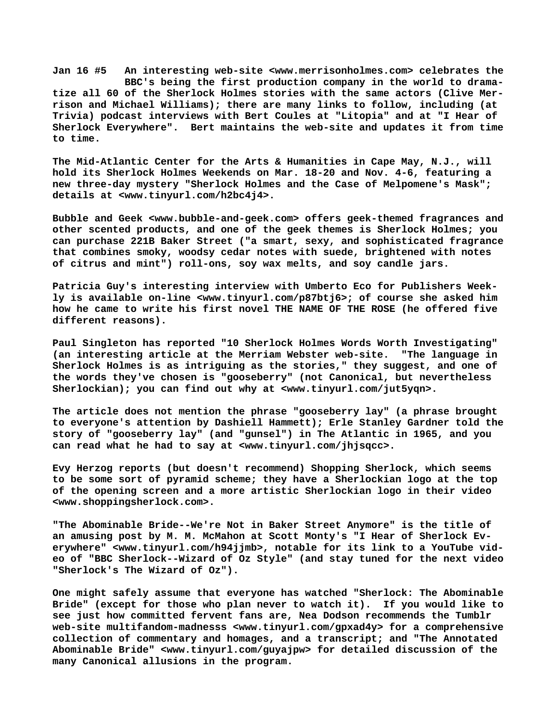**Jan 16 #5 An interesting web-site <[www.merrisonholmes.com> c](http://www.merrisonholmes.com)elebrates the BBC's being the first production company in the world to dramatize all 60 of the Sherlock Holmes stories with the same actors (Clive Merrison and Michael Williams); there are many links to follow, including (at Trivia) podcast interviews with Bert Coules at "Litopia" and at "I Hear of Sherlock Everywhere". Bert maintains the web-site and updates it from time to time.**

**The Mid-Atlantic Center for the Arts & Humanities in Cape May, N.J., will hold its Sherlock Holmes Weekends on Mar. 18-20 and Nov. 4-6, featuring a new three-day mystery "Sherlock Holmes and the Case of Melpomene's Mask"; details at <[www.tinyurl.com/h2bc4j4>.](http://www.tinyurl.com/h2bc4j4)**

**Bubble and Geek <[www.bubble-and-geek.com> o](http://www.bubble-and-geek.com)ffers geek-themed fragrances and other scented products, and one of the geek themes is Sherlock Holmes; you can purchase 221B Baker Street ("a smart, sexy, and sophisticated fragrance that combines smoky, woodsy cedar notes with suede, brightened with notes of citrus and mint") roll-ons, soy wax melts, and soy candle jars.**

**Patricia Guy's interesting interview with Umberto Eco for Publishers Weekly is available on-line <[www.tinyurl.com/p87btj6>; o](http://www.tinyurl.com/p87btj6)f course she asked him how he came to write his first novel THE NAME OF THE ROSE (he offered five different reasons).**

**Paul Singleton has reported "10 Sherlock Holmes Words Worth Investigating" (an interesting article at the Merriam Webster web-site. "The language in Sherlock Holmes is as intriguing as the stories," they suggest, and one of the words they've chosen is "gooseberry" (not Canonical, but nevertheless Sherlockian); you can find out why at [<www.tinyurl.com/jut5yqn>.](http://www.tinyurl.com/jut5yqn)**

**The article does not mention the phrase "gooseberry lay" (a phrase brought to everyone's attention by Dashiell Hammett); Erle Stanley Gardner told the story of "gooseberry lay" (and "gunsel") in The Atlantic in 1965, and you can read what he had to say at <[www.tinyurl.com/jhjsqcc>.](http://www.tinyurl.com/jhjsqcc)**

**Evy Herzog reports (but doesn't recommend) Shopping Sherlock, which seems to be some sort of pyramid scheme; they have a Sherlockian logo at the top of the opening screen and a more artistic Sherlockian logo in their video [<www.shoppingsherlock.com>.](http://www.shoppingsherlock.com)**

**"The Abominable Bride--We're Not in Baker Street Anymore" is the title of an amusing post by M. M. McMahon at Scott Monty's "I Hear of Sherlock Everywhere" [<www.tinyurl.com/h94jjmb>, n](http://www.tinyurl.com/h94jjmb)otable for its link to a YouTube video of "BBC Sherlock--Wizard of Oz Style" (and stay tuned for the next video "Sherlock's The Wizard of Oz").**

**One might safely assume that everyone has watched "Sherlock: The Abominable Bride" (except for those who plan never to watch it). If you would like to see just how committed fervent fans are, Nea Dodson recommends the Tumblr web-site multifandom-madnesss [<www.tinyurl.com/gpxad4y> f](http://www.tinyurl.com/gpxad4y)or a comprehensive collection of commentary and homages, and a transcript; and "The Annotated Abominable Bride" [<www.tinyurl.com/guyajpw> f](http://www.tinyurl.com/guyajpw)or detailed discussion of the many Canonical allusions in the program.**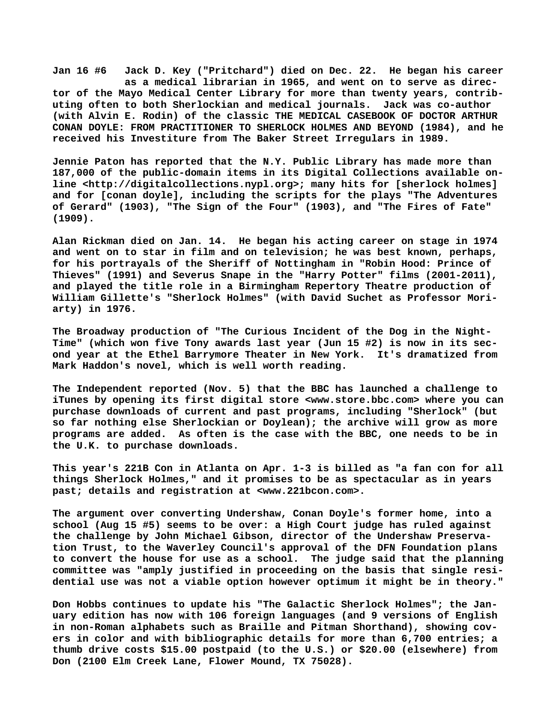**Jan 16 #6 Jack D. Key ("Pritchard") died on Dec. 22. He began his career as a medical librarian in 1965, and went on to serve as director of the Mayo Medical Center Library for more than twenty years, contributing often to both Sherlockian and medical journals. Jack was co-author (with Alvin E. Rodin) of the classic THE MEDICAL CASEBOOK OF DOCTOR ARTHUR CONAN DOYLE: FROM PRACTITIONER TO SHERLOCK HOLMES AND BEYOND (1984), and he received his Investiture from The Baker Street Irregulars in 1989.**

**Jennie Paton has reported that the N.Y. Public Library has made more than 187,000 of the public-domain items in its Digital Collections available online [<http://digitalcollections.nypl.org>; m](http://digitalcollections.nypl.org)any hits for [sherlock holmes] and for [conan doyle], including the scripts for the plays "The Adventures of Gerard" (1903), "The Sign of the Four" (1903), and "The Fires of Fate" (1909).**

**Alan Rickman died on Jan. 14. He began his acting career on stage in 1974 and went on to star in film and on television; he was best known, perhaps, for his portrayals of the Sheriff of Nottingham in "Robin Hood: Prince of Thieves" (1991) and Severus Snape in the "Harry Potter" films (2001-2011), and played the title role in a Birmingham Repertory Theatre production of William Gillette's "Sherlock Holmes" (with David Suchet as Professor Moriarty) in 1976.**

**The Broadway production of "The Curious Incident of the Dog in the Night-Time" (which won five Tony awards last year (Jun 15 #2) is now in its second year at the Ethel Barrymore Theater in New York. It's dramatized from Mark Haddon's novel, which is well worth reading.**

**The Independent reported (Nov. 5) that the BBC has launched a challenge to iTunes by opening its first digital store [<www.store.bbc.com> w](http://www.store.bbc.com)here you can purchase downloads of current and past programs, including "Sherlock" (but so far nothing else Sherlockian or Doylean); the archive will grow as more programs are added. As often is the case with the BBC, one needs to be in the U.K. to purchase downloads.**

**This year's 221B Con in Atlanta on Apr. 1-3 is billed as "a fan con for all things Sherlock Holmes," and it promises to be as spectacular as in years past; details and registration at <[www.221bcon.com>.](http://www.221bcon.com)**

**The argument over converting Undershaw, Conan Doyle's former home, into a school (Aug 15 #5) seems to be over: a High Court judge has ruled against the challenge by John Michael Gibson, director of the Undershaw Preservation Trust, to the Waverley Council's approval of the DFN Foundation plans to convert the house for use as a school. The judge said that the planning committee was "amply justified in proceeding on the basis that single residential use was not a viable option however optimum it might be in theory."**

**Don Hobbs continues to update his "The Galactic Sherlock Holmes"; the January edition has now with 106 foreign languages (and 9 versions of English in non-Roman alphabets such as Braille and Pitman Shorthand), showing covers in color and with bibliographic details for more than 6,700 entries; a thumb drive costs \$15.00 postpaid (to the U.S.) or \$20.00 (elsewhere) from Don (2100 Elm Creek Lane, Flower Mound, TX 75028).**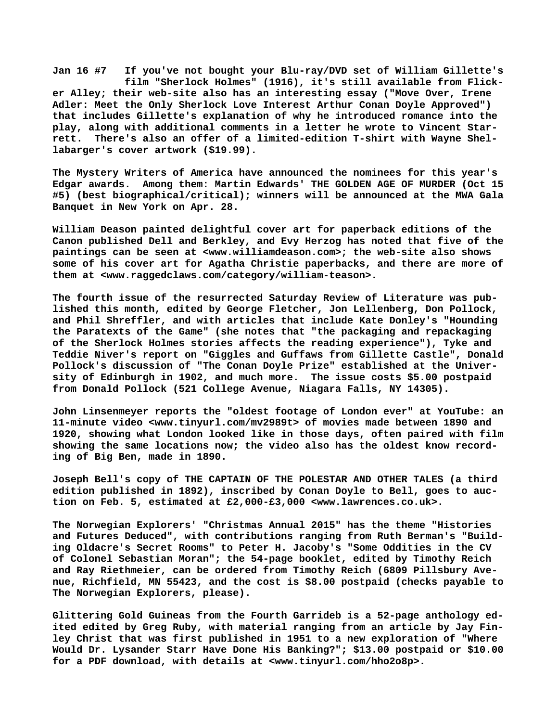**Jan 16 #7 If you've not bought your Blu-ray/DVD set of William Gillette's film "Sherlock Holmes" (1916), it's still available from Flicker Alley; their web-site also has an interesting essay ("Move Over, Irene Adler: Meet the Only Sherlock Love Interest Arthur Conan Doyle Approved") that includes Gillette's explanation of why he introduced romance into the play, along with additional comments in a letter he wrote to Vincent Starrett. There's also an offer of a limited-edition T-shirt with Wayne Shellabarger's cover artwork (\$19.99).**

**The Mystery Writers of America have announced the nominees for this year's Edgar awards. Among them: Martin Edwards' THE GOLDEN AGE OF MURDER (Oct 15 #5) (best biographical/critical); winners will be announced at the MWA Gala Banquet in New York on Apr. 28.**

**William Deason painted delightful cover art for paperback editions of the Canon published Dell and Berkley, and Evy Herzog has noted that five of the paintings can be seen at [<www.williamdeason.com>; t](http://www.williamdeason.com)he web-site also shows some of his cover art for Agatha Christie paperbacks, and there are more of them at [<www.raggedclaws.com/category/william-teason>.](http://www.raggedclaws.com/category/william-teason)**

**The fourth issue of the resurrected Saturday Review of Literature was published this month, edited by George Fletcher, Jon Lellenberg, Don Pollock, and Phil Shreffler, and with articles that include Kate Donley's "Hounding the Paratexts of the Game" (she notes that "the packaging and repackaging of the Sherlock Holmes stories affects the reading experience"), Tyke and Teddie Niver's report on "Giggles and Guffaws from Gillette Castle", Donald Pollock's discussion of "The Conan Doyle Prize" established at the University of Edinburgh in 1902, and much more. The issue costs \$5.00 postpaid from Donald Pollock (521 College Avenue, Niagara Falls, NY 14305).**

**John Linsenmeyer reports the "oldest footage of London ever" at YouTube: an 11-minute video <[www.tinyurl.com/mv2989t> o](http://www.tinyurl.com/mv2989t)f movies made between 1890 and 1920, showing what London looked like in those days, often paired with film showing the same locations now; the video also has the oldest know recording of Big Ben, made in 1890.**

**Joseph Bell's copy of THE CAPTAIN OF THE POLESTAR AND OTHER TALES (a third edition published in 1892), inscribed by Conan Doyle to Bell, goes to auction on Feb. 5, estimated at £2,000-£3,000 [<www.lawrences.co.uk>.](http://www.lawrences.co.uk)**

**The Norwegian Explorers' "Christmas Annual 2015" has the theme "Histories and Futures Deduced", with contributions ranging from Ruth Berman's "Building Oldacre's Secret Rooms" to Peter H. Jacoby's "Some Oddities in the CV of Colonel Sebastian Moran"; the 54-page booklet, edited by Timothy Reich and Ray Riethmeier, can be ordered from Timothy Reich (6809 Pillsbury Avenue, Richfield, MN 55423, and the cost is \$8.00 postpaid (checks payable to The Norwegian Explorers, please).**

**Glittering Gold Guineas from the Fourth Garrideb is a 52-page anthology edited edited by Greg Ruby, with material ranging from an article by Jay Finley Christ that was first published in 1951 to a new exploration of "Where Would Dr. Lysander Starr Have Done His Banking?"; \$13.00 postpaid or \$10.00 for a PDF download, with details at <[www.tinyurl.com/hho2o8p>.](http://www.tinyurl.com/hho2o8p)**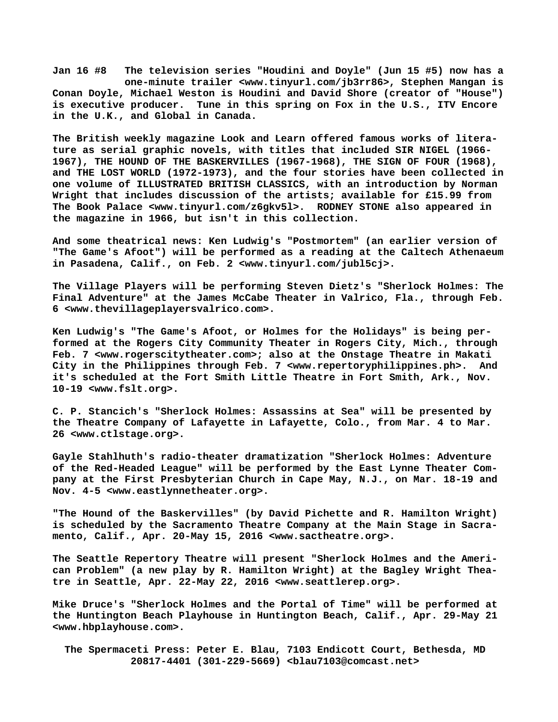**Jan 16 #8 The television series "Houdini and Doyle" (Jun 15 #5) now has a one-minute trailer <[www.tinyurl.com/jb3rr86>, S](http://www.tinyurl.com/jb3rr86)tephen Mangan is Conan Doyle, Michael Weston is Houdini and David Shore (creator of "House") is executive producer. Tune in this spring on Fox in the U.S., ITV Encore in the U.K., and Global in Canada.**

**The British weekly magazine Look and Learn offered famous works of literature as serial graphic novels, with titles that included SIR NIGEL (1966- 1967), THE HOUND OF THE BASKERVILLES (1967-1968), THE SIGN OF FOUR (1968), and THE LOST WORLD (1972-1973), and the four stories have been collected in one volume of ILLUSTRATED BRITISH CLASSICS, with an introduction by Norman Wright that includes discussion of the artists; available for £15.99 from The Book Palace <[www.tinyurl.com/z6gkv5l>.](http://www.tinyurl.com/z6gkv5l) RODNEY STONE also appeared in the magazine in 1966, but isn't in this collection.**

**And some theatrical [news: Ken L](news:Ken)udwig's "Postmortem" (an earlier version of "The Game's Afoot") will be performed as a reading at the Caltech Athenaeum in Pasadena, Calif., on Feb. 2 <[www.tinyurl.com/jubl5cj>.](http://www.tinyurl.com/jubl5cj)**

**The Village Players will be performing Steven Dietz's "Sherlock Holmes: The Final Adventure" at the James McCabe Theater in Valrico, Fla., through Feb. 6 [<www.thevillageplayersvalrico.com>.](http://www.thevillageplayersvalrico.com)**

**Ken Ludwig's "The Game's Afoot, or Holmes for the Holidays" is being performed at the Rogers City Community Theater in Rogers City, Mich., through Feb. 7 [<www.rogerscitytheater.com>; a](http://www.rogerscitytheater.com)lso at the Onstage Theatre in Makati City in the Philippines through Feb. 7 <[www.repertoryphilippines.ph>.](http://www.repertoryphilippines.ph) And it's scheduled at the Fort Smith Little Theatre in Fort Smith, Ark., Nov. 10-19 <[www.fslt.org>.](http://www.fslt.org)**

**C. P. Stancich's "Sherlock Holmes: Assassins at Sea" will be presented by the Theatre Company of Lafayette in Lafayette, Colo., from Mar. 4 to Mar. 26 [<www.ctlstage.org>.](http://www.ctlstage.org)**

**Gayle Stahlhuth's radio-theater dramatization "Sherlock Holmes: Adventure of the Red-Headed League" will be performed by the East Lynne Theater Company at the First Presbyterian Church in Cape May, N.J., on Mar. 18-19 and Nov. 4-5 <[www.eastlynnetheater.org>.](http://www.eastlynnetheater.org)**

**"The Hound of the Baskervilles" (by David Pichette and R. Hamilton Wright) is scheduled by the Sacramento Theatre Company at the Main Stage in Sacramento, Calif., Apr. 20-May 15, 2016 <[www.sactheatre.org>.](http://www.sactheatre.org)**

**The Seattle Repertory Theatre will present "Sherlock Holmes and the American Problem" (a new play by R. Hamilton Wright) at the Bagley Wright Theatre in Seattle, Apr. 22-May 22, 2016 [<www.seattlerep.org>.](http://www.seattlerep.org)**

**Mike Druce's "Sherlock Holmes and the Portal of Time" will be performed at the Huntington Beach Playhouse in Huntington Beach, Calif., Apr. 29-May 21 [<www.hbplayhouse.com>.](http://www.hbplayhouse.com)**

 **The Spermaceti Press: Peter E. Blau, 7103 Endicott Court, Bethesda, MD 20817-4401 (301-229-5669) <[blau7103@comcast.net>](mailto:blau7103@comcast.net)**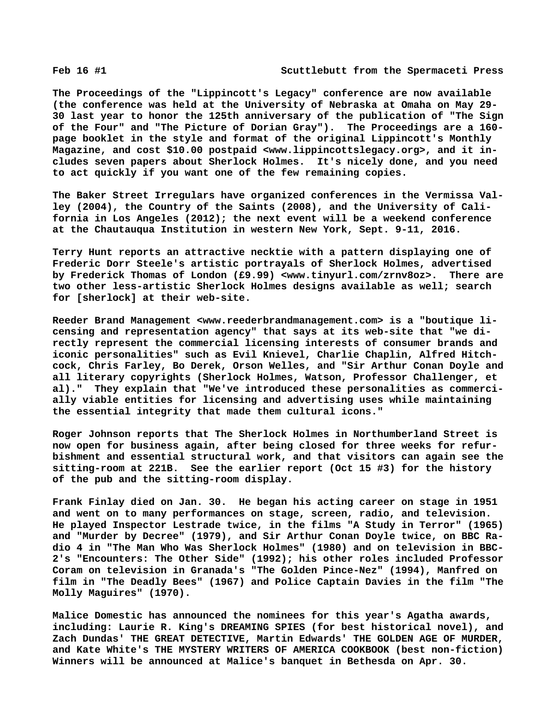**The Proceedings of the "Lippincott's Legacy" conference are now available (the conference was held at the University of Nebraska at Omaha on May 29- 30 last year to honor the 125th anniversary of the publication of "The Sign of the Four" and "The Picture of Dorian Gray"). The Proceedings are a 160 page booklet in the style and format of the original Lippincott's Monthly Magazine, and cost \$10.00 postpaid [<www.lippincottslegacy.org>, a](http://www.lippincottslegacy.org)nd it includes seven papers about Sherlock Holmes. It's nicely done, and you need to act quickly if you want one of the few remaining copies.**

**The Baker Street Irregulars have organized conferences in the Vermissa Valley (2004), the Country of the Saints (2008), and the University of California in Los Angeles (2012); the next event will be a weekend conference at the Chautauqua Institution in western New York, Sept. 9-11, 2016.**

**Terry Hunt reports an attractive necktie with a pattern displaying one of Frederic Dorr Steele's artistic portrayals of Sherlock Holmes, advertised by Frederick Thomas of London (£9.99) [<www.tinyurl.com/zrnv8oz>.](http://www.tinyurl.com/zrnv8oz) There are two other less-artistic Sherlock Holmes designs available as well; search for [sherlock] at their web-site.**

**Reeder Brand Management <[www.reederbrandmanagement.com> i](http://www.reederbrandmanagement.com)s a "boutique licensing and representation agency" that says at its web-site that "we directly represent the commercial licensing interests of consumer brands and iconic personalities" such as Evil Knievel, Charlie Chaplin, Alfred Hitchcock, Chris Farley, Bo Derek, Orson Welles, and "Sir Arthur Conan Doyle and all literary copyrights (Sherlock Holmes, Watson, Professor Challenger, et al)." They explain that "We've introduced these personalities as commercially viable entities for licensing and advertising uses while maintaining the essential integrity that made them cultural icons."**

**Roger Johnson reports that The Sherlock Holmes in Northumberland Street is now open for business again, after being closed for three weeks for refurbishment and essential structural work, and that visitors can again see the sitting-room at 221B. See the earlier report (Oct 15 #3) for the history of the pub and the sitting-room display.**

**Frank Finlay died on Jan. 30. He began his acting career on stage in 1951 and went on to many performances on stage, screen, radio, and television. He played Inspector Lestrade twice, in the films "A Study in Terror" (1965) and "Murder by Decree" (1979), and Sir Arthur Conan Doyle twice, on BBC Radio 4 in "The Man Who Was Sherlock Holmes" (1980) and on television in BBC-2's "Encounters: The Other Side" (1992); his other roles included Professor Coram on television in Granada's "The Golden Pince-Nez" (1994), Manfred on film in "The Deadly Bees" (1967) and Police Captain Davies in the film "The Molly Maguires" (1970).**

**Malice Domestic has announced the nominees for this year's Agatha awards, including: Laurie R. King's DREAMING SPIES (for best historical novel), and Zach Dundas' THE GREAT DETECTIVE, Martin Edwards' THE GOLDEN AGE OF MURDER, and Kate White's THE MYSTERY WRITERS OF AMERICA COOKBOOK (best non-fiction) Winners will be announced at Malice's banquet in Bethesda on Apr. 30.**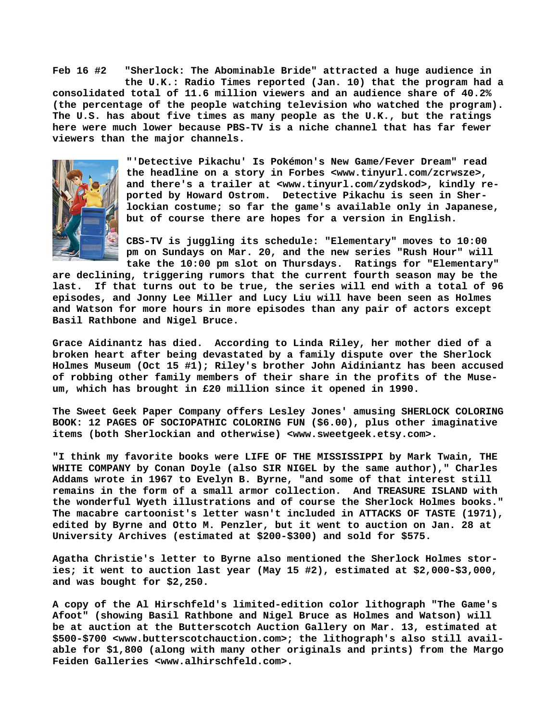**Feb 16 #2 "Sherlock: The Abominable Bride" attracted a huge audience in the U.K.: Radio Times reported (Jan. 10) that the program had a consolidated total of 11.6 million viewers and an audience share of 40.2% (the percentage of the people watching television who watched the program). The U.S. has about five times as many people as the U.K., but the ratings here were much lower because PBS-TV is a niche channel that has far fewer viewers than the major channels.**



**"'Detective Pikachu' Is Pokémon's New Game/Fever Dream" read the headline on a story in Forbes <[www.tinyurl.com/zcrwsze>,](http://www.tinyurl.com/zcrwsze) and there's a trailer at [<www.tinyurl.com/zydskod>, k](http://www.tinyurl.com/zydskod)indly reported by Howard Ostrom. Detective Pikachu is seen in Sherlockian costume; so far the game's available only in Japanese, but of course there are hopes for a version in English.**

**CBS-TV is juggling its schedule: "Elementary" moves to 10:00 pm on Sundays on Mar. 20, and the new series "Rush Hour" will take the 10:00 pm slot on Thursdays. Ratings for "Elementary"**

**are declining, triggering rumors that the current fourth season may be the last. If that turns out to be true, the series will end with a total of 96 episodes, and Jonny Lee Miller and Lucy Liu will have been seen as Holmes and Watson for more hours in more episodes than any pair of actors except Basil Rathbone and Nigel Bruce.**

**Grace Aidinantz has died. According to Linda Riley, her mother died of a broken heart after being devastated by a family dispute over the Sherlock Holmes Museum (Oct 15 #1); Riley's brother John Aidiniantz has been accused of robbing other family members of their share in the profits of the Museum, which has brought in £20 million since it opened in 1990.**

**The Sweet Geek Paper Company offers Lesley Jones' amusing SHERLOCK COLORING BOOK: 12 PAGES OF SOCIOPATHIC COLORING FUN (\$6.00), plus other imaginative items (both Sherlockian and otherwise) <[www.sweetgeek.etsy.com>.](http://www.sweetgeek.etsy.com)**

**"I think my favorite books were LIFE OF THE MISSISSIPPI by Mark Twain, THE WHITE COMPANY by Conan Doyle (also SIR NIGEL by the same author)," Charles Addams wrote in 1967 to Evelyn B. Byrne, "and some of that interest still remains in the form of a small armor collection. And TREASURE ISLAND with the wonderful Wyeth illustrations and of course the Sherlock Holmes books." The macabre cartoonist's letter wasn't included in ATTACKS OF TASTE (1971), edited by Byrne and Otto M. Penzler, but it went to auction on Jan. 28 at University Archives (estimated at \$200-\$300) and sold for \$575.**

**Agatha Christie's letter to Byrne also mentioned the Sherlock Holmes stories; it went to auction last year (May 15 #2), estimated at \$2,000-\$3,000, and was bought for \$2,250.**

**A copy of the Al Hirschfeld's limited-edition color lithograph "The Game's Afoot" (showing Basil Rathbone and Nigel Bruce as Holmes and Watson) will be at auction at the Butterscotch Auction Gallery on Mar. 13, estimated at \$500-\$700 [<www.butterscotchauction.com>; t](http://www.butterscotchauction.com)he lithograph's also still available for \$1,800 (along with many other originals and prints) from the Margo Feiden Galleries [<www.alhirschfeld.com>.](http://www.alhirschfeld.com)**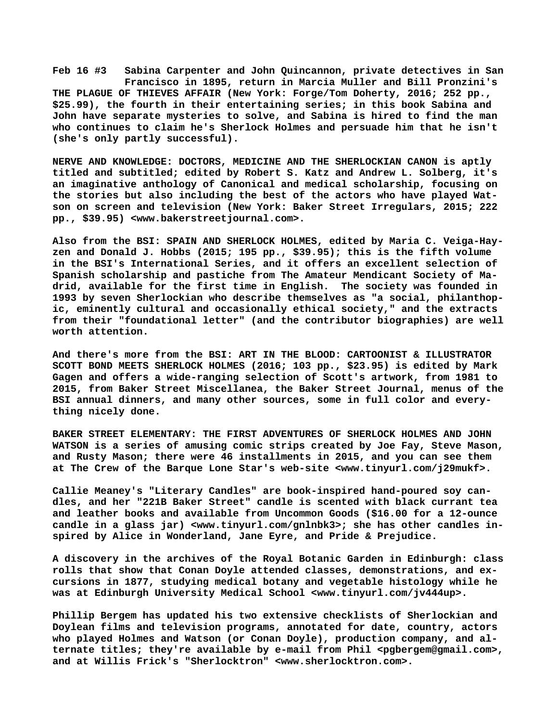**Feb 16 #3 Sabina Carpenter and John Quincannon, private detectives in San Francisco in 1895, return in Marcia Muller and Bill Pronzini's THE PLAGUE OF THIEVES AFFAIR (New York: Forge/Tom Doherty, 2016; 252 pp., \$25.99), the fourth in their entertaining series; in this book Sabina and John have separate mysteries to solve, and Sabina is hired to find the man who continues to claim he's Sherlock Holmes and persuade him that he isn't (she's only partly successful).**

**NERVE AND KNOWLEDGE: DOCTORS, MEDICINE AND THE SHERLOCKIAN CANON is aptly titled and subtitled; edited by Robert S. Katz and Andrew L. Solberg, it's an imaginative anthology of Canonical and medical scholarship, focusing on the stories but also including the best of the actors who have played Watson on screen and television (New York: Baker Street Irregulars, 2015; 222 pp., \$39.95) [<www.bakerstreetjournal.com>.](http://www.bakerstreetjournal.com)**

**Also from the BSI: SPAIN AND SHERLOCK HOLMES, edited by Maria C. Veiga-Hayzen and Donald J. Hobbs (2015; 195 pp., \$39.95); this is the fifth volume in the BSI's International Series, and it offers an excellent selection of Spanish scholarship and pastiche from The Amateur Mendicant Society of Madrid, available for the first time in English. The society was founded in 1993 by seven Sherlockian who describe themselves as "a social, philanthopic, eminently cultural and occasionally ethical society," and the extracts from their "foundational letter" (and the contributor biographies) are well worth attention.**

**And there's more from the BSI: ART IN THE BLOOD: CARTOONIST & ILLUSTRATOR SCOTT BOND MEETS SHERLOCK HOLMES (2016; 103 pp., \$23.95) is edited by Mark Gagen and offers a wide-ranging selection of Scott's artwork, from 1981 to 2015, from Baker Street Miscellanea, the Baker Street Journal, menus of the BSI annual dinners, and many other sources, some in full color and everything nicely done.**

**BAKER STREET ELEMENTARY: THE FIRST ADVENTURES OF SHERLOCK HOLMES AND JOHN WATSON is a series of amusing comic strips created by Joe Fay, Steve Mason, and Rusty Mason; there were 46 installments in 2015, and you can see them at The Crew of the Barque Lone Star's web-site [<www.tinyurl.com/j29mukf>.](http://www.tinyurl.com/j29mukf)**

**Callie Meaney's "Literary Candles" are book-inspired hand-poured soy candles, and her "221B Baker Street" candle is scented with black currant tea and leather books and available from Uncommon Goods (\$16.00 for a 12-ounce candle in a glass jar) [<www.tinyurl.com/gnlnbk3>; s](http://www.tinyurl.com/gnlnbk3)he has other candles inspired by Alice in Wonderland, Jane Eyre, and Pride & Prejudice.**

**A discovery in the archives of the Royal Botanic Garden in Edinburgh: class rolls that show that Conan Doyle attended classes, demonstrations, and excursions in 1877, studying medical botany and vegetable histology while he was at Edinburgh University Medical School [<www.tinyurl.com/jv444up>.](http://www.tinyurl.com/jv444up)**

**Phillip Bergem has updated his two extensive checklists of Sherlockian and Doylean films and television programs, annotated for date, country, actors who played Holmes and Watson (or Conan Doyle), production company, and alternate titles; they're available by e-mail from Phil <[pgbergem@gmail.com>,](mailto:pgbergem@gmail.com) and at Willis Frick's "Sherlocktron" [<www.sherlocktron.com>.](http://www.sherlocktron.com)**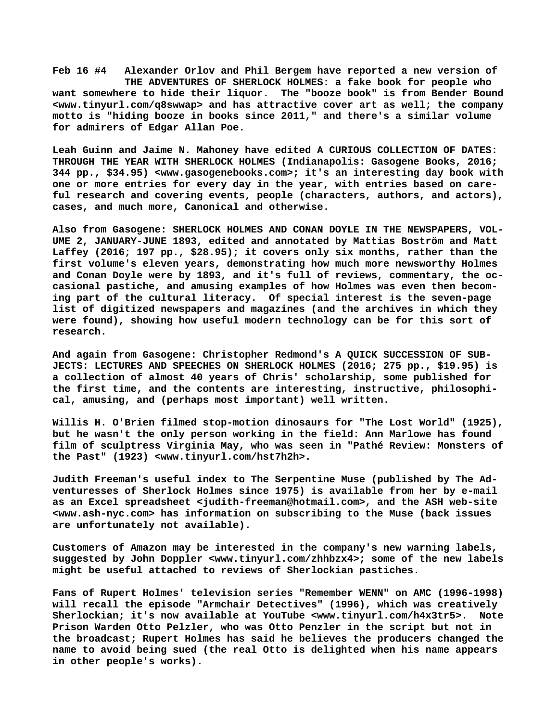**Feb 16 #4 Alexander Orlov and Phil Bergem have reported a new version of THE ADVENTURES OF SHERLOCK HOLMES: a fake book for people who want somewhere to hide their liquor. The "booze book" is from Bender Bound [<www.tinyurl.com/q8swwap> a](http://www.tinyurl.com/q8swwap)nd has attractive cover art as well; the company motto is "hiding booze in books since 2011," and there's a similar volume for admirers of Edgar Allan Poe.**

**Leah Guinn and Jaime N. Mahoney have edited A CURIOUS COLLECTION OF DATES: THROUGH THE YEAR WITH SHERLOCK HOLMES (Indianapolis: Gasogene Books, 2016; 344 pp., \$34.95) [<www.gasogenebooks.com>; i](http://www.gasogenebooks.com)t's an interesting day book with one or more entries for every day in the year, with entries based on careful research and covering events, people (characters, authors, and actors), cases, and much more, Canonical and otherwise.**

**Also from Gasogene: SHERLOCK HOLMES AND CONAN DOYLE IN THE NEWSPAPERS, VOL-UME 2, JANUARY-JUNE 1893, edited and annotated by Mattias Boström and Matt Laffey (2016; 197 pp., \$28.95); it covers only six months, rather than the first volume's eleven years, demonstrating how much more newsworthy Holmes and Conan Doyle were by 1893, and it's full of reviews, commentary, the occasional pastiche, and amusing examples of how Holmes was even then becoming part of the cultural literacy. Of special interest is the seven-page list of digitized newspapers and magazines (and the archives in which they were found), showing how useful modern technology can be for this sort of research.**

**And again from Gasogene: Christopher Redmond's A QUICK SUCCESSION OF SUB-JECTS: LECTURES AND SPEECHES ON SHERLOCK HOLMES (2016; 275 pp., \$19.95) is a collection of almost 40 years of Chris' scholarship, some published for the first time, and the contents are interesting, instructive, philosophical, amusing, and (perhaps most important) well written.**

**Willis H. O'Brien filmed stop-motion dinosaurs for "The Lost World" (1925), but he wasn't the only person working in the field: Ann Marlowe has found film of sculptress Virginia May, who was seen in "Pathé Review: Monsters of the Past" (1923) [<www.tinyurl.com/hst7h2h>.](http://www.tinyurl.com/hst7h2h)**

**Judith Freeman's useful index to The Serpentine Muse (published by The Adventuresses of Sherlock Holmes since 1975) is available from her by e-mail as an Excel spreadsheet <[judith-freeman@hotmail.com>, a](mailto:judith-freeman@hotmail.com)nd the ASH web-site [<www.ash-nyc.com> h](http://www.ash-nyc.com)as information on subscribing to the Muse (back issues are unfortunately not available).**

**Customers of Amazon may be interested in the company's new warning labels, suggested by John Doppler <[www.tinyurl.com/zhhbzx4>; s](http://www.tinyurl.com/zhhbzx4)ome of the new labels might be useful attached to reviews of Sherlockian pastiches.**

**Fans of Rupert Holmes' television series "Remember WENN" on AMC (1996-1998) will recall the episode "Armchair Detectives" (1996), which was creatively Sherlockian; it's now available at YouTube [<www.tinyurl.com/h4x3tr5>.](http://www.tinyurl.com/h4x3tr5) Note Prison Warden Otto Pelzler, who was Otto Penzler in the script but not in the broadcast; Rupert Holmes has said he believes the producers changed the name to avoid being sued (the real Otto is delighted when his name appears in other people's works).**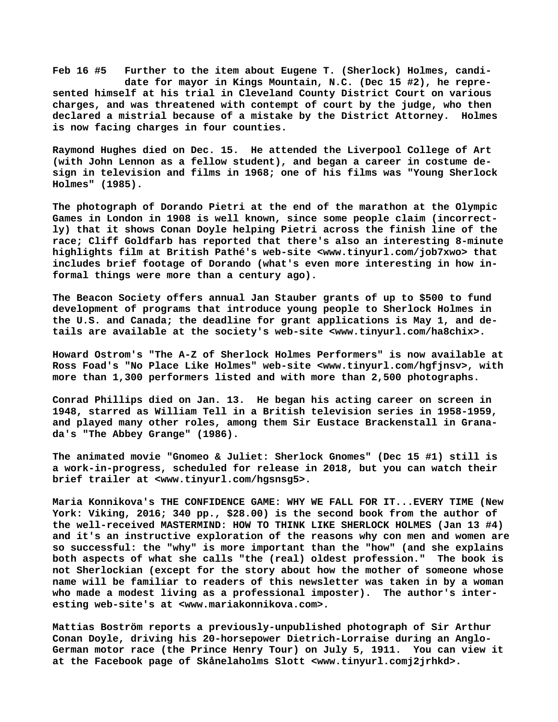**Feb 16 #5 Further to the item about Eugene T. (Sherlock) Holmes, candi date for mayor in Kings Mountain, N.C. (Dec 15 #2), he represented himself at his trial in Cleveland County District Court on various charges, and was threatened with contempt of court by the judge, who then declared a mistrial because of a mistake by the District Attorney. Holmes is now facing charges in four counties.**

**Raymond Hughes died on Dec. 15. He attended the Liverpool College of Art (with John Lennon as a fellow student), and began a career in costume design in television and films in 1968; one of his films was "Young Sherlock Holmes" (1985).**

**The photograph of Dorando Pietri at the end of the marathon at the Olympic Games in London in 1908 is well known, since some people claim (incorrectly) that it shows Conan Doyle helping Pietri across the finish line of the race; Cliff Goldfarb has reported that there's also an interesting 8-minute highlights film at British Pathé's web-site <[www.tinyurl.com/job7xwo> t](http://www.tinyurl.com/job7xwo)hat includes brief footage of Dorando (what's even more interesting in how informal things were more than a century ago).**

**The Beacon Society offers annual Jan Stauber grants of up to \$500 to fund development of programs that introduce young people to Sherlock Holmes in the U.S. and Canada; the deadline for grant applications is May 1, and details are available at the society's web-site <[www.tinyurl.com/ha8chix>.](http://www.tinyurl.com/ha8chix)**

**Howard Ostrom's "The A-Z of Sherlock Holmes Performers" is now available at Ross Foad's "No Place Like Holmes" web-site <[www.tinyurl.com/hgfjnsv>, w](http://www.tinyurl.com/hgfjnsv)ith more than 1,300 performers listed and with more than 2,500 photographs.**

**Conrad Phillips died on Jan. 13. He began his acting career on screen in 1948, starred as William Tell in a British television series in 1958-1959, and played many other roles, among them Sir Eustace Brackenstall in Granada's "The Abbey Grange" (1986).**

**The animated movie "Gnomeo & Juliet: Sherlock Gnomes" (Dec 15 #1) still is a work-in-progress, scheduled for release in 2018, but you can watch their brief trailer at [<www.tinyurl.com/hgsnsg5>.](http://www.tinyurl.com/hgsnsg5)**

**Maria Konnikova's THE CONFIDENCE GAME: WHY WE FALL FOR IT...EVERY TIME (New York: Viking, 2016; 340 pp., \$28.00) is the second book from the author of the well-received MASTERMIND: HOW TO THINK LIKE SHERLOCK HOLMES (Jan 13 #4) and it's an instructive exploration of the reasons why con men and women are so successful: the "why" is more important than the "how" (and she explains both aspects of what she calls "the (real) oldest profession." The book is not Sherlockian (except for the story about how the mother of someone whose name will be familiar to readers of this newsletter was taken in by a woman who made a modest living as a professional imposter). The author's interesting web-site's at <[www.mariakonnikova.com>.](http://www.mariakonnikova.com)**

**Mattias Boström reports a previously-unpublished photograph of Sir Arthur Conan Doyle, driving his 20-horsepower Dietrich-Lorraise during an Anglo-German motor race (the Prince Henry Tour) on July 5, 1911. You can view it at the Facebook page of Skånelaholms Slott [<www.tinyurl.comj2jrhkd>.](http://www.tinyurl.comj2jrhkd)**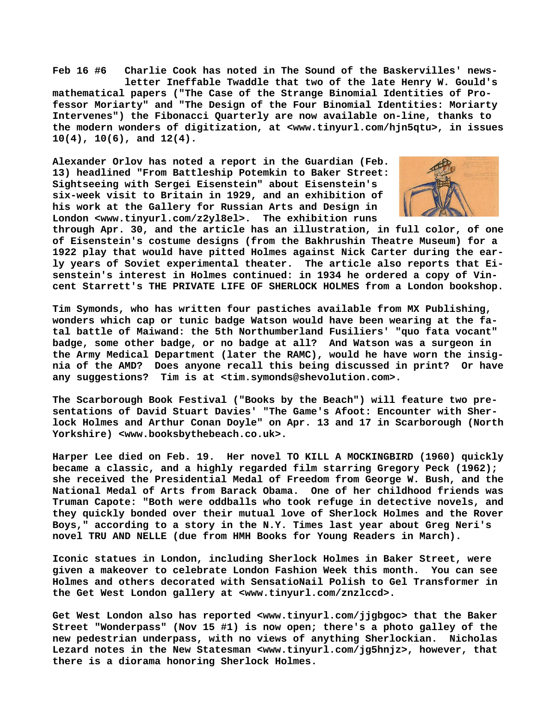**Feb 16 #6 Charlie Cook has noted in The Sound of the Baskervilles' news letter Ineffable Twaddle that two of the late Henry W. Gould's mathematical papers ("The Case of the Strange Binomial Identities of Professor Moriarty" and "The Design of the Four Binomial Identities: Moriarty Intervenes") the Fibonacci Quarterly are now available on-line, thanks to the modern wonders of digitization, at <[www.tinyurl.com/hjn5qtu>, i](http://www.tinyurl.com/hjn5qtu)n issues 10(4), 10(6), and 12(4).**

**Alexander Orlov has noted a report in the Guardian (Feb. 13) headlined "From Battleship Potemkin to Baker Street: Sightseeing with Sergei Eisenstein" about Eisenstein's six-week visit to Britain in 1929, and an exhibition of his work at the Gallery for Russian Arts and Design in London [<www.tinyurl.com/z2yl8el>.](http://www.tinyurl.com/z2yl8el) The exhibition runs**



**through Apr. 30, and the article has an illustration, in full color, of one of Eisenstein's costume designs (from the Bakhrushin Theatre Museum) for a 1922 play that would have pitted Holmes against Nick Carter during the early years of Soviet experimental theater. The article also reports that Eisenstein's interest in Holmes continued: in 1934 he ordered a copy of Vincent Starrett's THE PRIVATE LIFE OF SHERLOCK HOLMES from a London bookshop.**

**Tim Symonds, who has written four pastiches available from MX Publishing, wonders which cap or tunic badge Watson would have been wearing at the fatal battle of Maiwand: the 5th Northumberland Fusiliers' "quo fata vocant" badge, some other badge, or no badge at all? And Watson was a surgeon in the Army Medical Department (later the RAMC), would he have worn the insignia of the AMD? Does anyone recall this being discussed in print? Or have any suggestions? Tim is at [<tim.symonds@shevolution.com>.](mailto:tim.symonds@shevolution.com)**

**The Scarborough Book Festival ("Books by the Beach") will feature two presentations of David Stuart Davies' "The Game's Afoot: Encounter with Sherlock Holmes and Arthur Conan Doyle" on Apr. 13 and 17 in Scarborough (North Yorkshire) <[www.booksbythebeach.co.uk>.](http://www.booksbythebeach.co.uk)**

**Harper Lee died on Feb. 19. Her novel TO KILL A MOCKINGBIRD (1960) quickly became a classic, and a highly regarded film starring Gregory Peck (1962); she received the Presidential Medal of Freedom from George W. Bush, and the National Medal of Arts from Barack Obama. One of her childhood friends was Truman Capote: "Both were oddballs who took refuge in detective novels, and they quickly bonded over their mutual love of Sherlock Holmes and the Rover Boys," according to a story in the N.Y. Times last year about Greg Neri's novel TRU AND NELLE (due from HMH Books for Young Readers in March).**

**Iconic statues in London, including Sherlock Holmes in Baker Street, were given a makeover to celebrate London Fashion Week this month. You can see Holmes and others decorated with SensatioNail Polish to Gel Transformer in the Get West London gallery at <[www.tinyurl.com/znzlccd>.](http://www.tinyurl.com/znzlccd)**

**Get West London also has reported <[www.tinyurl.com/jjgbgoc> t](http://www.tinyurl.com/jjgbgoc)hat the Baker Street "Wonderpass" (Nov 15 #1) is now open; there's a photo galley of the new pedestrian underpass, with no views of anything Sherlockian. Nicholas Lezard notes in the New Statesman <[www.tinyurl.com/jg5hnjz>, h](http://www.tinyurl.com/jg5hnjz)owever, that there is a diorama honoring Sherlock Holmes.**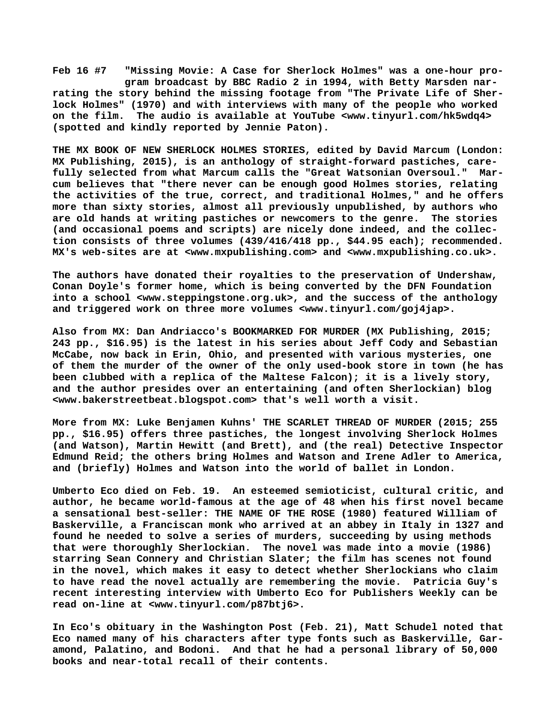**Feb 16 #7 "Missing Movie: A Case for Sherlock Holmes" was a one-hour pro gram broadcast by BBC Radio 2 in 1994, with Betty Marsden narrating the story behind the missing footage from "The Private Life of Sherlock Holmes" (1970) and with interviews with many of the people who worked on the film. The audio is available at YouTube [<www.tinyurl.com/hk5wdq4>](http://www.tinyurl.com/hk5wdq4) (spotted and kindly reported by Jennie Paton).**

**THE MX BOOK OF NEW SHERLOCK HOLMES STORIES, edited by David Marcum (London: MX Publishing, 2015), is an anthology of straight-forward pastiches, carefully selected from what Marcum calls the "Great Watsonian Oversoul." Marcum believes that "there never can be enough good Holmes stories, relating the activities of the true, correct, and traditional Holmes," and he offers more than sixty stories, almost all previously unpublished, by authors who are old hands at writing pastiches or newcomers to the genre. The stories (and occasional poems and scripts) are nicely done indeed, and the collection consists of three volumes (439/416/418 pp., \$44.95 each); recommended. MX's web-sites are at [<www.mxpublishing.com> a](http://www.mxpublishing.com)nd <[www.mxpublishing.co.uk>.](http://www.mxpublishing.co.uk)**

**The authors have donated their royalties to the preservation of Undershaw, Conan Doyle's former home, which is being converted by the DFN Foundation into a school <[www.steppingstone.org.uk>, a](http://www.steppingstone.org.uk)nd the success of the anthology and triggered work on three more volumes <[www.tinyurl.com/goj4jap>.](http://www.tinyurl.com/goj4jap)**

**Also from MX: Dan Andriacco's BOOKMARKED FOR MURDER (MX Publishing, 2015; 243 pp., \$16.95) is the latest in his series about Jeff Cody and Sebastian McCabe, now back in Erin, Ohio, and presented with various mysteries, one of them the murder of the owner of the only used-book store in town (he has been clubbed with a replica of the Maltese Falcon); it is a lively story, and the author presides over an entertaining (and often Sherlockian) blog [<www.bakerstreetbeat.blogspot.com> t](http://www.bakerstreetbeat.blogspot.com)hat's well worth a visit.**

**More from MX: Luke Benjamen Kuhns' THE SCARLET THREAD OF MURDER (2015; 255 pp., \$16.95) offers three pastiches, the longest involving Sherlock Holmes (and Watson), Martin Hewitt (and Brett), and (the real) Detective Inspector Edmund Reid; the others bring Holmes and Watson and Irene Adler to America, and (briefly) Holmes and Watson into the world of ballet in London.**

**Umberto Eco died on Feb. 19. An esteemed semioticist, cultural critic, and author, he became world-famous at the age of 48 when his first novel became a sensational best-seller: THE NAME OF THE ROSE (1980) featured William of Baskerville, a Franciscan monk who arrived at an abbey in Italy in 1327 and found he needed to solve a series of murders, succeeding by using methods that were thoroughly Sherlockian. The novel was made into a movie (1986) starring Sean Connery and Christian Slater; the film has scenes not found in the novel, which makes it easy to detect whether Sherlockians who claim to have read the novel actually are remembering the movie. Patricia Guy's recent interesting interview with Umberto Eco for Publishers Weekly can be read on-line at <[www.tinyurl.com/p87btj6>.](http://www.tinyurl.com/p87btj6)**

**In Eco's obituary in the Washington Post (Feb. 21), Matt Schudel noted that Eco named many of his characters after type fonts such as Baskerville, Garamond, Palatino, and Bodoni. And that he had a personal library of 50,000 books and near-total recall of their contents.**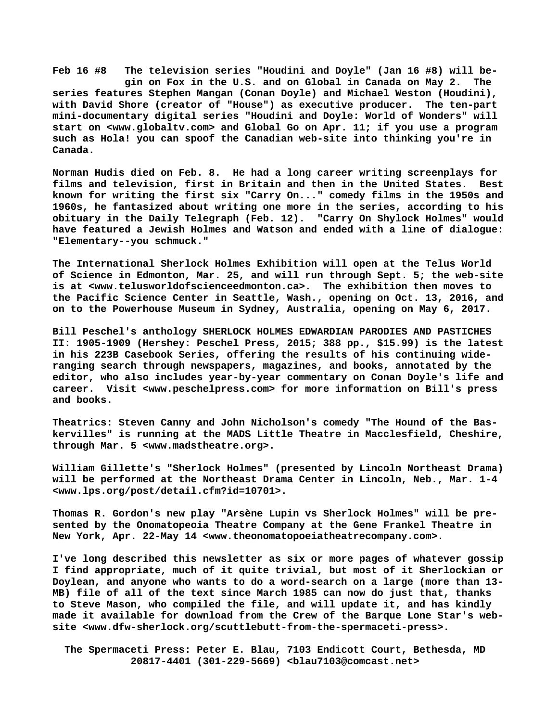**Feb 16 #8 The television series "Houdini and Doyle" (Jan 16 #8) will be gin on Fox in the U.S. and on Global in Canada on May 2. The series features Stephen Mangan (Conan Doyle) and Michael Weston (Houdini), with David Shore (creator of "House") as executive producer. The ten-part mini-documentary digital series "Houdini and Doyle: World of Wonders" will start on <[www.globaltv.com>](http://www.globaltv.com) and Global Go on Apr. 11; if you use a program such as Hola! you can spoof the Canadian web-site into thinking you're in Canada.**

**Norman Hudis died on Feb. 8. He had a long career writing screenplays for films and television, first in Britain and then in the United States. Best known for writing the first six "Carry On..." comedy films in the 1950s and 1960s, he fantasized about writing one more in the series, according to his obituary in the Daily Telegraph (Feb. 12). "Carry On Shylock Holmes" would have featured a Jewish Holmes and Watson and ended with a line of dialogue: "Elementary--you schmuck."**

**The International Sherlock Holmes Exhibition will open at the Telus World of Science in Edmonton, Mar. 25, and will run through Sept. 5; the web-site is at <[www.telusworldofscienceedmonton.ca>.](http://www.telusworldofscienceedmonton.ca) The exhibition then moves to the Pacific Science Center in Seattle, Wash., opening on Oct. 13, 2016, and on to the Powerhouse Museum in Sydney, Australia, opening on May 6, 2017.**

**Bill Peschel's anthology SHERLOCK HOLMES EDWARDIAN PARODIES AND PASTICHES II: 1905-1909 (Hershey: Peschel Press, 2015; 388 pp., \$15.99) is the latest in his 223B Casebook Series, offering the results of his continuing wideranging search through newspapers, magazines, and books, annotated by the editor, who also includes year-by-year commentary on Conan Doyle's life and career. Visit [<www.peschelpress.com> f](http://www.peschelpress.com)or more information on Bill's press and books.**

**Theatrics: Steven Canny and John Nicholson's comedy "The Hound of the Baskervilles" is running at the MADS Little Theatre in Macclesfield, Cheshire, through Mar. 5 [<www.madstheatre.org>.](http://www.madstheatre.org)**

**William Gillette's "Sherlock Holmes" (presented by Lincoln Northeast Drama) will be performed at the Northeast Drama Center in Lincoln, Neb., Mar. 1-4 [<www.lps.org/post/detail.cfm?id=10701>.](http://www.lps.org/post/detail.cfm?id=10701)**

**Thomas R. Gordon's new play "Arsène Lupin vs Sherlock Holmes" will be presented by the Onomatopeoia Theatre Company at the Gene Frankel Theatre in New York, Apr. 22-May 14 [<www.theonomatopoeiatheatrecompany.com>.](http://www.theonomatopoeiatheatrecompany.com)**

**I've long described this newsletter as six or more pages of whatever gossip I find appropriate, much of it quite trivial, but most of it Sherlockian or Doylean, and anyone who wants to do a word-search on a large (more than 13- MB) file of all of the text since March 1985 can now do just that, thanks to Steve Mason, who compiled the file, and will update it, and has kindly made it available for download from the Crew of the Barque Lone Star's website [<www.dfw-sherlock.org/scuttlebutt-from-the-spermaceti-press>.](http://www.dfw-sherlock.org/scuttlebutt-from-the-spermaceti-press)**

 **The Spermaceti Press: Peter E. Blau, 7103 Endicott Court, Bethesda, MD 20817-4401 (301-229-5669) <[blau7103@comcast.net>](mailto:blau7103@comcast.net)**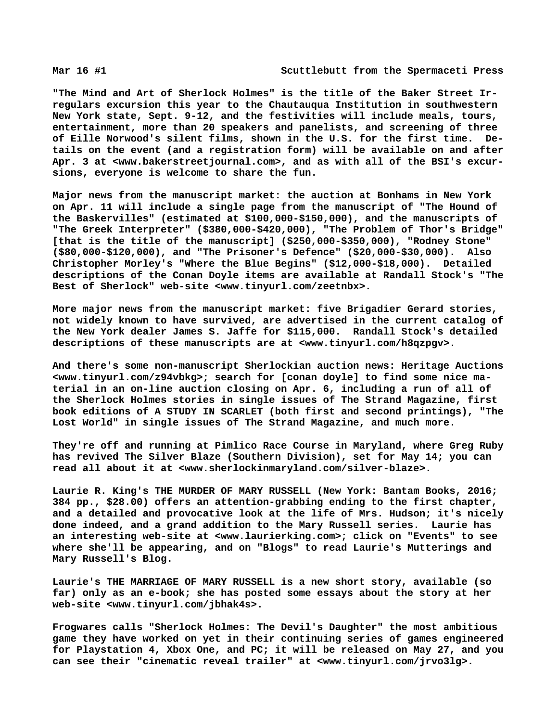**"The Mind and Art of Sherlock Holmes" is the title of the Baker Street Irregulars excursion this year to the Chautauqua Institution in southwestern New York state, Sept. 9-12, and the festivities will include meals, tours, entertainment, more than 20 speakers and panelists, and screening of three of Eille Norwood's silent films, shown in the U.S. for the first time. Details on the event (and a registration form) will be available on and after Apr. 3 at [<www.bakerstreetjournal.com>, a](http://www.bakerstreetjournal.com)nd as with all of the BSI's excursions, everyone is welcome to share the fun.**

**Major news from the manuscript market: the auction at Bonhams in New York on Apr. 11 will include a single page from the manuscript of "The Hound of the Baskervilles" (estimated at \$100,000-\$150,000), and the manuscripts of "The Greek Interpreter" (\$380,000-\$420,000), "The Problem of Thor's Bridge" [that is the title of the manuscript] (\$250,000-\$350,000), "Rodney Stone" (\$80,000-\$120,000), and "The Prisoner's Defence" (\$20,000-\$30,000). Also Christopher Morley's "Where the Blue Begins" (\$12,000-\$18,000). Detailed descriptions of the Conan Doyle items are available at Randall Stock's "The Best of Sherlock" web-site [<www.tinyurl.com/zeetnbx>.](http://www.tinyurl.com/zeetnbx)**

**More major news from the manuscript market: five Brigadier Gerard stories, not widely known to have survived, are advertised in the current catalog of the New York dealer James S. Jaffe for \$115,000. Randall Stock's detailed descriptions of these manuscripts are at <[www.tinyurl.com/h8qzpgv>.](http://www.tinyurl.com/h8qzpgv)**

**And there's some non-manuscript Sherlockian auction [news: Heritage A](news:Heritage)uctions [<www.tinyurl.com/z94vbkg>; s](http://www.tinyurl.com/z94vbkg)earch for [conan doyle] to find some nice material in an on-line auction closing on Apr. 6, including a run of all of the Sherlock Holmes stories in single issues of The Strand Magazine, first book editions of A STUDY IN SCARLET (both first and second printings), "The Lost World" in single issues of The Strand Magazine, and much more.**

**They're off and running at Pimlico Race Course in Maryland, where Greg Ruby has revived The Silver Blaze (Southern Division), set for May 14; you can read all about it at <[www.sherlockinmaryland.com/silver-blaze>.](http://www.sherlockinmaryland.com/silver-blaze)**

**Laurie R. King's THE MURDER OF MARY RUSSELL (New York: Bantam Books, 2016; 384 pp., \$28.00) offers an attention-grabbing ending to the first chapter, and a detailed and provocative look at the life of Mrs. Hudson; it's nicely done indeed, and a grand addition to the Mary Russell series. Laurie has an interesting web-site at [<www.laurierking.com>; c](http://www.laurierking.com)lick on "Events" to see where she'll be appearing, and on "Blogs" to read Laurie's Mutterings and Mary Russell's Blog.**

**Laurie's THE MARRIAGE OF MARY RUSSELL is a new short story, available (so far) only as an e-book; she has posted some essays about the story at her web-site <[www.tinyurl.com/jbhak4s>.](http://www.tinyurl.com/jbhak4s)**

**Frogwares calls "Sherlock Holmes: The Devil's Daughter" the most ambitious game they have worked on yet in their continuing series of games engineered for Playstation 4, Xbox One, and PC; it will be released on May 27, and you can see their "cinematic reveal trailer" at <[www.tinyurl.com/jrvo3lg>.](http://www.tinyurl.com/jrvo3lg)**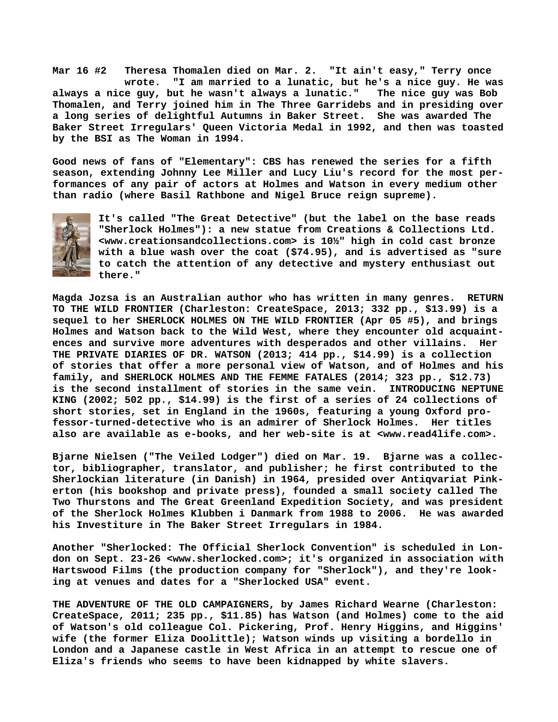**Mar 16 #2 Theresa Thomalen died on Mar. 2. "It ain't easy," Terry once wrote. "I am married to a lunatic, but he's a nice guy. He was always a nice guy, but he wasn't always a lunatic." The nice guy was Bob Thomalen, and Terry joined him in The Three Garridebs and in presiding over a long series of delightful Autumns in Baker Street. She was awarded The Baker Street Irregulars' Queen Victoria Medal in 1992, and then was toasted by the BSI as The Woman in 1994.**

**Good news of fans of "Elementary": CBS has renewed the series for a fifth season, extending Johnny Lee Miller and Lucy Liu's record for the most performances of any pair of actors at Holmes and Watson in every medium other than radio (where Basil Rathbone and Nigel Bruce reign supreme).**



**It's called "The Great Detective" (but the label on the base reads "Sherlock Holmes"): a new statue from Creations & Collections Ltd. <[www.creationsandcollections.com> i](http://www.creationsandcollections.com)s 10½" high in cold cast bronze with a blue wash over the coat (\$74.95), and is advertised as "sure to catch the attention of any detective and mystery enthusiast out there."**

**Magda Jozsa is an Australian author who has written in many genres. RETURN TO THE WILD FRONTIER (Charleston: CreateSpace, 2013; 332 pp., \$13.99) is a sequel to her SHERLOCK HOLMES ON THE WILD FRONTIER (Apr 05 #5), and brings Holmes and Watson back to the Wild West, where they encounter old acquaintences and survive more adventures with desperados and other villains. Her THE PRIVATE DIARIES OF DR. WATSON (2013; 414 pp., \$14.99) is a collection of stories that offer a more personal view of Watson, and of Holmes and his family, and SHERLOCK HOLMES AND THE FEMME FATALES (2014; 323 pp., \$12.73) is the second installment of stories in the same vein. INTRODUCING NEPTUNE KING (2002; 502 pp., \$14.99) is the first of a series of 24 collections of short stories, set in England in the 1960s, featuring a young Oxford professor-turned-detective who is an admirer of Sherlock Holmes. Her titles also are available as e-books, and her web-site is at <[www.read4life.com>.](http://www.read4life.com)**

**Bjarne Nielsen ("The Veiled Lodger") died on Mar. 19. Bjarne was a collector, bibliographer, translator, and publisher; he first contributed to the Sherlockian literature (in Danish) in 1964, presided over Antiqvariat Pinkerton (his bookshop and private press), founded a small society called The Two Thurstons and The Great Greenland Expedition Society, and was president of the Sherlock Holmes Klubben i Danmark from 1988 to 2006. He was awarded his Investiture in The Baker Street Irregulars in 1984.**

**Another "Sherlocked: The Official Sherlock Convention" is scheduled in London on Sept. 23-26 <[www.sherlocked.com>; i](http://www.sherlocked.com)t's organized in association with Hartswood Films (the production company for "Sherlock"), and they're looking at venues and dates for a "Sherlocked USA" event.**

**THE ADVENTURE OF THE OLD CAMPAIGNERS, by James Richard Wearne (Charleston: CreateSpace, 2011; 235 pp., \$11.85) has Watson (and Holmes) come to the aid of Watson's old colleague Col. Pickering, Prof. Henry Higgins, and Higgins' wife (the former Eliza Doolittle); Watson winds up visiting a bordello in London and a Japanese castle in West Africa in an attempt to rescue one of Eliza's friends who seems to have been kidnapped by white slavers.**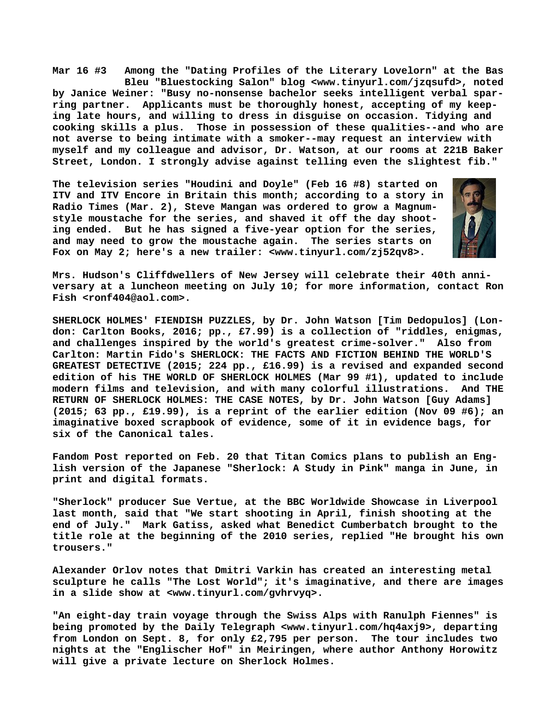**Mar 16 #3 Among the "Dating Profiles of the Literary Lovelorn" at the Bas Bleu "Bluestocking Salon" blog [<www.tinyurl.com/jzqsufd>, n](http://www.tinyurl.com/jzqsufd)oted by Janice Weiner: "Busy no-nonsense bachelor seeks intelligent verbal sparring partner. Applicants must be thoroughly honest, accepting of my keeping late hours, and willing to dress in disguise on occasion. Tidying and cooking skills a plus. Those in possession of these qualities--and who are not averse to being intimate with a smoker--may request an interview with myself and my colleague and advisor, Dr. Watson, at our rooms at 221B Baker Street, London. I strongly advise against telling even the slightest fib."**

**The television series "Houdini and Doyle" (Feb 16 #8) started on ITV and ITV Encore in Britain this month; according to a story in Radio Times (Mar. 2), Steve Mangan was ordered to grow a Magnumstyle moustache for the series, and shaved it off the day shooting ended. But he has signed a five-year option for the series, and may need to grow the moustache again. The series starts on Fox on May 2; here's a new trailer: <[www.tinyurl.com/zj52qv8>.](http://www.tinyurl.com/zj52qv8)**



**Mrs. Hudson's Cliffdwellers of New Jersey will celebrate their 40th anniversary at a luncheon meeting on July 10; for more information, contact Ron Fish [<ronf404@aol.com>.](mailto:ronf404@aol.com)**

**SHERLOCK HOLMES' FIENDISH PUZZLES, by Dr. John Watson [Tim Dedopulos] (London: Carlton Books, 2016; pp., £7.99) is a collection of "riddles, enigmas, and challenges inspired by the world's greatest crime-solver." Also from Carlton: Martin Fido's SHERLOCK: THE FACTS AND FICTION BEHIND THE WORLD'S GREATEST DETECTIVE (2015; 224 pp., £16.99) is a revised and expanded second edition of his THE WORLD OF SHERLOCK HOLMES (Mar 99 #1), updated to include modern films and television, and with many colorful illustrations. And THE RETURN OF SHERLOCK HOLMES: THE CASE NOTES, by Dr. John Watson [Guy Adams] (2015; 63 pp., £19.99), is a reprint of the earlier edition (Nov 09 #6); an imaginative boxed scrapbook of evidence, some of it in evidence bags, for six of the Canonical tales.**

**Fandom Post reported on Feb. 20 that Titan Comics plans to publish an English version of the Japanese "Sherlock: A Study in Pink" manga in June, in print and digital formats.**

**"Sherlock" producer Sue Vertue, at the BBC Worldwide Showcase in Liverpool last month, said that "We start shooting in April, finish shooting at the end of July." Mark Gatiss, asked what Benedict Cumberbatch brought to the title role at the beginning of the 2010 series, replied "He brought his own trousers."**

**Alexander Orlov notes that Dmitri Varkin has created an interesting metal sculpture he calls "The Lost World"; it's imaginative, and there are images in a slide show at <[www.tinyurl.com/gvhrvyq>.](http://www.tinyurl.com/gvhrvyq)**

**"An eight-day train voyage through the Swiss Alps with Ranulph Fiennes" is being promoted by the Daily Telegraph [<www.tinyurl.com/hq4axj9>, d](http://www.tinyurl.com/hq4axj9)eparting from London on Sept. 8, for only £2,795 per person. The tour includes two nights at the "Englischer Hof" in Meiringen, where author Anthony Horowitz will give a private lecture on Sherlock Holmes.**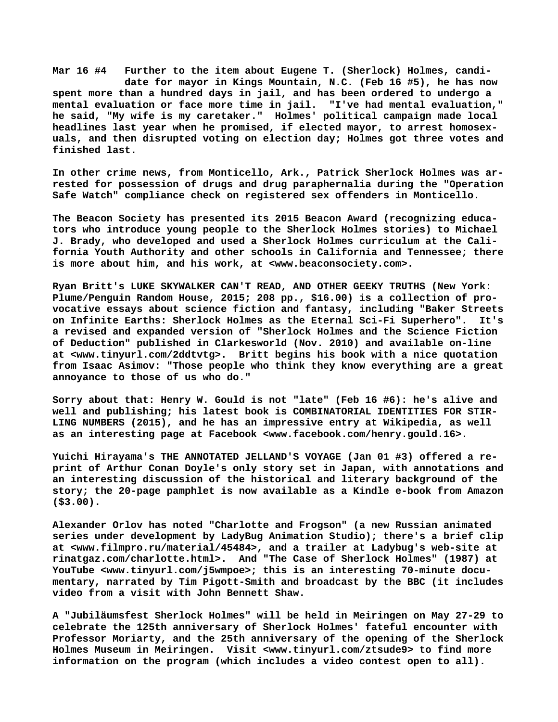**Mar 16 #4 Further to the item about Eugene T. (Sherlock) Holmes, candi date for mayor in Kings Mountain, N.C. (Feb 16 #5), he has now spent more than a hundred days in jail, and has been ordered to undergo a mental evaluation or face more time in jail. "I've had mental evaluation," he said, "My wife is my caretaker." Holmes' political campaign made local headlines last year when he promised, if elected mayor, to arrest homosexuals, and then disrupted voting on election day; Holmes got three votes and finished last.**

**In other crime news, from Monticello, Ark., Patrick Sherlock Holmes was arrested for possession of drugs and drug paraphernalia during the "Operation Safe Watch" compliance check on registered sex offenders in Monticello.**

**The Beacon Society has presented its 2015 Beacon Award (recognizing educators who introduce young people to the Sherlock Holmes stories) to Michael J. Brady, who developed and used a Sherlock Holmes curriculum at the California Youth Authority and other schools in California and Tennessee; there is more about him, and his work, at <[www.beaconsociety.com>.](http://www.beaconsociety.com)**

**Ryan Britt's LUKE SKYWALKER CAN'T READ, AND OTHER GEEKY TRUTHS (New York: Plume/Penguin Random House, 2015; 208 pp., \$16.00) is a collection of provocative essays about science fiction and fantasy, including "Baker Streets on Infinite Earths: Sherlock Holmes as the Eternal Sci-Fi Superhero". It's a revised and expanded version of "Sherlock Holmes and the Science Fiction of Deduction" published in Clarkesworld (Nov. 2010) and available on-line at [<www.tinyurl.com/2ddtvtg>.](http://www.tinyurl.com/2ddtvtg) Britt begins his book with a nice quotation from Isaac Asimov: "Those people who think they know everything are a great annoyance to those of us who do."**

**Sorry about that: Henry W. Gould is not "late" (Feb 16 #6): he's alive and well and publishing; his latest book is COMBINATORIAL IDENTITIES FOR STIR-LING NUMBERS (2015), and he has an impressive entry at Wikipedia, as well as an interesting page at Facebook [<www.facebook.com/henry.gould.16>.](http://www.facebook.com/henry.gould.16)**

**Yuichi Hirayama's THE ANNOTATED JELLAND'S VOYAGE (Jan 01 #3) offered a reprint of Arthur Conan Doyle's only story set in Japan, with annotations and an interesting discussion of the historical and literary background of the story; the 20-page pamphlet is now available as a Kindle e-book from Amazon (\$3.00).**

**Alexander Orlov has noted "Charlotte and Frogson" (a new Russian animated series under development by LadyBug Animation Studio); there's a brief clip at [<www.filmpro.ru/material/45484>, a](http://www.filmpro.ru/material/45484)nd a trailer at Ladybug's web-site at rinatgaz.com/charlotte.html>. And "The Case of Sherlock Holmes" (1987) at YouTube [<www.tinyurl.com/j5wmpoe>; t](http://www.tinyurl.com/j5wmpoe)his is an interesting 70-minute documentary, narrated by Tim Pigott-Smith and broadcast by the BBC (it includes video from a visit with John Bennett Shaw.**

**A "Jubiläumsfest Sherlock Holmes" will be held in Meiringen on May 27-29 to celebrate the 125th anniversary of Sherlock Holmes' fateful encounter with Professor Moriarty, and the 25th anniversary of the opening of the Sherlock Holmes Museum in Meiringen. Visit [<www.tinyurl.com/ztsude9> t](http://www.tinyurl.com/ztsude9)o find more information on the program (which includes a video contest open to all).**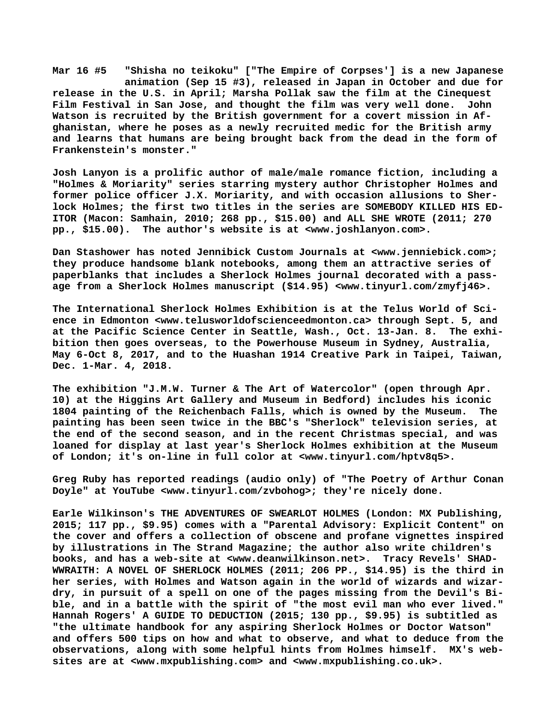**Mar 16 #5 "Shisha no teikoku" ["The Empire of Corpses'] is a new Japanese animation (Sep 15 #3), released in Japan in October and due for release in the U.S. in April; Marsha Pollak saw the film at the Cinequest Film Festival in San Jose, and thought the film was very well done. John Watson is recruited by the British government for a covert mission in Afghanistan, where he poses as a newly recruited medic for the British army and learns that humans are being brought back from the dead in the form of Frankenstein's monster."**

**Josh Lanyon is a prolific author of male/male romance fiction, including a "Holmes & Moriarity" series starring mystery author Christopher Holmes and former police officer J.X. Moriarity, and with occasion allusions to Sherlock Holmes; the first two titles in the series are SOMEBODY KILLED HIS ED-ITOR (Macon: Samhain, 2010; 268 pp., \$15.00) and ALL SHE WROTE (2011; 270 pp., \$15.00). The author's website is at [<www.joshlanyon.com>.](http://www.joshlanyon.com)**

**Dan Stashower has noted Jennibick Custom Journals at [<www.jenniebick.com>;](http://www.jenniebick.com) they produce handsome blank notebooks, among them an attractive series of paperblanks that includes a Sherlock Holmes journal decorated with a passage from a Sherlock Holmes manuscript (\$14.95) [<www.tinyurl.com/zmyfj46>.](http://www.tinyurl.com/zmyfj46)**

**The International Sherlock Holmes Exhibition is at the Telus World of Science in Edmonton [<www.telusworldofscienceedmonton.ca> t](http://www.telusworldofscienceedmonton.ca)hrough Sept. 5, and at the Pacific Science Center in Seattle, Wash., Oct. 13-Jan. 8. The exhibition then goes overseas, to the Powerhouse Museum in Sydney, Australia, May 6-Oct 8, 2017, and to the Huashan 1914 Creative Park in Taipei, Taiwan, Dec. 1-Mar. 4, 2018.**

**The exhibition "J.M.W. Turner & The Art of Watercolor" (open through Apr. 10) at the Higgins Art Gallery and Museum in Bedford) includes his iconic 1804 painting of the Reichenbach Falls, which is owned by the Museum. The painting has been seen twice in the BBC's "Sherlock" television series, at the end of the second season, and in the recent Christmas special, and was loaned for display at last year's Sherlock Holmes exhibition at the Museum of London; it's on-line in full color at <[www.tinyurl.com/hptv8q5>.](http://www.tinyurl.com/hptv8q5)**

**Greg Ruby has reported readings (audio only) of "The Poetry of Arthur Conan Doyle" at YouTube [<www.tinyurl.com/zvbohog>; t](http://www.tinyurl.com/zvbohog)hey're nicely done.**

**Earle Wilkinson's THE ADVENTURES OF SWEARLOT HOLMES (London: MX Publishing, 2015; 117 pp., \$9.95) comes with a "Parental Advisory: Explicit Content" on the cover and offers a collection of obscene and profane vignettes inspired by illustrations in The Strand Magazine; the author also write children's books, and has a web-site at <[www.deanwilkinson.net>.](http://www.deanwilkinson.net) Tracy Revels' SHAD-WWRAITH: A NOVEL OF SHERLOCK HOLMES (2011; 206 PP., \$14.95) is the third in her series, with Holmes and Watson again in the world of wizards and wizardry, in pursuit of a spell on one of the pages missing from the Devil's Bible, and in a battle with the spirit of "the most evil man who ever lived." Hannah Rogers' A GUIDE TO DEDUCTION (2015; 130 pp., \$9.95) is subtitled as "the ultimate handbook for any aspiring Sherlock Holmes or Doctor Watson" and offers 500 tips on how and what to observe, and what to deduce from the observations, along with some helpful hints from Holmes himself. MX's websites are at [<www.mxpublishing.com> a](http://www.mxpublishing.com)nd [<www.mxpublishing.co.uk>.](http://www.mxpublishing.co.uk)**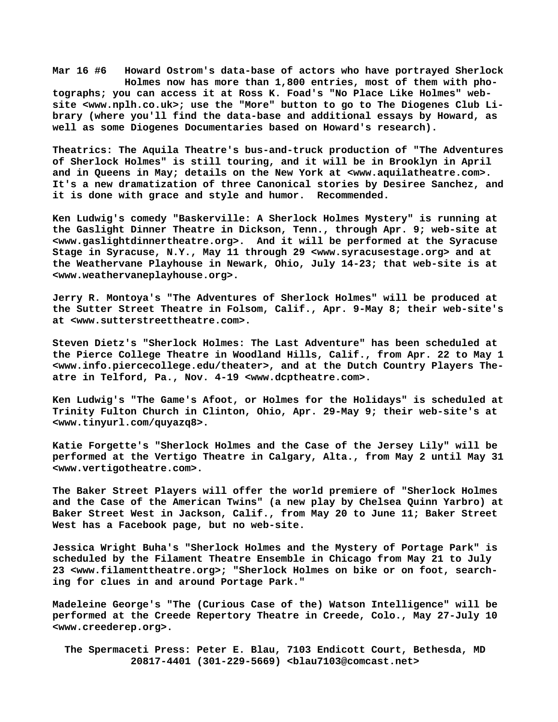**Mar 16 #6 Howard Ostrom's data-base of actors who have portrayed Sherlock Holmes now has more than 1,800 entries, most of them with photographs; you can access it at Ross K. Foad's "No Place Like Holmes" website [<www.nplh.co.uk>; u](http://www.nplh.co.uk)se the "More" button to go to The Diogenes Club Library (where you'll find the data-base and additional essays by Howard, as well as some Diogenes Documentaries based on Howard's research).**

**Theatrics: The Aquila Theatre's bus-and-truck production of "The Adventures of Sherlock Holmes" is still touring, and it will be in Brooklyn in April and in Queens in May; details on the New York at <[www.aquilatheatre.com>.](http://www.aquilatheatre.com)  It's a new dramatization of three Canonical stories by Desiree Sanchez, and it is done with grace and style and humor. Recommended.**

**Ken Ludwig's comedy "Baskerville: A Sherlock Holmes Mystery" is running at the Gaslight Dinner Theatre in Dickson, Tenn., through Apr. 9; web-site at [<www.gaslightdinnertheatre.org>.](http://www.gaslightdinnertheatre.org) And it will be performed at the Syracuse Stage in Syracuse, N.Y., May 11 through 29 [<www.syracusestage.org> a](http://www.syracusestage.org)nd at the Weathervane Playhouse in Newark, Ohio, July 14-23; that web-site is at [<www.weathervaneplayhouse.org>.](http://www.weathervaneplayhouse.org)**

**Jerry R. Montoya's "The Adventures of Sherlock Holmes" will be produced at the Sutter Street Theatre in Folsom, Calif., Apr. 9-May 8; their web-site's at [<www.sutterstreettheatre.com>.](http://www.sutterstreettheatre.com)**

**Steven Dietz's "Sherlock Holmes: The Last Adventure" has been scheduled at the Pierce College Theatre in Woodland Hills, Calif., from Apr. 22 to May 1 [<www.info.piercecollege.edu/theater>, a](http://www.info.piercecollege.edu/theater)nd at the Dutch Country Players Theatre in Telford, Pa., Nov. 4-19 [<www.dcptheatre.com>.](http://www.dcptheatre.com)**

**Ken Ludwig's "The Game's Afoot, or Holmes for the Holidays" is scheduled at Trinity Fulton Church in Clinton, Ohio, Apr. 29-May 9; their web-site's at [<www.tinyurl.com/quyazq8>.](http://www.tinyurl.com/quyazq8)**

**Katie Forgette's "Sherlock Holmes and the Case of the Jersey Lily" will be performed at the Vertigo Theatre in Calgary, Alta., from May 2 until May 31 [<www.vertigotheatre.com>.](http://www.vertigotheatre.com)**

**The Baker Street Players will offer the world premiere of "Sherlock Holmes and the Case of the American Twins" (a new play by Chelsea Quinn Yarbro) at Baker Street West in Jackson, Calif., from May 20 to June 11; Baker Street West has a Facebook page, but no web-site.**

**Jessica Wright Buha's "Sherlock Holmes and the Mystery of Portage Park" is scheduled by the Filament Theatre Ensemble in Chicago from May 21 to July 23 [<www.filamenttheatre.org>; "](http://www.filamenttheatre.org)Sherlock Holmes on bike or on foot, searching for clues in and around Portage Park."**

**Madeleine George's "The (Curious Case of the) Watson Intelligence" will be performed at the Creede Repertory Theatre in Creede, Colo., May 27-July 10 [<www.creederep.org>.](http://www.creederep.org)**

 **The Spermaceti Press: Peter E. Blau, 7103 Endicott Court, Bethesda, MD 20817-4401 (301-229-5669) <[blau7103@comcast.net>](mailto:blau7103@comcast.net)**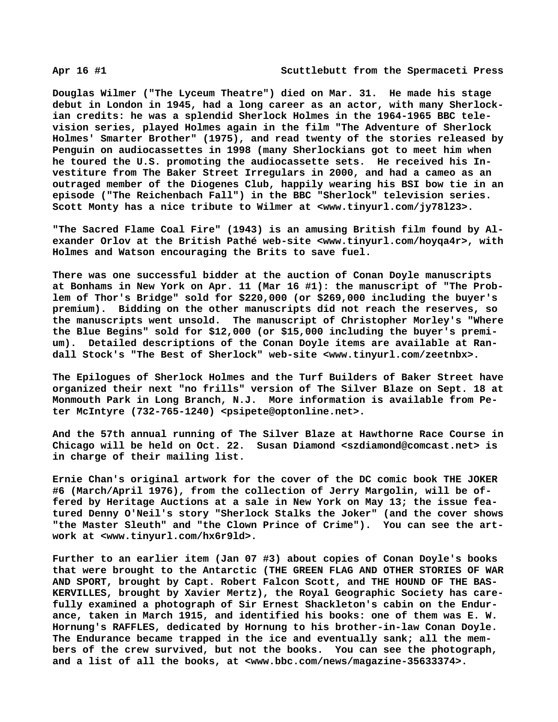**Douglas Wilmer ("The Lyceum Theatre") died on Mar. 31. He made his stage debut in London in 1945, had a long career as an actor, with many Sherlockian credits: he was a splendid Sherlock Holmes in the 1964-1965 BBC television series, played Holmes again in the film "The Adventure of Sherlock Holmes' Smarter Brother" (1975), and read twenty of the stories released by Penguin on audiocassettes in 1998 (many Sherlockians got to meet him when he toured the U.S. promoting the audiocassette sets. He received his Investiture from The Baker Street Irregulars in 2000, and had a cameo as an outraged member of the Diogenes Club, happily wearing his BSI bow tie in an episode ("The Reichenbach Fall") in the BBC "Sherlock" television series. Scott Monty has a nice tribute to Wilmer at <[www.tinyurl.com/jy78l23>.](http://www.tinyurl.com/jy78l23)**

**"The Sacred Flame Coal Fire" (1943) is an amusing British film found by Alexander Orlov at the British Pathé web-site <[www.tinyurl.com/hoyqa4r>, w](http://www.tinyurl.com/hoyqa4r)ith Holmes and Watson encouraging the Brits to save fuel.**

**There was one successful bidder at the auction of Conan Doyle manuscripts at Bonhams in New York on Apr. 11 (Mar 16 #1): the manuscript of "The Problem of Thor's Bridge" sold for \$220,000 (or \$269,000 including the buyer's premium). Bidding on the other manuscripts did not reach the reserves, so the manuscripts went unsold. The manuscript of Christopher Morley's "Where the Blue Begins" sold for \$12,000 (or \$15,000 including the buyer's premium). Detailed descriptions of the Conan Doyle items are available at Randall Stock's "The Best of Sherlock" web-site [<www.tinyurl.com/zeetnbx>.](http://www.tinyurl.com/zeetnbx)**

**The Epilogues of Sherlock Holmes and the Turf Builders of Baker Street have organized their next "no frills" version of The Silver Blaze on Sept. 18 at Monmouth Park in Long Branch, N.J. More information is available from Peter McIntyre (732-765-1240) [<psipete@optonline.net>.](mailto:psipete@optonline.net)**

**And the 57th annual running of The Silver Blaze at Hawthorne Race Course in Chicago will be held on Oct. 22. Susan Diamond [<szdiamond@comcast.net> i](mailto:szdiamond@comcast.net)s in charge of their mailing list.**

**Ernie Chan's original artwork for the cover of the DC comic book THE JOKER #6 (March/April 1976), from the collection of Jerry Margolin, will be offered by Heritage Auctions at a sale in New York on May 13; the issue featured Denny O'Neil's story "Sherlock Stalks the Joker" (and the cover shows "the Master Sleuth" and "the Clown Prince of Crime"). You can see the artwork at [<www.tinyurl.com/hx6r9ld>.](http://www.tinyurl.com/hx6r9ld)**

**Further to an earlier item (Jan 07 #3) about copies of Conan Doyle's books that were brought to the Antarctic (THE GREEN FLAG AND OTHER STORIES OF WAR AND SPORT, brought by Capt. Robert Falcon Scott, and THE HOUND OF THE BAS-KERVILLES, brought by Xavier Mertz), the Royal Geographic Society has carefully examined a photograph of Sir Ernest Shackleton's cabin on the Endurance, taken in March 1915, and identified his books: one of them was E. W. Hornung's RAFFLES, dedicated by Hornung to his brother-in-law Conan Doyle. The Endurance became trapped in the ice and eventually sank; all the members of the crew survived, but not the books. You can see the photograph, and a list of all the books, at [<www.bbc.com/news/magazine-35633374>.](http://www.bbc.com/news/magazine-35633374)**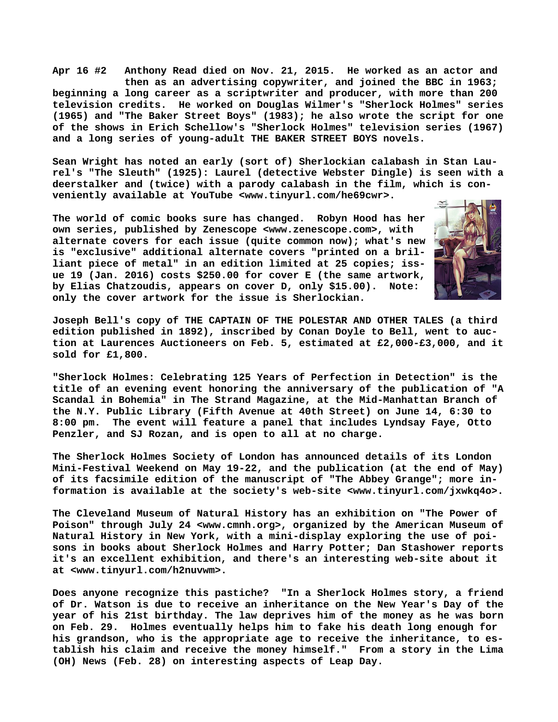**Apr 16 #2 Anthony Read died on Nov. 21, 2015. He worked as an actor and then as an advertising copywriter, and joined the BBC in 1963; beginning a long career as a scriptwriter and producer, with more than 200 television credits. He worked on Douglas Wilmer's "Sherlock Holmes" series (1965) and "The Baker Street Boys" (1983); he also wrote the script for one of the shows in Erich Schellow's "Sherlock Holmes" television series (1967) and a long series of young-adult THE BAKER STREET BOYS novels.**

**Sean Wright has noted an early (sort of) Sherlockian calabash in Stan Laurel's "The Sleuth" (1925): Laurel (detective Webster Dingle) is seen with a deerstalker and (twice) with a parody calabash in the film, which is conveniently available at YouTube <[www.tinyurl.com/he69cwr>.](http://www.tinyurl.com/he69cwr)**

**The world of comic books sure has changed. Robyn Hood has her own series, published by Zenescope [<www.zenescope.com>, w](http://www.zenescope.com)ith alternate covers for each issue (quite common now); what's new is "exclusive" additional alternate covers "printed on a brilliant piece of metal" in an edition limited at 25 copies; issue 19 (Jan. 2016) costs \$250.00 for cover E (the same artwork, by Elias Chatzoudis, appears on cover D, only \$15.00). Note: only the cover artwork for the issue is Sherlockian.**



**Joseph Bell's copy of THE CAPTAIN OF THE POLESTAR AND OTHER TALES (a third edition published in 1892), inscribed by Conan Doyle to Bell, went to auction at Laurences Auctioneers on Feb. 5, estimated at £2,000-£3,000, and it sold for £1,800.**

**"Sherlock Holmes: Celebrating 125 Years of Perfection in Detection" is the title of an evening event honoring the anniversary of the publication of "A Scandal in Bohemia" in The Strand Magazine, at the Mid-Manhattan Branch of the N.Y. Public Library (Fifth Avenue at 40th Street) on June 14, 6:30 to 8:00 pm. The event will feature a panel that includes Lyndsay Faye, Otto Penzler, and SJ Rozan, and is open to all at no charge.**

**The Sherlock Holmes Society of London has announced details of its London Mini-Festival Weekend on May 19-22, and the publication (at the end of May) of its facsimile edition of the manuscript of "The Abbey Grange"; more information is available at the society's web-site <[www.tinyurl.com/jxwkq4o>.](http://www.tinyurl.com/jxwkq4o)** 

**The Cleveland Museum of Natural History has an exhibition on "The Power of Poison" through July 24 <[www.cmnh.org>, o](http://www.cmnh.org)rganized by the American Museum of Natural History in New York, with a mini-display exploring the use of poisons in books about Sherlock Holmes and Harry Potter; Dan Stashower reports it's an excellent exhibition, and there's an interesting web-site about it at [<www.tinyurl.com/h2nuvwm>.](http://www.tinyurl.com/h2nuvwm)**

**Does anyone recognize this pastiche? "In a Sherlock Holmes story, a friend of Dr. Watson is due to receive an inheritance on the New Year's Day of the year of his 21st birthday. The law deprives him of the money as he was born on Feb. 29. Holmes eventually helps him to fake his death long enough for his grandson, who is the appropriate age to receive the inheritance, to establish his claim and receive the money himself." From a story in the Lima (OH) News (Feb. 28) on interesting aspects of Leap Day.**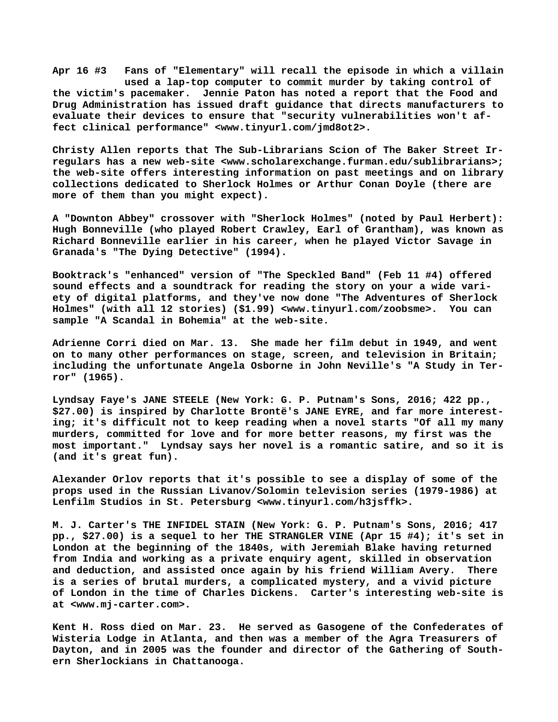**Apr 16 #3 Fans of "Elementary" will recall the episode in which a villain used a lap-top computer to commit murder by taking control of the victim's pacemaker. Jennie Paton has noted a report that the Food and Drug Administration has issued draft guidance that directs manufacturers to evaluate their devices to ensure that "security vulnerabilities won't affect clinical performance" [<www.tinyurl.com/jmd8ot2>.](http://www.tinyurl.com/jmd8ot2)**

**Christy Allen reports that The Sub-Librarians Scion of The Baker Street Irregulars has a new web-site [<www.scholarexchange.furman.edu/sublibrarians>;](http://www.scholarexchange.furman.edu/sublibrarians) the web-site offers interesting information on past meetings and on library collections dedicated to Sherlock Holmes or Arthur Conan Doyle (there are more of them than you might expect).**

**A "Downton Abbey" crossover with "Sherlock Holmes" (noted by Paul Herbert): Hugh Bonneville (who played Robert Crawley, Earl of Grantham), was known as Richard Bonneville earlier in his career, when he played Victor Savage in Granada's "The Dying Detective" (1994).**

**Booktrack's "enhanced" version of "The Speckled Band" (Feb 11 #4) offered sound effects and a soundtrack for reading the story on your a wide variety of digital platforms, and they've now done "The Adventures of Sherlock Holmes" (with all 12 stories) (\$1.99) [<www.tinyurl.com/zoobsme>.](http://www.tinyurl.com/zoobsme) You can sample "A Scandal in Bohemia" at the web-site.**

**Adrienne Corri died on Mar. 13. She made her film debut in 1949, and went on to many other performances on stage, screen, and television in Britain; including the unfortunate Angela Osborne in John Neville's "A Study in Terror" (1965).**

**Lyndsay Faye's JANE STEELE (New York: G. P. Putnam's Sons, 2016; 422 pp., \$27.00) is inspired by Charlotte Brontë's JANE EYRE, and far more interesting; it's difficult not to keep reading when a novel starts "Of all my many murders, committed for love and for more better reasons, my first was the most important." Lyndsay says her novel is a romantic satire, and so it is (and it's great fun).**

**Alexander Orlov reports that it's possible to see a display of some of the props used in the Russian Livanov/Solomin television series (1979-1986) at Lenfilm Studios in St. Petersburg <[www.tinyurl.com/h3jsffk>.](http://www.tinyurl.com/h3jsffk)**

**M. J. Carter's THE INFIDEL STAIN (New York: G. P. Putnam's Sons, 2016; 417 pp., \$27.00) is a sequel to her THE STRANGLER VINE (Apr 15 #4); it's set in London at the beginning of the 1840s, with Jeremiah Blake having returned from India and working as a private enquiry agent, skilled in observation and deduction, and assisted once again by his friend William Avery. There is a series of brutal murders, a complicated mystery, and a vivid picture of London in the time of Charles Dickens. Carter's interesting web-site is at [<www.mj-carter.com>.](http://www.mj-carter.com)**

**Kent H. Ross died on Mar. 23. He served as Gasogene of the Confederates of Wisteria Lodge in Atlanta, and then was a member of the Agra Treasurers of Dayton, and in 2005 was the founder and director of the Gathering of Southern Sherlockians in Chattanooga.**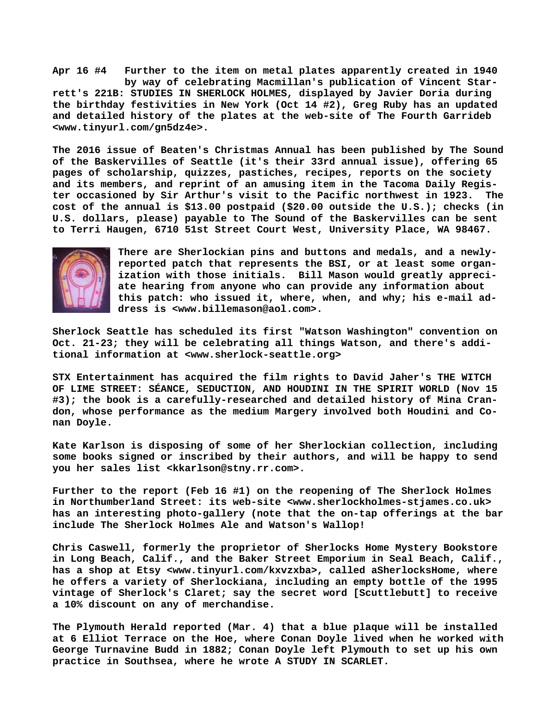**Apr 16 #4 Further to the item on metal plates apparently created in 1940 by way of celebrating Macmillan's publication of Vincent Starrett's 221B: STUDIES IN SHERLOCK HOLMES, displayed by Javier Doria during the birthday festivities in New York (Oct 14 #2), Greg Ruby has an updated and detailed history of the plates at the web-site of The Fourth Garrideb [<www.tinyurl.com/gn5dz4e>.](http://www.tinyurl.com/gn5dz4e)**

**The 2016 issue of Beaten's Christmas Annual has been published by The Sound of the Baskervilles of Seattle (it's their 33rd annual issue), offering 65 pages of scholarship, quizzes, pastiches, recipes, reports on the society and its members, and reprint of an amusing item in the Tacoma Daily Register occasioned by Sir Arthur's visit to the Pacific northwest in 1923. The cost of the annual is \$13.00 postpaid (\$20.00 outside the U.S.); checks (in U.S. dollars, please) payable to The Sound of the Baskervilles can be sent to Terri Haugen, 6710 51st Street Court West, University Place, WA 98467.**



**There are Sherlockian pins and buttons and medals, and a newlyreported patch that represents the BSI, or at least some organization with those initials. Bill Mason would greatly appreciate hearing from anyone who can provide any information about this patch: who issued it, where, when, and why; his e-mail address is <[www.billemason@aol.com>.](http://www.billemason@aol.com)**

**Sherlock Seattle has scheduled its first "Watson Washington" convention on Oct. 21-23; they will be celebrating all things Watson, and there's additional information at [<www.sherlock-seattle.org>](http://www.sherlock-seattle.org)**

**STX Entertainment has acquired the film rights to David Jaher's THE WITCH OF LIME STREET: SÉANCE, SEDUCTION, AND HOUDINI IN THE SPIRIT WORLD (Nov 15 #3); the book is a carefully-researched and detailed history of Mina Crandon, whose performance as the medium Margery involved both Houdini and Conan Doyle.**

**Kate Karlson is disposing of some of her Sherlockian collection, including some books signed or inscribed by their authors, and will be happy to send you her sales list <[kkarlson@stny.rr.com>.](mailto:kkarlson@stny.rr.com)**

**Further to the report (Feb 16 #1) on the reopening of The Sherlock Holmes in Northumberland Street: its web-site <[www.sherlockholmes-stjames.co.uk>](http://www.sherlockholmes-stjames.co.uk) has an interesting photo-gallery (note that the on-tap offerings at the bar include The Sherlock Holmes Ale and Watson's Wallop!**

**Chris Caswell, formerly the proprietor of Sherlocks Home Mystery Bookstore in Long Beach, Calif., and the Baker Street Emporium in Seal Beach, Calif., has a shop at Etsy <[www.tinyurl.com/kxvzxba>, c](http://www.tinyurl.com/kxvzxba)alled aSherlocksHome, where he offers a variety of Sherlockiana, including an empty bottle of the 1995 vintage of Sherlock's Claret; say the secret word [Scuttlebutt] to receive a 10% discount on any of merchandise.**

**The Plymouth Herald reported (Mar. 4) that a blue plaque will be installed at 6 Elliot Terrace on the Hoe, where Conan Doyle lived when he worked with George Turnavine Budd in 1882; Conan Doyle left Plymouth to set up his own practice in Southsea, where he wrote A STUDY IN SCARLET.**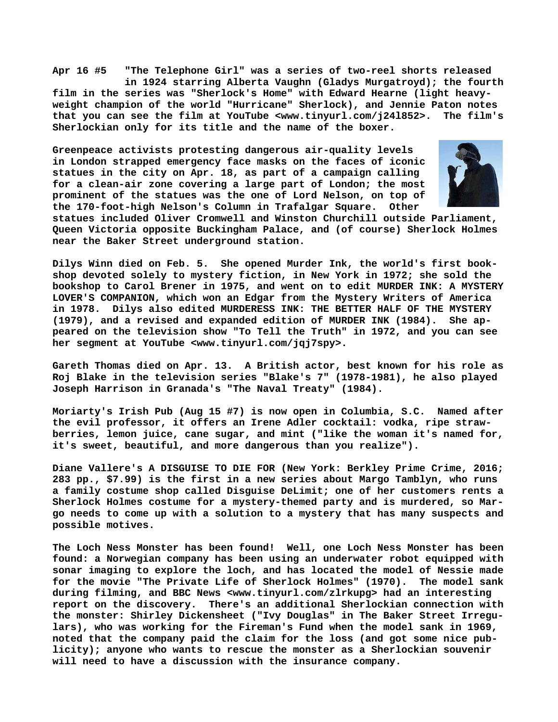**Apr 16 #5 "The Telephone Girl" was a series of two-reel shorts released in 1924 starring Alberta Vaughn (Gladys Murgatroyd); the fourth film in the series was "Sherlock's Home" with Edward Hearne (light heavyweight champion of the world "Hurricane" Sherlock), and Jennie Paton notes that you can see the film at YouTube [<www.tinyurl.com/j24l852>.](http://www.tinyurl.com/j24l852) The film's Sherlockian only for its title and the name of the boxer.**

**Greenpeace activists protesting dangerous air-quality levels in London strapped emergency face masks on the faces of iconic statues in the city on Apr. 18, as part of a campaign calling for a clean-air zone covering a large part of London; the most prominent of the statues was the one of Lord Nelson, on top of the 170-foot-high Nelson's Column in Trafalgar Square. Other**



**statues included Oliver Cromwell and Winston Churchill outside Parliament, Queen Victoria opposite Buckingham Palace, and (of course) Sherlock Holmes near the Baker Street underground station.**

**Dilys Winn died on Feb. 5. She opened Murder Ink, the world's first bookshop devoted solely to mystery fiction, in New York in 1972; she sold the bookshop to Carol Brener in 1975, and went on to edit MURDER INK: A MYSTERY LOVER'S COMPANION, which won an Edgar from the Mystery Writers of America in 1978. Dilys also edited MURDERESS INK: THE BETTER HALF OF THE MYSTERY (1979), and a revised and expanded edition of MURDER INK (1984). She appeared on the television show "To Tell the Truth" in 1972, and you can see her segment at YouTube [<www.tinyurl.com/jqj7spy>.](http://www.tinyurl.com/jqj7spy)**

**Gareth Thomas died on Apr. 13. A British actor, best known for his role as Roj Blake in the television series "Blake's 7" (1978-1981), he also played Joseph Harrison in Granada's "The Naval Treaty" (1984).**

**Moriarty's Irish Pub (Aug 15 #7) is now open in Columbia, S.C. Named after the evil professor, it offers an Irene Adler cocktail: vodka, ripe strawberries, lemon juice, cane sugar, and mint ("like the woman it's named for, it's sweet, beautiful, and more dangerous than you realize").**

**Diane Vallere's A DISGUISE TO DIE FOR (New York: Berkley Prime Crime, 2016; 283 pp., \$7.99) is the first in a new series about Margo Tamblyn, who runs a family costume shop called Disguise DeLimit; one of her customers rents a Sherlock Holmes costume for a mystery-themed party and is murdered, so Margo needs to come up with a solution to a mystery that has many suspects and possible motives.**

**The Loch Ness Monster has been found! Well, one Loch Ness Monster has been found: a Norwegian company has been using an underwater robot equipped with sonar imaging to explore the loch, and has located the model of Nessie made for the movie "The Private Life of Sherlock Holmes" (1970). The model sank during filming, and BBC News <[www.tinyurl.com/zlrkupg> h](http://www.tinyurl.com/zlrkupg)ad an interesting report on the discovery. There's an additional Sherlockian connection with the monster: Shirley Dickensheet ("Ivy Douglas" in The Baker Street Irregulars), who was working for the Fireman's Fund when the model sank in 1969, noted that the company paid the claim for the loss (and got some nice publicity); anyone who wants to rescue the monster as a Sherlockian souvenir will need to have a discussion with the insurance company.**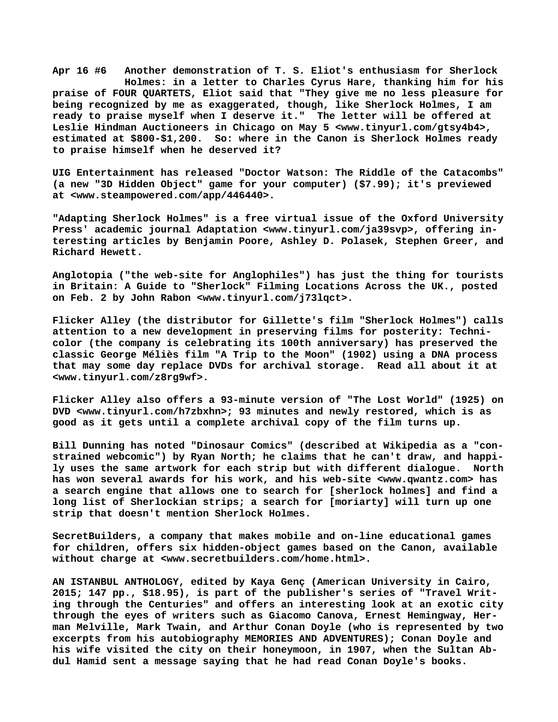**Apr 16 #6 Another demonstration of T. S. Eliot's enthusiasm for Sherlock Holmes: in a letter to Charles Cyrus Hare, thanking him for his praise of FOUR QUARTETS, Eliot said that "They give me no less pleasure for being recognized by me as exaggerated, though, like Sherlock Holmes, I am ready to praise myself when I deserve it." The letter will be offered at Leslie Hindman Auctioneers in Chicago on May 5 [<www.tinyurl.com/gtsy4b4>,](http://www.tinyurl.com/gtsy4b4) estimated at \$800-\$1,200. So: where in the Canon is Sherlock Holmes ready to praise himself when he deserved it?**

**UIG Entertainment has released "Doctor Watson: The Riddle of the Catacombs" (a new "3D Hidden Object" game for your computer) (\$7.99); it's previewed at [<www.steampowered.com/app/446440>.](http://www.steampowered.com/app/446440)**

**"Adapting Sherlock Holmes" is a free virtual issue of the Oxford University** Press' academic journal Adaptation [<www.tinyurl.com/ja39svp>, o](http://www.tinyurl.com/ja39svp)ffering in**teresting articles by Benjamin Poore, Ashley D. Polasek, Stephen Greer, and Richard Hewett.**

**Anglotopia ("the web-site for Anglophiles") has just the thing for tourists in Britain: A Guide to "Sherlock" Filming Locations Across the UK., posted on Feb. 2 by John Rabon <[www.tinyurl.com/j73lqct>.](http://www.tinyurl.com/j73lqct)**

**Flicker Alley (the distributor for Gillette's film "Sherlock Holmes") calls attention to a new development in preserving films for posterity: Technicolor (the company is celebrating its 100th anniversary) has preserved the classic George Méliès film "A Trip to the Moon" (1902) using a DNA process that may some day replace DVDs for archival storage. Read all about it at [<www.tinyurl.com/z8rg9wf>.](http://www.tinyurl.com/z8rg9wf)** 

**Flicker Alley also offers a 93-minute version of "The Lost World" (1925) on DVD <[www.tinyurl.com/h7zbxhn>; 9](http://www.tinyurl.com/h7zbxhn)3 minutes and newly restored, which is as good as it gets until a complete archival copy of the film turns up.**

**Bill Dunning has noted "Dinosaur Comics" (described at Wikipedia as a "constrained webcomic") by Ryan North; he claims that he can't draw, and happily uses the same artwork for each strip but with different dialogue. North has won several awards for his work, and his web-site <[www.qwantz.com> h](http://www.qwantz.com)as a search engine that allows one to search for [sherlock holmes] and find a long list of Sherlockian strips; a search for [moriarty] will turn up one strip that doesn't mention Sherlock Holmes.**

**SecretBuilders, a company that makes mobile and on-line educational games for children, offers six hidden-object games based on the Canon, available without charge at [<www.secretbuilders.com/home.html>.](http://www.secretbuilders.com/home.html)**

**AN ISTANBUL ANTHOLOGY, edited by Kaya Genç (American University in Cairo, 2015; 147 pp., \$18.95), is part of the publisher's series of "Travel Writing through the Centuries" and offers an interesting look at an exotic city through the eyes of writers such as Giacomo Canova, Ernest Hemingway, Herman Melville, Mark Twain, and Arthur Conan Doyle (who is represented by two excerpts from his autobiography MEMORIES AND ADVENTURES); Conan Doyle and his wife visited the city on their honeymoon, in 1907, when the Sultan Abdul Hamid sent a message saying that he had read Conan Doyle's books.**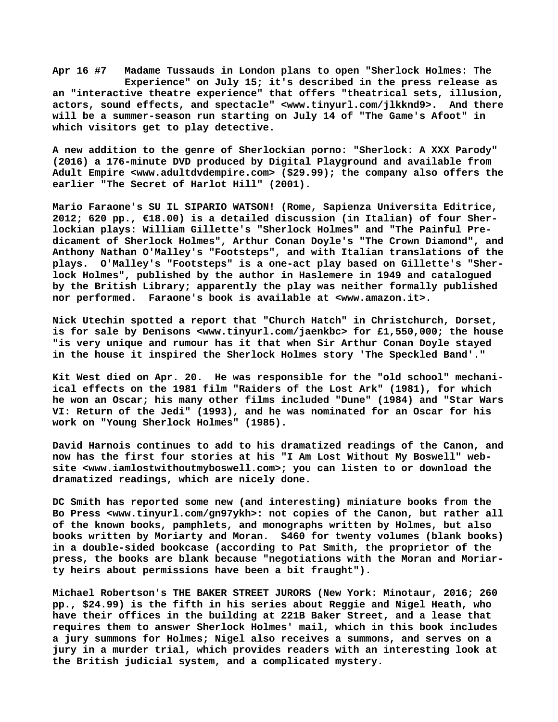**Apr 16 #7 Madame Tussauds in London plans to open "Sherlock Holmes: The Experience" on July 15; it's described in the press release as an "interactive theatre experience" that offers "theatrical sets, illusion, actors, sound effects, and spectacle" [<www.tinyurl.com/jlkknd9>.](http://www.tinyurl.com/jlkknd9) And there will be a summer-season run starting on July 14 of "The Game's Afoot" in which visitors get to play detective.**

**A new addition to the genre of Sherlockian porno: "Sherlock: A XXX Parody" (2016) a 176-minute DVD produced by Digital Playground and available from Adult Empire [<www.adultdvdempire.com> \(](http://www.adultdvdempire.com)\$29.99); the company also offers the earlier "The Secret of Harlot Hill" (2001).** 

**Mario Faraone's SU IL SIPARIO WATSON! (Rome, Sapienza Universita Editrice, 2012; 620 pp., €18.00) is a detailed discussion (in Italian) of four Sherlockian plays: William Gillette's "Sherlock Holmes" and "The Painful Predicament of Sherlock Holmes", Arthur Conan Doyle's "The Crown Diamond", and Anthony Nathan O'Malley's "Footsteps", and with Italian translations of the plays. O'Malley's "Footsteps" is a one-act play based on Gillette's "Sherlock Holmes", published by the author in Haslemere in 1949 and catalogued by the British Library; apparently the play was neither formally published nor performed. Faraone's book is available at [<www.amazon.it>.](http://www.amazon.it)**

**Nick Utechin spotted a report that "Church Hatch" in Christchurch, Dorset, is for sale by Denisons <[www.tinyurl.com/jaenkbc> f](http://www.tinyurl.com/jaenkbc)or £1,550,000; the house "is very unique and rumour has it that when Sir Arthur Conan Doyle stayed in the house it inspired the Sherlock Holmes story 'The Speckled Band'."**

**Kit West died on Apr. 20. He was responsible for the "old school" mechaniical effects on the 1981 film "Raiders of the Lost Ark" (1981), for which he won an Oscar; his many other films included "Dune" (1984) and "Star Wars VI: Return of the Jedi" (1993), and he was nominated for an Oscar for his work on "Young Sherlock Holmes" (1985).**

**David Harnois continues to add to his dramatized readings of the Canon, and now has the first four stories at his "I Am Lost Without My Boswell" website [<www.iamlostwithoutmyboswell.com>; y](http://www.iamlostwithoutmyboswell.com)ou can listen to or download the dramatized readings, which are nicely done.** 

**DC Smith has reported some new (and interesting) miniature books from the Bo Press <[www.tinyurl.com/gn97ykh>: n](http://www.tinyurl.com/gn97ykh>:)ot copies of the Canon, but rather all of the known books, pamphlets, and monographs written by Holmes, but also books written by Moriarty and Moran. \$460 for twenty volumes (blank books) in a double-sided bookcase (according to Pat Smith, the proprietor of the press, the books are blank because "negotiations with the Moran and Moriarty heirs about permissions have been a bit fraught").**

**Michael Robertson's THE BAKER STREET JURORS (New York: Minotaur, 2016; 260 pp., \$24.99) is the fifth in his series about Reggie and Nigel Heath, who have their offices in the building at 221B Baker Street, and a lease that requires them to answer Sherlock Holmes' mail, which in this book includes a jury summons for Holmes; Nigel also receives a summons, and serves on a jury in a murder trial, which provides readers with an interesting look at the British judicial system, and a complicated mystery.**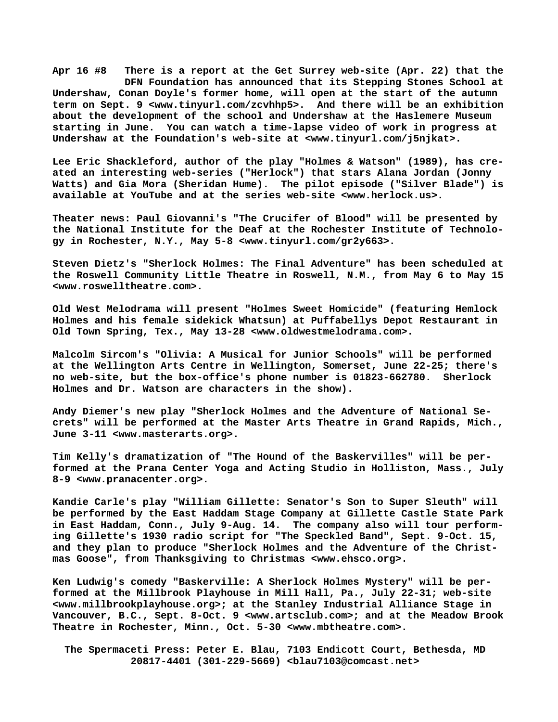**Apr 16 #8 There is a report at the Get Surrey web-site (Apr. 22) that the DFN Foundation has announced that its Stepping Stones School at Undershaw, Conan Doyle's former home, will open at the start of the autumn term on Sept. 9 <[www.tinyurl.com/zcvhhp5>.](http://www.tinyurl.com/zcvhhp5) And there will be an exhibition about the development of the school and Undershaw at the Haslemere Museum starting in June. You can watch a time-lapse video of work in progress at Undershaw at the Foundation's web-site at [<www.tinyurl.com/j5njkat>.](http://www.tinyurl.com/j5njkat)**

**Lee Eric Shackleford, author of the play "Holmes & Watson" (1989), has created an interesting web-series ("Herlock") that stars Alana Jordan (Jonny Watts) and Gia Mora (Sheridan Hume). The pilot episode ("Silver Blade") is available at YouTube and at the series web-site [<www.herlock.us>.](http://www.herlock.us)**

**Theater [news: Paul G](news:Paul)iovanni's "The Crucifer of Blood" will be presented by the National Institute for the Deaf at the Rochester Institute of Technology in Rochester, N.Y., May 5-8 <[www.tinyurl.com/gr2y663>.](http://www.tinyurl.com/gr2y663)**

**Steven Dietz's "Sherlock Holmes: The Final Adventure" has been scheduled at the Roswell Community Little Theatre in Roswell, N.M., from May 6 to May 15 [<www.roswelltheatre.com>.](http://www.roswelltheatre.com)**

**Old West Melodrama will present "Holmes Sweet Homicide" (featuring Hemlock Holmes and his female sidekick Whatsun) at Puffabellys Depot Restaurant in Old Town Spring, Tex., May 13-28 [<www.oldwestmelodrama.com>.](http://www.oldwestmelodrama.com)**

**Malcolm Sircom's "Olivia: A Musical for Junior Schools" will be performed at the Wellington Arts Centre in Wellington, Somerset, June 22-25; there's no web-site, but the box-office's phone number is 01823-662780. Sherlock Holmes and Dr. Watson are characters in the show).**

**Andy Diemer's new play "Sherlock Holmes and the Adventure of National Secrets" will be performed at the Master Arts Theatre in Grand Rapids, Mich., June 3-11 [<www.masterarts.org>.](http://www.masterarts.org)**

**Tim Kelly's dramatization of "The Hound of the Baskervilles" will be performed at the Prana Center Yoga and Acting Studio in Holliston, Mass., July 8-9 <[www.pranacenter.org>.](http://www.pranacenter.org)**

**Kandie Carle's play "William Gillette: Senator's Son to Super Sleuth" will be performed by the East Haddam Stage Company at Gillette Castle State Park in East Haddam, Conn., July 9-Aug. 14. The company also will tour performing Gillette's 1930 radio script for "The Speckled Band", Sept. 9-Oct. 15, and they plan to produce "Sherlock Holmes and the Adventure of the Christmas Goose", from Thanksgiving to Christmas [<www.ehsco.org>.](http://www.ehsco.org)**

**Ken Ludwig's comedy "Baskerville: A Sherlock Holmes Mystery" will be performed at the Millbrook Playhouse in Mill Hall, Pa., July 22-31; web-site [<www.millbrookplayhouse.org>; a](http://www.millbrookplayhouse.org)t the Stanley Industrial Alliance Stage in Vancouver, B.C., Sept. 8-Oct. 9 [<www.artsclub.com>; a](http://www.artsclub.com)nd at the Meadow Brook Theatre in Rochester, Minn., Oct. 5-30 <[www.mbtheatre.com>.](http://www.mbtheatre.com)**

 **The Spermaceti Press: Peter E. Blau, 7103 Endicott Court, Bethesda, MD 20817-4401 (301-229-5669) <[blau7103@comcast.net>](mailto:blau7103@comcast.net)**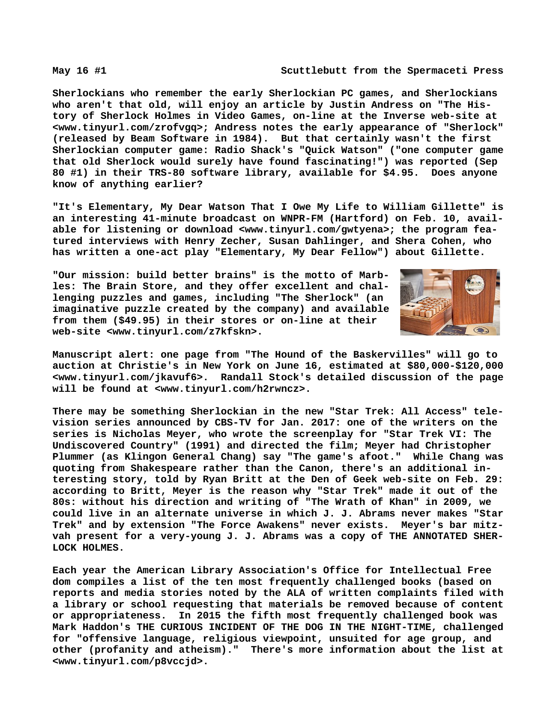**Sherlockians who remember the early Sherlockian PC games, and Sherlockians who aren't that old, will enjoy an article by Justin Andress on "The History of Sherlock Holmes in Video Games, on-line at the Inverse web-site at [<www.tinyurl.com/zrofvgq>; A](http://www.tinyurl.com/zrofvgq)ndress notes the early appearance of "Sherlock" (released by Beam Software in 1984). But that certainly wasn't the first Sherlockian computer game: Radio Shack's "Quick Watson" ("one computer game that old Sherlock would surely have found fascinating!") was reported (Sep 80 #1) in their TRS-80 software library, available for \$4.95. Does anyone know of anything earlier?**

**"It's Elementary, My Dear Watson That I Owe My Life to William Gillette" is an interesting 41-minute broadcast on WNPR-FM (Hartford) on Feb. 10, available for listening or download <[www.tinyurl.com/gwtyena>; t](http://www.tinyurl.com/gwtyena)he program featured interviews with Henry Zecher, Susan Dahlinger, and Shera Cohen, who has written a one-act play "Elementary, My Dear Fellow") about Gillette.**

**"Our mission: build better brains" is the motto of Marbles: The Brain Store, and they offer excellent and challenging puzzles and games, including "The Sherlock" (an imaginative puzzle created by the company) and available from them (\$49.95) in their stores or on-line at their web-site <[www.tinyurl.com/z7kfskn>.](http://www.tinyurl.com/z7kfskn)**



**Manuscript alert: one page from "The Hound of the Baskervilles" will go to auction at Christie's in New York on June 16, estimated at \$80,000-\$120,000 [<www.tinyurl.com/jkavuf6>.](http://www.tinyurl.com/jkavuf6) Randall Stock's detailed discussion of the page will be found at [<www.tinyurl.com/h2rwncz>.](http://www.tinyurl.com/h2rwncz)**

**There may be something Sherlockian in the new "Star Trek: All Access" television series announced by CBS-TV for Jan. 2017: one of the writers on the series is Nicholas Meyer, who wrote the screenplay for "Star Trek VI: The Undiscovered Country" (1991) and directed the film; Meyer had Christopher Plummer (as Klingon General Chang) say "The game's afoot." While Chang was quoting from Shakespeare rather than the Canon, there's an additional interesting story, told by Ryan Britt at the Den of Geek web-site on Feb. 29: according to Britt, Meyer is the reason why "Star Trek" made it out of the 80s: without his direction and writing of "The Wrath of Khan" in 2009, we could live in an alternate universe in which J. J. Abrams never makes "Star Trek" and by extension "The Force Awakens" never exists. Meyer's bar mitzvah present for a very-young J. J. Abrams was a copy of THE ANNOTATED SHER-LOCK HOLMES.**

**Each year the American Library Association's Office for Intellectual Free dom compiles a list of the ten most frequently challenged books (based on reports and media stories noted by the ALA of written complaints filed with a library or school requesting that materials be removed because of content or appropriateness. In 2015 the fifth most frequently challenged book was Mark Haddon's THE CURIOUS INCIDENT OF THE DOG IN THE NIGHT-TIME, challenged for "offensive language, religious viewpoint, unsuited for age group, and other (profanity and atheism)." There's more information about the list at [<www.tinyurl.com/p8vccjd>.](http://www.tinyurl.com/p8vccjd)**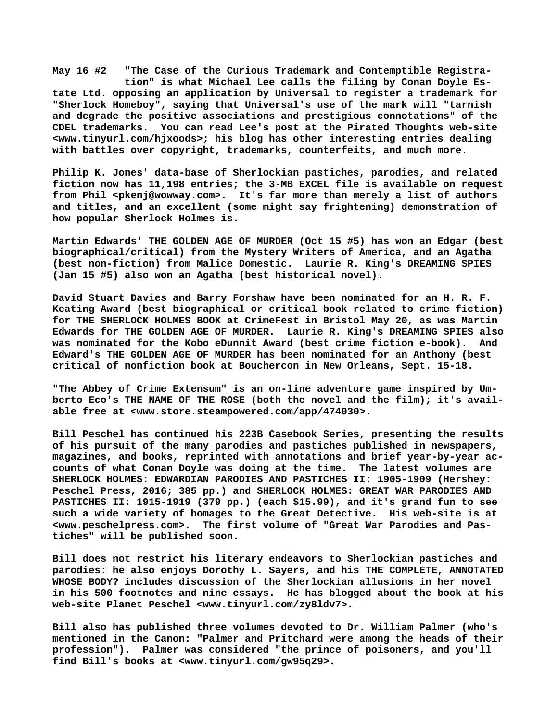**May 16 #2 "The Case of the Curious Trademark and Contemptible Registra tion" is what Michael Lee calls the filing by Conan Doyle Estate Ltd. opposing an application by Universal to register a trademark for "Sherlock Homeboy", saying that Universal's use of the mark will "tarnish and degrade the positive associations and prestigious connotations" of the CDEL trademarks. You can read Lee's post at the Pirated Thoughts web-site [<www.tinyurl.com/hjxoods>; h](http://www.tinyurl.com/hjxoods)is blog has other interesting entries dealing with battles over copyright, trademarks, counterfeits, and much more.**

**Philip K. Jones' data-base of Sherlockian pastiches, parodies, and related fiction now has 11,198 entries; the 3-MB EXCEL file is available on request from Phil [<pkenj@wowway.com>.](mailto:pkenj@wowway.com) It's far more than merely a list of authors and titles, and an excellent (some might say frightening) demonstration of how popular Sherlock Holmes is.**

**Martin Edwards' THE GOLDEN AGE OF MURDER (Oct 15 #5) has won an Edgar (best biographical/critical) from the Mystery Writers of America, and an Agatha (best non-fiction) from Malice Domestic. Laurie R. King's DREAMING SPIES (Jan 15 #5) also won an Agatha (best historical novel).**

**David Stuart Davies and Barry Forshaw have been nominated for an H. R. F. Keating Award (best biographical or critical book related to crime fiction) for THE SHERLOCK HOLMES BOOK at CrimeFest in Bristol May 20, as was Martin Edwards for THE GOLDEN AGE OF MURDER. Laurie R. King's DREAMING SPIES also was nominated for the Kobo eDunnit Award (best crime fiction e-book). And Edward's THE GOLDEN AGE OF MURDER has been nominated for an Anthony (best critical of nonfiction book at Bouchercon in New Orleans, Sept. 15-18.**

**"The Abbey of Crime Extensum" is an on-line adventure game inspired by Umberto Eco's THE NAME OF THE ROSE (both the novel and the film); it's available free at [<www.store.steampowered.com/app/474030>.](http://www.store.steampowered.com/app/474030)**

**Bill Peschel has continued his 223B Casebook Series, presenting the results of his pursuit of the many parodies and pastiches published in newspapers, magazines, and books, reprinted with annotations and brief year-by-year accounts of what Conan Doyle was doing at the time. The latest volumes are SHERLOCK HOLMES: EDWARDIAN PARODIES AND PASTICHES II: 1905-1909 (Hershey: Peschel Press, 2016; 385 pp.) and SHERLOCK HOLMES: GREAT WAR PARODIES AND PASTICHES II: 1915-1919 (379 pp.) (each \$15.99), and it's grand fun to see such a wide variety of homages to the Great Detective. His web-site is at [<www.peschelpress.com>.](http://www.peschelpress.com) The first volume of "Great War Parodies and Pastiches" will be published soon.**

**Bill does not restrict his literary endeavors to Sherlockian pastiches and parodies: he also enjoys Dorothy L. Sayers, and his THE COMPLETE, ANNOTATED WHOSE BODY? includes discussion of the Sherlockian allusions in her novel in his 500 footnotes and nine essays. He has blogged about the book at his web-site Planet Peschel <[www.tinyurl.com/zy8ldv7>.](http://www.tinyurl.com/zy8ldv7)**

**Bill also has published three volumes devoted to Dr. William Palmer (who's mentioned in the Canon: "Palmer and Pritchard were among the heads of their profession"). Palmer was considered "the prince of poisoners, and you'll find Bill's books at <[www.tinyurl.com/gw95q29>.](http://www.tinyurl.com/gw95q29)**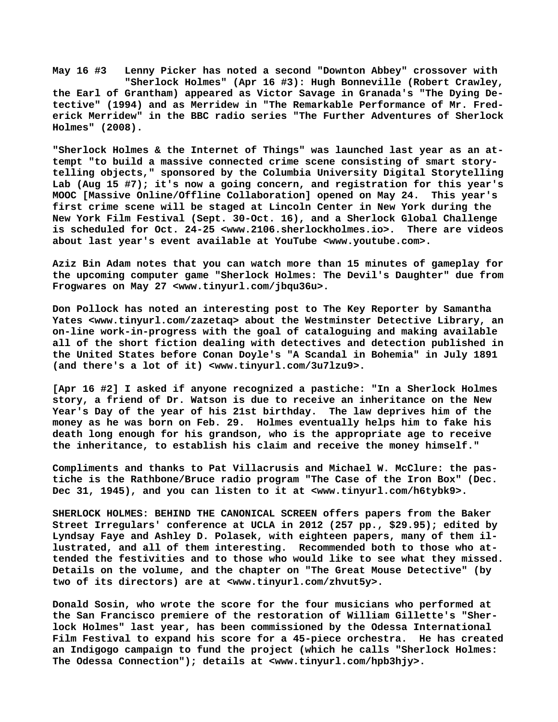**May 16 #3 Lenny Picker has noted a second "Downton Abbey" crossover with "Sherlock Holmes" (Apr 16 #3): Hugh Bonneville (Robert Crawley, the Earl of Grantham) appeared as Victor Savage in Granada's "The Dying Detective" (1994) and as Merridew in "The Remarkable Performance of Mr. Frederick Merridew" in the BBC radio series "The Further Adventures of Sherlock Holmes" (2008).**

**"Sherlock Holmes & the Internet of Things" was launched last year as an attempt "to build a massive connected crime scene consisting of smart storytelling objects," sponsored by the Columbia University Digital Storytelling Lab (Aug 15 #7); it's now a going concern, and registration for this year's MOOC [Massive Online/Offline Collaboration] opened on May 24. This year's first crime scene will be staged at Lincoln Center in New York during the New York Film Festival (Sept. 30-Oct. 16), and a Sherlock Global Challenge is scheduled for Oct. 24-25 [<www.2106.sherlockholmes.io>.](http://www.2106.sherlockholmes.io) There are videos about last year's event available at YouTube [<www.youtube.com>.](http://www.youtube.com)**

**Aziz Bin Adam notes that you can watch more than 15 minutes of gameplay for the upcoming computer game "Sherlock Holmes: The Devil's Daughter" due from Frogwares on May 27 [<www.tinyurl.com/jbqu36u>.](http://www.tinyurl.com/jbqu36u)**

**Don Pollock has noted an interesting post to The Key Reporter by Samantha Yates <[www.tinyurl.com/zazetaq> a](http://www.tinyurl.com/zazetaq)bout the Westminster Detective Library, an on-line work-in-progress with the goal of cataloguing and making available all of the short fiction dealing with detectives and detection published in the United States before Conan Doyle's "A Scandal in Bohemia" in July 1891 (and there's a lot of it) <[www.tinyurl.com/3u7lzu9>.](http://www.tinyurl.com/3u7lzu9)**

**[Apr 16 #2] I asked if anyone recognized a pastiche: "In a Sherlock Holmes story, a friend of Dr. Watson is due to receive an inheritance on the New Year's Day of the year of his 21st birthday. The law deprives him of the money as he was born on Feb. 29. Holmes eventually helps him to fake his death long enough for his grandson, who is the appropriate age to receive the inheritance, to establish his claim and receive the money himself."**

**Compliments and thanks to Pat Villacrusis and Michael W. McClure: the pastiche is the Rathbone/Bruce radio program "The Case of the Iron Box" (Dec. Dec 31, 1945), and you can listen to it at [<www.tinyurl.com/h6tybk9>.](http://www.tinyurl.com/h6tybk9)**

**SHERLOCK HOLMES: BEHIND THE CANONICAL SCREEN offers papers from the Baker Street Irregulars' conference at UCLA in 2012 (257 pp., \$29.95); edited by Lyndsay Faye and Ashley D. Polasek, with eighteen papers, many of them illustrated, and all of them interesting. Recommended both to those who attended the festivities and to those who would like to see what they missed. Details on the volume, and the chapter on "The Great Mouse Detective" (by two of its directors) are at <[www.tinyurl.com/zhvut5y>.](http://www.tinyurl.com/zhvut5y)**

**Donald Sosin, who wrote the score for the four musicians who performed at the San Francisco premiere of the restoration of William Gillette's "Sherlock Holmes" last year, has been commissioned by the Odessa International Film Festival to expand his score for a 45-piece orchestra. He has created an Indigogo campaign to fund the project (which he calls "Sherlock Holmes: The Odessa Connection"); details at <[www.tinyurl.com/hpb3hjy>.](http://www.tinyurl.com/hpb3hjy)**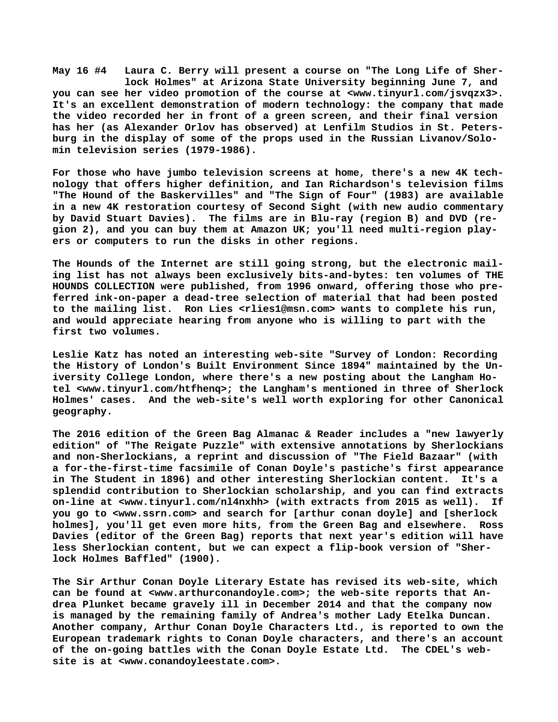**May 16 #4 Laura C. Berry will present a course on "The Long Life of Sher lock Holmes" at Arizona State University beginning June 7, and you can see her video promotion of the course at <[www.tinyurl.com/jsvqzx3>.](http://www.tinyurl.com/jsvqzx3)  It's an excellent demonstration of modern technology: the company that made the video recorded her in front of a green screen, and their final version has her (as Alexander Orlov has observed) at Lenfilm Studios in St. Petersburg in the display of some of the props used in the Russian Livanov/Solomin television series (1979-1986).**

**For those who have jumbo television screens at home, there's a new 4K technology that offers higher definition, and Ian Richardson's television films "The Hound of the Baskervilles" and "The Sign of Four" (1983) are available in a new 4K restoration courtesy of Second Sight (with new audio commentary by David Stuart Davies). The films are in Blu-ray (region B) and DVD (region 2), and you can buy them at Amazon UK; you'll need multi-region players or computers to run the disks in other regions.**

**The Hounds of the Internet are still going strong, but the electronic mailing list has not always been exclusively bits-and-bytes: ten volumes of THE HOUNDS COLLECTION were published, from 1996 onward, offering those who preferred ink-on-paper a dead-tree selection of material that had been posted to the mailing list. Ron Lies <[rlies1@msn.com> w](mailto:rlies1@msn.com)ants to complete his run, and would appreciate hearing from anyone who is willing to part with the first two volumes.**

**Leslie Katz has noted an interesting web-site "Survey of London: Recording the History of London's Built Environment Since 1894" maintained by the University College London, where there's a new posting about the Langham Hotel <[www.tinyurl.com/htfhenq>; t](http://www.tinyurl.com/htfhenq)he Langham's mentioned in three of Sherlock Holmes' cases. And the web-site's well worth exploring for other Canonical geography.**

**The 2016 edition of the Green Bag Almanac & Reader includes a "new lawyerly edition" of "The Reigate Puzzle" with extensive annotations by Sherlockians and non-Sherlockians, a reprint and discussion of "The Field Bazaar" (with a for-the-first-time facsimile of Conan Doyle's pastiche's first appearance in The Student in 1896) and other interesting Sherlockian content. It's a splendid contribution to Sherlockian scholarship, and you can find extracts on-line at <[www.tinyurl.com/nl4nxhh> \(](http://www.tinyurl.com/nl4nxhh)with extracts from 2015 as well). If you go to [<www.ssrn.com> a](http://www.ssrn.com)nd search for [arthur conan doyle] and [sherlock holmes], you'll get even more hits, from the Green Bag and elsewhere. Ross Davies (editor of the Green Bag) reports that next year's edition will have less Sherlockian content, but we can expect a flip-book version of "Sherlock Holmes Baffled" (1900).**

**The Sir Arthur Conan Doyle Literary Estate has revised its web-site, which can be found at <[www.arthurconandoyle.com>; t](http://www.arthurconandoyle.com)he web-site reports that Andrea Plunket became gravely ill in December 2014 and that the company now is managed by the remaining family of Andrea's mother Lady Etelka Duncan. Another company, Arthur Conan Doyle Characters Ltd., is reported to own the European trademark rights to Conan Doyle characters, and there's an account of the on-going battles with the Conan Doyle Estate Ltd. The CDEL's website is at <[www.conandoyleestate.com>.](http://www.conandoyleestate.com)**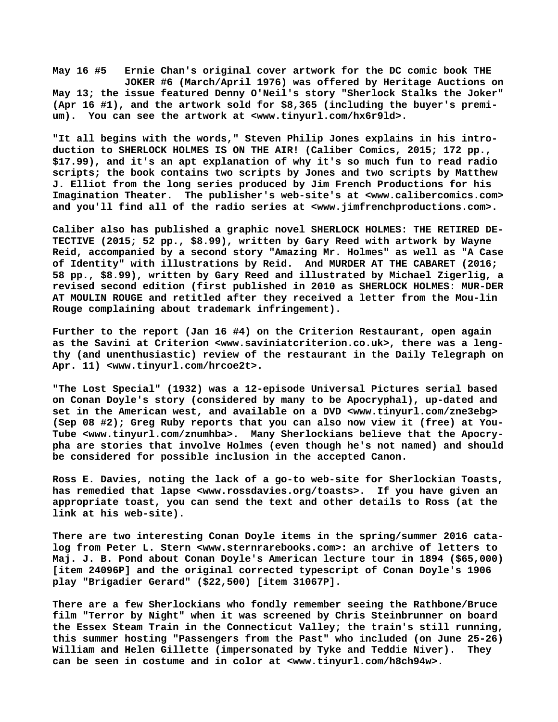**May 16 #5 Ernie Chan's original cover artwork for the DC comic book THE JOKER #6 (March/April 1976) was offered by Heritage Auctions on May 13; the issue featured Denny O'Neil's story "Sherlock Stalks the Joker" (Apr 16 #1), and the artwork sold for \$8,365 (including the buyer's premium). You can see the artwork at [<www.tinyurl.com/hx6r9ld>.](http://www.tinyurl.com/hx6r9ld)**

**"It all begins with the words," Steven Philip Jones explains in his introduction to SHERLOCK HOLMES IS ON THE AIR! (Caliber Comics, 2015; 172 pp., \$17.99), and it's an apt explanation of why it's so much fun to read radio scripts; the book contains two scripts by Jones and two scripts by Matthew J. Elliot from the long series produced by Jim French Productions for his Imagination Theater. The publisher's web-site's at [<www.calibercomics.com>](http://www.calibercomics.com) and you'll find all of the radio series at [<www.jimfrenchproductions.com>.](http://www.jimfrenchproductions.com)**

**Caliber also has published a graphic novel SHERLOCK HOLMES: THE RETIRED DE-TECTIVE (2015; 52 pp., \$8.99), written by Gary Reed with artwork by Wayne Reid, accompanied by a second story "Amazing Mr. Holmes" as well as "A Case of Identity" with illustrations by Reid. And MURDER AT THE CABARET (2016; 58 pp., \$8.99), written by Gary Reed and illustrated by Michael Zigerlig, a revised second edition (first published in 2010 as SHERLOCK HOLMES: MUR-DER AT MOULIN ROUGE and retitled after they received a letter from the Mou-lin Rouge complaining about trademark infringement).**

**Further to the report (Jan 16 #4) on the Criterion Restaurant, open again as the Savini at Criterion [<www.saviniatcriterion.co.uk>, t](http://www.saviniatcriterion.co.uk)here was a lengthy (and unenthusiastic) review of the restaurant in the Daily Telegraph on Apr. 11) <[www.tinyurl.com/hrcoe2t>.](http://www.tinyurl.com/hrcoe2t)**

**"The Lost Special" (1932) was a 12-episode Universal Pictures serial based on Conan Doyle's story (considered by many to be Apocryphal), up-dated and set in the American west, and available on a DVD <[www.tinyurl.com/zne3ebg>](http://www.tinyurl.com/zne3ebg) (Sep 08 #2); Greg Ruby reports that you can also now view it (free) at You-Tube [<www.tinyurl.com/znumhba>.](http://www.tinyurl.com/znumhba) Many Sherlockians believe that the Apocrypha are stories that involve Holmes (even though he's not named) and should be considered for possible inclusion in the accepted Canon.**

**Ross E. Davies, noting the lack of a go-to web-site for Sherlockian Toasts, has remedied that lapse <[www.rossdavies.org/toasts>.](http://www.rossdavies.org/toasts) If you have given an appropriate toast, you can send the text and other details to Ross (at the link at his web-site).**

**There are two interesting Conan Doyle items in the spring/summer 2016 catalog from Peter L. Stern <[www.sternrarebooks.com>: a](http://www.sternrarebooks.com>:)n archive of letters to Maj. J. B. Pond about Conan Doyle's American lecture tour in 1894 (\$65,000) [item 24096P] and the original corrected typescript of Conan Doyle's 1906 play "Brigadier Gerard" (\$22,500) [item 31067P].**

**There are a few Sherlockians who fondly remember seeing the Rathbone/Bruce film "Terror by Night" when it was screened by Chris Steinbrunner on board the Essex Steam Train in the Connecticut Valley; the train's still running, this summer hosting "Passengers from the Past" who included (on June 25-26) William and Helen Gillette (impersonated by Tyke and Teddie Niver). They can be seen in costume and in color at <[www.tinyurl.com/h8ch94w>.](http://www.tinyurl.com/h8ch94w)**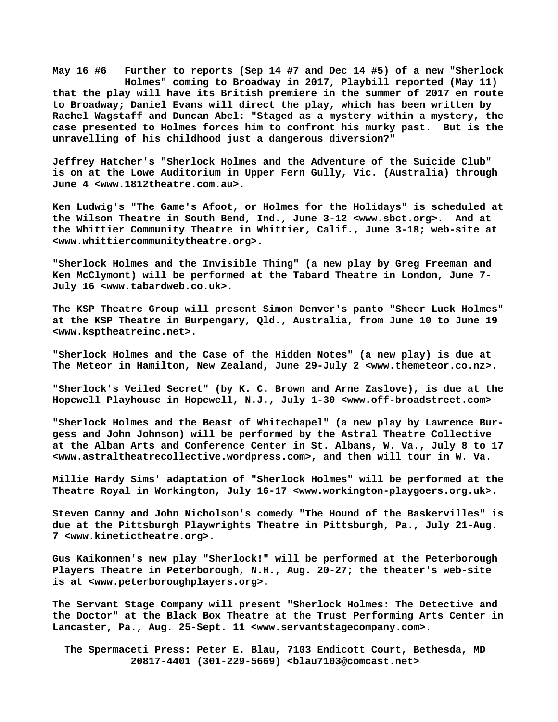**May 16 #6 Further to reports (Sep 14 #7 and Dec 14 #5) of a new "Sherlock Holmes" coming to Broadway in 2017, Playbill reported (May 11) that the play will have its British premiere in the summer of 2017 en route to Broadway; Daniel Evans will direct the play, which has been written by Rachel Wagstaff and Duncan Abel: "Staged as a mystery within a mystery, the case presented to Holmes forces him to confront his murky past. But is the unravelling of his childhood just a dangerous diversion?"**

**Jeffrey Hatcher's "Sherlock Holmes and the Adventure of the Suicide Club" is on at the Lowe Auditorium in Upper Fern Gully, Vic. (Australia) through June 4 [<www.1812theatre.com.au>.](http://www.1812theatre.com.au)**

**Ken Ludwig's "The Game's Afoot, or Holmes for the Holidays" is scheduled at the Wilson Theatre in South Bend, Ind., June 3-12 [<www.sbct.org>.](http://www.sbct.org) And at the Whittier Community Theatre in Whittier, Calif., June 3-18; web-site at [<www.whittiercommunitytheatre.org>.](http://www.whittiercommunitytheatre.org)**

**"Sherlock Holmes and the Invisible Thing" (a new play by Greg Freeman and Ken McClymont) will be performed at the Tabard Theatre in London, June 7- July 16 [<www.tabardweb.co.uk>.](http://www.tabardweb.co.uk)**

**The KSP Theatre Group will present Simon Denver's panto "Sheer Luck Holmes" at the KSP Theatre in Burpengary, Qld., Australia, from June 10 to June 19 [<www.ksptheatreinc.net>.](http://www.ksptheatreinc.net)**

**"Sherlock Holmes and the Case of the Hidden Notes" (a new play) is due at The Meteor in Hamilton, New Zealand, June 29-July 2 [<www.themeteor.co.nz>.](http://www.themeteor.co.nz)**

**"Sherlock's Veiled Secret" (by K. C. Brown and Arne Zaslove), is due at the Hopewell Playhouse in Hopewell, N.J., July 1-30 [<www.off-broadstreet.com>](http://www.off-broadstreet.com)**

**"Sherlock Holmes and the Beast of Whitechapel" (a new play by Lawrence Burgess and John Johnson) will be performed by the Astral Theatre Collective at the Alban Arts and Conference Center in St. Albans, W. Va., July 8 to 17 [<www.astraltheatrecollective.wordpress.com>, a](http://www.astraltheatrecollective.wordpress.com)nd then will tour in W. Va.**

**Millie Hardy Sims' adaptation of "Sherlock Holmes" will be performed at the Theatre Royal in Workington, July 16-17 [<www.workington-playgoers.org.uk>.](http://www.workington-playgoers.org.uk)**

**Steven Canny and John Nicholson's comedy "The Hound of the Baskervilles" is due at the Pittsburgh Playwrights Theatre in Pittsburgh, Pa., July 21-Aug. 7 [<www.kinetictheatre.org>.](http://www.kinetictheatre.org)**

**Gus Kaikonnen's new play "Sherlock!" will be performed at the Peterborough Players Theatre in Peterborough, N.H., Aug. 20-27; the theater's web-site is at <[www.peterboroughplayers.org>.](http://www.peterboroughplayers.org)**

**The Servant Stage Company will present "Sherlock Holmes: The Detective and the Doctor" at the Black Box Theatre at the Trust Performing Arts Center in Lancaster, Pa., Aug. 25-Sept. 11 [<www.servantstagecompany.com>.](http://www.servantstagecompany.com)**

 **The Spermaceti Press: Peter E. Blau, 7103 Endicott Court, Bethesda, MD 20817-4401 (301-229-5669) <[blau7103@comcast.net>](mailto:blau7103@comcast.net)**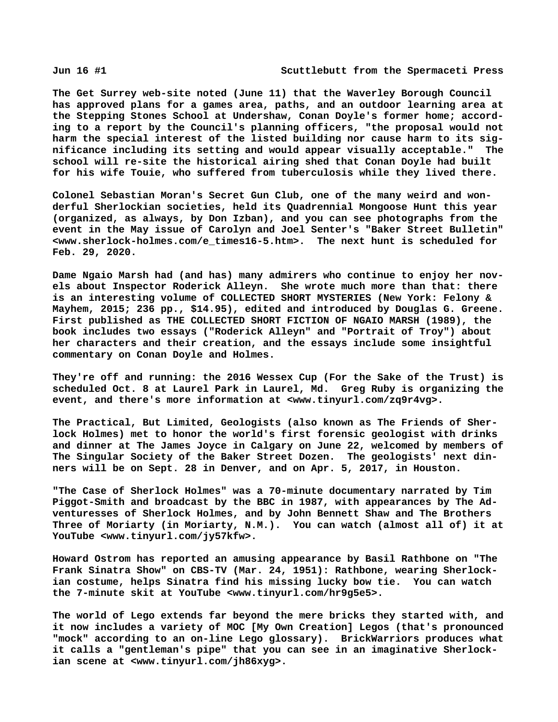**The Get Surrey web-site noted (June 11) that the Waverley Borough Council has approved plans for a games area, paths, and an outdoor learning area at the Stepping Stones School at Undershaw, Conan Doyle's former home; according to a report by the Council's planning officers, "the proposal would not harm the special interest of the listed building nor cause harm to its significance including its setting and would appear visually acceptable." The school will re-site the historical airing shed that Conan Doyle had built for his wife Touie, who suffered from tuberculosis while they lived there.**

**Colonel Sebastian Moran's Secret Gun Club, one of the many weird and wonderful Sherlockian societies, held its Quadrennial Mongoose Hunt this year (organized, as always, by Don Izban), and you can see photographs from the event in the May issue of Carolyn and Joel Senter's "Baker Street Bulletin" [<www.sherlock-holmes.com/e\\_times16-5.htm>.](http://www.sherlock-holmes.com/e_times16-5.htm) The next hunt is scheduled for Feb. 29, 2020.**

**Dame Ngaio Marsh had (and has) many admirers who continue to enjoy her novels about Inspector Roderick Alleyn. She wrote much more than that: there is an interesting volume of COLLECTED SHORT MYSTERIES (New York: Felony & Mayhem, 2015; 236 pp., \$14.95), edited and introduced by Douglas G. Greene. First published as THE COLLECTED SHORT FICTION OF NGAIO MARSH (1989), the book includes two essays ("Roderick Alleyn" and "Portrait of Troy") about her characters and their creation, and the essays include some insightful commentary on Conan Doyle and Holmes.**

**They're off and running: the 2016 Wessex Cup (For the Sake of the Trust) is scheduled Oct. 8 at Laurel Park in Laurel, Md. Greg Ruby is organizing the event, and there's more information at <[www.tinyurl.com/zq9r4vg>.](http://www.tinyurl.com/zq9r4vg)**

**The Practical, But Limited, Geologists (also known as The Friends of Sherlock Holmes) met to honor the world's first forensic geologist with drinks and dinner at The James Joyce in Calgary on June 22, welcomed by members of The Singular Society of the Baker Street Dozen. The geologists' next dinners will be on Sept. 28 in Denver, and on Apr. 5, 2017, in Houston.**

**"The Case of Sherlock Holmes" was a 70-minute documentary narrated by Tim Piggot-Smith and broadcast by the BBC in 1987, with appearances by The Adventuresses of Sherlock Holmes, and by John Bennett Shaw and The Brothers Three of Moriarty (in Moriarty, N.M.). You can watch (almost all of) it at YouTube [<www.tinyurl.com/jy57kfw>.](http://www.tinyurl.com/jy57kfw)**

**Howard Ostrom has reported an amusing appearance by Basil Rathbone on "The Frank Sinatra Show" on CBS-TV (Mar. 24, 1951): Rathbone, wearing Sherlockian costume, helps Sinatra find his missing lucky bow tie. You can watch the 7-minute skit at YouTube <[www.tinyurl.com/hr9g5e5>.](http://www.tinyurl.com/hr9g5e5)**

**The world of Lego extends far beyond the mere bricks they started with, and it now includes a variety of MOC [My Own Creation] Legos (that's pronounced "mock" according to an on-line Lego glossary). BrickWarriors produces what it calls a "gentleman's pipe" that you can see in an imaginative Sherlockian scene at [<www.tinyurl.com/jh86xyg>.](http://www.tinyurl.com/jh86xyg)**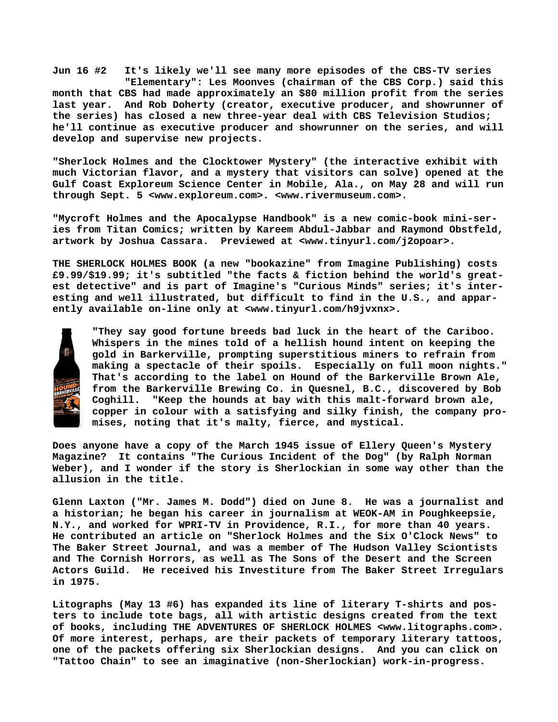**Jun 16 #2 It's likely we'll see many more episodes of the CBS-TV series "Elementary": Les Moonves (chairman of the CBS Corp.) said this month that CBS had made approximately an \$80 million profit from the series last year. And Rob Doherty (creator, executive producer, and showrunner of the series) has closed a new three-year deal with CBS Television Studios; he'll continue as executive producer and showrunner on the series, and will develop and supervise new projects.**

**"Sherlock Holmes and the Clocktower Mystery" (the interactive exhibit with much Victorian flavor, and a mystery that visitors can solve) opened at the Gulf Coast Exploreum Science Center in Mobile, Ala., on May 28 and will run through Sept. 5 <[www.exploreum.com>. <](http://www.exploreum.com)[www.rivermuseum.com>.](http://www.rivermuseum.com)**

**"Mycroft Holmes and the Apocalypse Handbook" is a new comic-book mini-series from Titan Comics; written by Kareem Abdul-Jabbar and Raymond Obstfeld, artwork by Joshua Cassara. Previewed at <[www.tinyurl.com/j2opoar>.](http://www.tinyurl.com/j2opoar)**

**THE SHERLOCK HOLMES BOOK (a new "bookazine" from Imagine Publishing) costs £9.99/\$19.99; it's subtitled "the facts & fiction behind the world's greatest detective" and is part of Imagine's "Curious Minds" series; it's interesting and well illustrated, but difficult to find in the U.S., and apparently available on-line only at [<www.tinyurl.com/h9jvxnx>.](http://www.tinyurl.com/h9jvxnx)**



**"They say good fortune breeds bad luck in the heart of the Cariboo. Whispers in the mines told of a hellish hound intent on keeping the gold in Barkerville, prompting superstitious miners to refrain from making a spectacle of their spoils. Especially on full moon nights." That's according to the label on Hound of the Barkerville Brown Ale, from the Barkerville Brewing Co. in Quesnel, B.C., discovered by Bob Coghill. "Keep the hounds at bay with this malt-forward brown ale, copper in colour with a satisfying and silky finish, the company promises, noting that it's malty, fierce, and mystical.**

**Does anyone have a copy of the March 1945 issue of Ellery Queen's Mystery Magazine? It contains "The Curious Incident of the Dog" (by Ralph Norman Weber), and I wonder if the story is Sherlockian in some way other than the allusion in the title.**

**Glenn Laxton ("Mr. James M. Dodd") died on June 8. He was a journalist and a historian; he began his career in journalism at WEOK-AM in Poughkeepsie, N.Y., and worked for WPRI-TV in Providence, R.I., for more than 40 years. He contributed an article on "Sherlock Holmes and the Six O'Clock News" to The Baker Street Journal, and was a member of The Hudson Valley Sciontists and The Cornish Horrors, as well as The Sons of the Desert and the Screen Actors Guild. He received his Investiture from The Baker Street Irregulars in 1975.**

**Litographs (May 13 #6) has expanded its line of literary T-shirts and posters to include tote bags, all with artistic designs created from the text of books, including THE ADVENTURES OF SHERLOCK HOLMES <[www.litographs.com>.](http://www.litographs.com)  Of more interest, perhaps, are their packets of temporary literary tattoos, one of the packets offering six Sherlockian designs. And you can click on "Tattoo Chain" to see an imaginative (non-Sherlockian) work-in-progress.**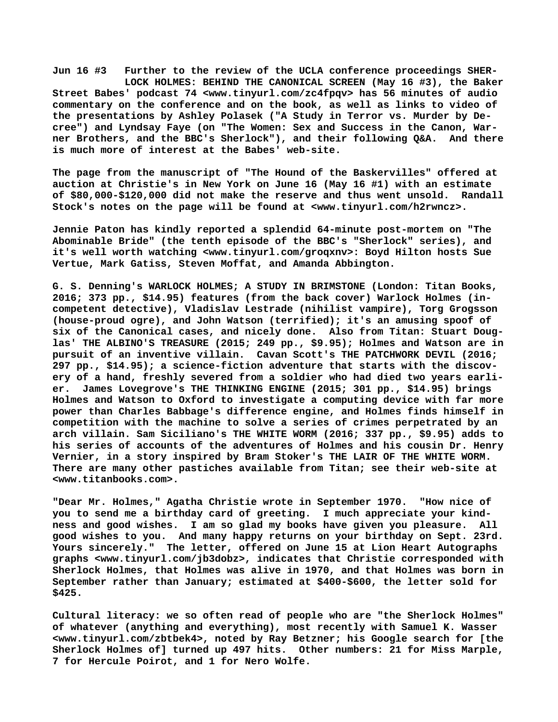**Jun 16 #3 Further to the review of the UCLA conference proceedings SHER- LOCK HOLMES: BEHIND THE CANONICAL SCREEN (May 16 #3), the Baker Street Babes' podcast 74 [<www.tinyurl.com/zc4fpqv> h](http://www.tinyurl.com/zc4fpqv)as 56 minutes of audio commentary on the conference and on the book, as well as links to video of the presentations by Ashley Polasek ("A Study in Terror vs. Murder by Decree") and Lyndsay Faye (on "The Women: Sex and Success in the Canon, Warner Brothers, and the BBC's Sherlock"), and their following Q&A. And there is much more of interest at the Babes' web-site.**

**The page from the manuscript of "The Hound of the Baskervilles" offered at auction at Christie's in New York on June 16 (May 16 #1) with an estimate of \$80,000-\$120,000 did not make the reserve and thus went unsold. Randall Stock's notes on the page will be found at [<www.tinyurl.com/h2rwncz>.](http://www.tinyurl.com/h2rwncz)**

**Jennie Paton has kindly reported a splendid 64-minute post-mortem on "The Abominable Bride" (the tenth episode of the BBC's "Sherlock" series), and it's well worth watching [<www.tinyurl.com/groqxnv>: B](http://www.tinyurl.com/groqxnv>:)oyd Hilton hosts Sue Vertue, Mark Gatiss, Steven Moffat, and Amanda Abbington.**

**G. S. Denning's WARLOCK HOLMES; A STUDY IN BRIMSTONE (London: Titan Books, 2016; 373 pp., \$14.95) features (from the back cover) Warlock Holmes (incompetent detective), Vladislav Lestrade (nihilist vampire), Torg Grogsson (house-proud ogre), and John Watson (terrified); it's an amusing spoof of six of the Canonical cases, and nicely done. Also from Titan: Stuart Douglas' THE ALBINO'S TREASURE (2015; 249 pp., \$9.95); Holmes and Watson are in pursuit of an inventive villain. Cavan Scott's THE PATCHWORK DEVIL (2016; 297 pp., \$14.95); a science-fiction adventure that starts with the discovery of a hand, freshly severed from a soldier who had died two years earlier. James Lovegrove's THE THINKING ENGINE (2015; 301 pp., \$14.95) brings Holmes and Watson to Oxford to investigate a computing device with far more power than Charles Babbage's difference engine, and Holmes finds himself in competition with the machine to solve a series of crimes perpetrated by an arch villain. Sam Siciliano's THE WHITE WORM (2016; 337 pp., \$9.95) adds to his series of accounts of the adventures of Holmes and his cousin Dr. Henry Vernier, in a story inspired by Bram Stoker's THE LAIR OF THE WHITE WORM. There are many other pastiches available from Titan; see their web-site at [<www.titanbooks.com>.](http://www.titanbooks.com)**

**"Dear Mr. Holmes," Agatha Christie wrote in September 1970. "How nice of you to send me a birthday card of greeting. I much appreciate your kindness and good wishes. I am so glad my books have given you pleasure. All good wishes to you. And many happy returns on your birthday on Sept. 23rd. Yours sincerely." The letter, offered on June 15 at Lion Heart Autographs graphs [<www.tinyurl.com/jb3dobz>, i](http://www.tinyurl.com/jb3dobz)ndicates that Christie corresponded with Sherlock Holmes, that Holmes was alive in 1970, and that Holmes was born in September rather than January; estimated at \$400-\$600, the letter sold for \$425.**

**Cultural literacy: we so often read of people who are "the Sherlock Holmes" of whatever (anything and everything), most recently with Samuel K. Wasser [<www.tinyurl.com/zbtbek4>, n](http://www.tinyurl.com/zbtbek4)oted by Ray Betzner; his Google search for [the Sherlock Holmes of] turned up 497 hits. Other numbers: 21 for Miss Marple, 7 for Hercule Poirot, and 1 for Nero Wolfe.**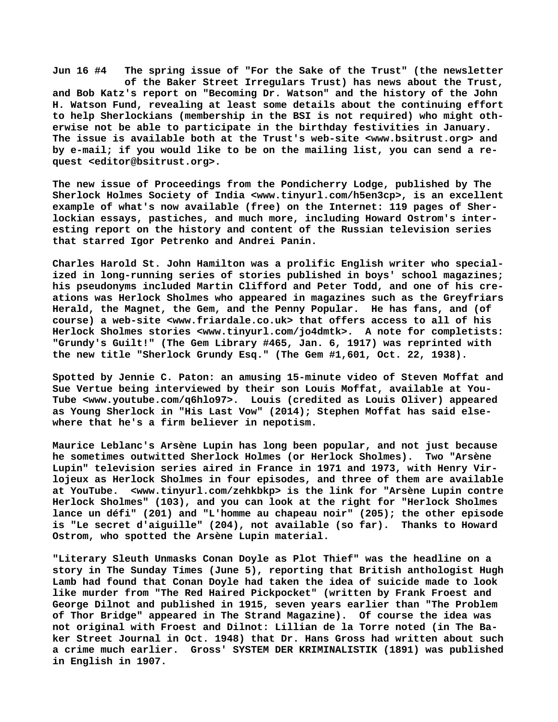**Jun 16 #4 The spring issue of "For the Sake of the Trust" (the newsletter of the Baker Street Irregulars Trust) has news about the Trust, and Bob Katz's report on "Becoming Dr. Watson" and the history of the John H. Watson Fund, revealing at least some details about the continuing effort to help Sherlockians (membership in the BSI is not required) who might otherwise not be able to participate in the birthday festivities in January. The issue is available both at the Trust's web-site [<www.bsitrust.org> a](http://www.bsitrust.org)nd by e-mail; if you would like to be on the mailing list, you can send a request <[editor@bsitrust.org>.](mailto:editor@bsitrust.org)**

**The new issue of Proceedings from the Pondicherry Lodge, published by The Sherlock Holmes Society of India [<www.tinyurl.com/h5en3cp>, i](http://www.tinyurl.com/h5en3cp)s an excellent example of what's now available (free) on the Internet: 119 pages of Sherlockian essays, pastiches, and much more, including Howard Ostrom's interesting report on the history and content of the Russian television series that starred Igor Petrenko and Andrei Panin.**

**Charles Harold St. John Hamilton was a prolific English writer who specialized in long-running series of stories published in boys' school magazines; his pseudonyms included Martin Clifford and Peter Todd, and one of his creations was Herlock Sholmes who appeared in magazines such as the Greyfriars Herald, the Magnet, the Gem, and the Penny Popular. He has fans, and (of course) a web-site <[www.friardale.co.uk> t](http://www.friardale.co.uk)hat offers access to all of his Herlock Sholmes stories <[www.tinyurl.com/jo4dmtk>.](http://www.tinyurl.com/jo4dmtk) A note for completists: "Grundy's Guilt!" (The Gem Library #465, Jan. 6, 1917) was reprinted with the new title "Sherlock Grundy Esq." (The Gem #1,601, Oct. 22, 1938).**

**Spotted by Jennie C. Paton: an amusing 15-minute video of Steven Moffat and Sue Vertue being interviewed by their son Louis Moffat, available at You-Tube [<www.youtube.com/q6hlo97>.](http://www.youtube.com/q6hlo97) Louis (credited as Louis Oliver) appeared as Young Sherlock in "His Last Vow" (2014); Stephen Moffat has said elsewhere that he's a firm believer in nepotism.**

**Maurice Leblanc's Arsène Lupin has long been popular, and not just because he sometimes outwitted Sherlock Holmes (or Herlock Sholmes). Two "Arsène Lupin" television series aired in France in 1971 and 1973, with Henry Virlojeux as Herlock Sholmes in four episodes, and three of them are available at YouTube. [<www.tinyurl.com/zehkbkp> i](http://www.tinyurl.com/zehkbkp)s the link for "Arsène Lupin contre Herlock Sholmes" (103), and you can look at the right for "Herlock Sholmes lance un défi" (201) and "L'homme au chapeau noir" (205); the other episode is "Le secret d'aiguille" (204), not available (so far). Thanks to Howard Ostrom, who spotted the Arsène Lupin material.**

**"Literary Sleuth Unmasks Conan Doyle as Plot Thief" was the headline on a story in The Sunday Times (June 5), reporting that British anthologist Hugh Lamb had found that Conan Doyle had taken the idea of suicide made to look like murder from "The Red Haired Pickpocket" (written by Frank Froest and George Dilnot and published in 1915, seven years earlier than "The Problem of Thor Bridge" appeared in The Strand Magazine). Of course the idea was not original with Froest and Dilnot: Lillian de la Torre noted (in The Baker Street Journal in Oct. 1948) that Dr. Hans Gross had written about such a crime much earlier. Gross' SYSTEM DER KRIMINALISTIK (1891) was published in English in 1907.**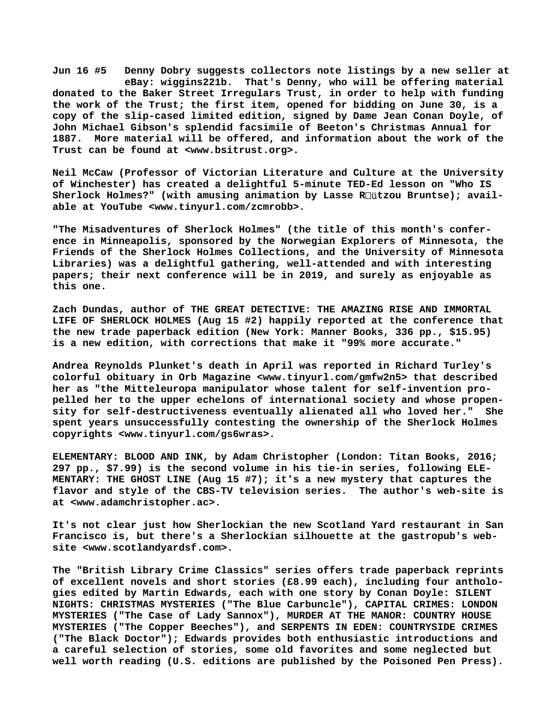**Jun 16 #5 Denny Dobry suggests collectors note listings by a new seller at eBay: wiggins221b. That's Denny, who will be offering material donated to the Baker Street Irregulars Trust, in order to help with funding the work of the Trust; the first item, opened for bidding on June 30, is a copy of the slip-cased limited edition, signed by Dame Jean Conan Doyle, of John Michael Gibson's splendid facsimile of Beeton's Christmas Annual for 1887. More material will be offered, and information about the work of the Trust can be found at [<www.bsitrust.org>.](http://www.bsitrust.org)**

**Neil McCaw (Professor of Victorian Literature and Culture at the University of Winchester) has created a delightful 5-minute TED-Ed lesson on "Who IS Sherlock Holmes?" (with amusing animation by Lasse R**ü**tzou Bruntse); available at YouTube <[www.tinyurl.com/zcmrobb>.](http://www.tinyurl.com/zcmrobb)**

**"The Misadventures of Sherlock Holmes" (the title of this month's conference in Minneapolis, sponsored by the Norwegian Explorers of Minnesota, the Friends of the Sherlock Holmes Collections, and the University of Minnesota Libraries) was a delightful gathering, well-attended and with interesting papers; their next conference will be in 2019, and surely as enjoyable as this one.**

**Zach Dundas, author of THE GREAT DETECTIVE: THE AMAZING RISE AND IMMORTAL LIFE OF SHERLOCK HOLMES (Aug 15 #2) happily reported at the conference that the new trade paperback edition (New York: Manner Books, 336 pp., \$15.95) is a new edition, with corrections that make it "99% more accurate."**

**Andrea Reynolds Plunket's death in April was reported in Richard Turley's colorful obituary in Orb Magazine <[www.tinyurl.com/gmfw2n5> t](http://www.tinyurl.com/gmfw2n5)hat described her as "the Mitteleuropa manipulator whose talent for self-invention propelled her to the upper echelons of international society and whose propensity for self-destructiveness eventually alienated all who loved her." She spent years unsuccessfully contesting the ownership of the Sherlock Holmes copyrights <[www.tinyurl.com/gs6wras>.](http://www.tinyurl.com/gs6wras)**

**ELEMENTARY: BLOOD AND INK, by Adam Christopher (London: Titan Books, 2016; 297 pp., \$7.99) is the second volume in his tie-in series, following ELE-MENTARY: THE GHOST LINE (Aug 15 #7); it's a new mystery that captures the flavor and style of the CBS-TV television series. The author's web-site is at [<www.adamchristopher.ac>.](http://www.adamchristopher.ac)**

**It's not clear just how Sherlockian the new Scotland Yard restaurant in San Francisco is, but there's a Sherlockian silhouette at the gastropub's website [<www.scotlandyardsf.com>.](http://www.scotlandyardsf.com)**

**The "British Library Crime Classics" series offers trade paperback reprints of excellent novels and short stories (£8.99 each), including four anthologies edited by Martin Edwards, each with one story by Conan Doyle: SILENT NIGHTS: CHRISTMAS MYSTERIES ("The Blue Carbuncle"), CAPITAL CRIMES: LONDON MYSTERIES ("The Case of Lady Sannox"), MURDER AT THE MANOR: COUNTRY HOUSE MYSTERIES ("The Copper Beeches"), and SERPENTS IN EDEN: COUNTRYSIDE CRIMES ("The Black Doctor"); Edwards provides both enthusiastic introductions and a careful selection of stories, some old favorites and some neglected but well worth reading (U.S. editions are published by the Poisoned Pen Press).**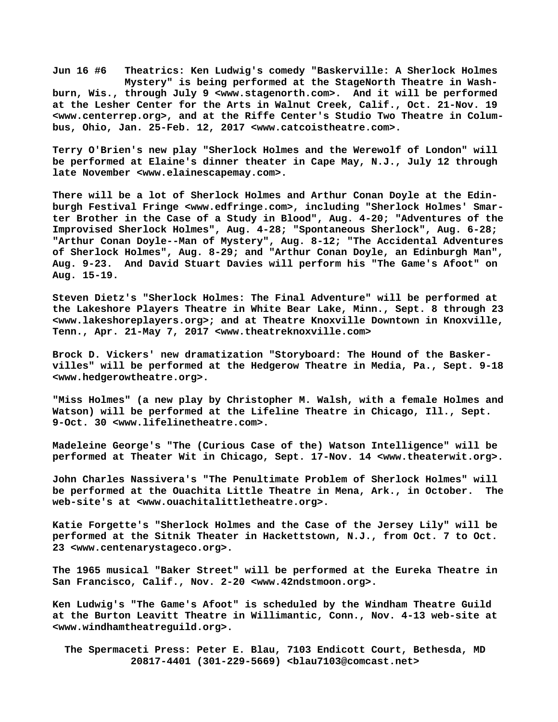**Jun 16 #6 Theatrics: Ken Ludwig's comedy "Baskerville: A Sherlock Holmes Mystery" is being performed at the StageNorth Theatre in Washburn, Wis., through July 9 [<www.stagenorth.com>.](http://www.stagenorth.com) And it will be performed at the Lesher Center for the Arts in Walnut Creek, Calif., Oct. 21-Nov. 19 [<www.centerrep.org>, a](http://www.centerrep.org)nd at the Riffe Center's Studio Two Theatre in Columbus, Ohio, Jan. 25-Feb. 12, 2017 [<www.catcoistheatre.com>.](http://www.catcoistheatre.com)**

**Terry O'Brien's new play "Sherlock Holmes and the Werewolf of London" will be performed at Elaine's dinner theater in Cape May, N.J., July 12 through late November <[www.elainescapemay.com>.](http://www.elainescapemay.com)**

**There will be a lot of Sherlock Holmes and Arthur Conan Doyle at the Edinburgh Festival Fringe [<www.edfringe.com>, i](http://www.edfringe.com)ncluding "Sherlock Holmes' Smarter Brother in the Case of a Study in Blood", Aug. 4-20; "Adventures of the Improvised Sherlock Holmes", Aug. 4-28; "Spontaneous Sherlock", Aug. 6-28; "Arthur Conan Doyle--Man of Mystery", Aug. 8-12; "The Accidental Adventures of Sherlock Holmes", Aug. 8-29; and "Arthur Conan Doyle, an Edinburgh Man", Aug. 9-23. And David Stuart Davies will perform his "The Game's Afoot" on Aug. 15-19.**

**Steven Dietz's "Sherlock Holmes: The Final Adventure" will be performed at the Lakeshore Players Theatre in White Bear Lake, Minn., Sept. 8 through 23 [<www.lakeshoreplayers.org>; a](http://www.lakeshoreplayers.org)nd at Theatre Knoxville Downtown in Knoxville, Tenn., Apr. 21-May 7, 2017 [<www.theatreknoxville.com>](http://www.theatreknoxville.com)**

**Brock D. Vickers' new dramatization "Storyboard: The Hound of the Baskervilles" will be performed at the Hedgerow Theatre in Media, Pa., Sept. 9-18 [<www.hedgerowtheatre.org>.](http://www.hedgerowtheatre.org)**

**"Miss Holmes" (a new play by Christopher M. Walsh, with a female Holmes and Watson) will be performed at the Lifeline Theatre in Chicago, Ill., Sept. 9-Oct. 30 [<www.lifelinetheatre.com>.](http://www.lifelinetheatre.com)**

**Madeleine George's "The (Curious Case of the) Watson Intelligence" will be performed at Theater Wit in Chicago, Sept. 17-Nov. 14 <[www.theaterwit.org>.](http://www.theaterwit.org)**

**John Charles Nassivera's "The Penultimate Problem of Sherlock Holmes" will be performed at the Ouachita Little Theatre in Mena, Ark., in October. The web-site's at <[www.ouachitalittletheatre.org>.](http://www.ouachitalittletheatre.org)**

**Katie Forgette's "Sherlock Holmes and the Case of the Jersey Lily" will be performed at the Sitnik Theater in Hackettstown, N.J., from Oct. 7 to Oct. 23 [<www.centenarystageco.org>.](http://www.centenarystageco.org)**

**The 1965 musical "Baker Street" will be performed at the Eureka Theatre in San Francisco, Calif., Nov. 2-20 [<www.42ndstmoon.org>.](http://www.42ndstmoon.org)**

**Ken Ludwig's "The Game's Afoot" is scheduled by the Windham Theatre Guild at the Burton Leavitt Theatre in Willimantic, Conn., Nov. 4-13 web-site at [<www.windhamtheatreguild.org>.](http://www.windhamtheatreguild.org)**

 **The Spermaceti Press: Peter E. Blau, 7103 Endicott Court, Bethesda, MD 20817-4401 (301-229-5669) <[blau7103@comcast.net>](mailto:blau7103@comcast.net)**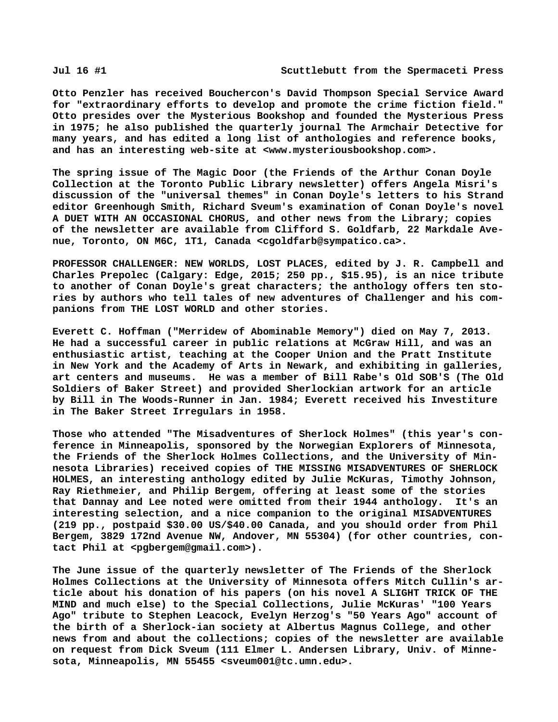**Otto Penzler has received Bouchercon's David Thompson Special Service Award for "extraordinary efforts to develop and promote the crime fiction field." Otto presides over the Mysterious Bookshop and founded the Mysterious Press in 1975; he also published the quarterly journal The Armchair Detective for many years, and has edited a long list of anthologies and reference books, and has an interesting web-site at [<www.mysteriousbookshop.com>.](http://www.mysteriousbookshop.com)**

**The spring issue of The Magic Door (the Friends of the Arthur Conan Doyle Collection at the Toronto Public Library newsletter) offers Angela Misri's discussion of the "universal themes" in Conan Doyle's letters to his Strand editor Greenhough Smith, Richard Sveum's examination of Conan Doyle's novel A DUET WITH AN OCCASIONAL CHORUS, and other news from the Library; copies of the newsletter are available from Clifford S. Goldfarb, 22 Markdale Avenue, Toronto, ON M6C, 1T1, Canada <[cgoldfarb@sympatico.ca>.](mailto:cgoldfarb@sympatico.ca)**

**PROFESSOR CHALLENGER: NEW WORLDS, LOST PLACES, edited by J. R. Campbell and Charles Prepolec (Calgary: Edge, 2015; 250 pp., \$15.95), is an nice tribute to another of Conan Doyle's great characters; the anthology offers ten stories by authors who tell tales of new adventures of Challenger and his companions from THE LOST WORLD and other stories.**

**Everett C. Hoffman ("Merridew of Abominable Memory") died on May 7, 2013. He had a successful career in public relations at McGraw Hill, and was an enthusiastic artist, teaching at the Cooper Union and the Pratt Institute in New York and the Academy of Arts in Newark, and exhibiting in galleries, art centers and museums. He was a member of Bill Rabe's Old SOB'S (The Old Soldiers of Baker Street) and provided Sherlockian artwork for an article by Bill in The Woods-Runner in Jan. 1984; Everett received his Investiture in The Baker Street Irregulars in 1958.**

**Those who attended "The Misadventures of Sherlock Holmes" (this year's conference in Minneapolis, sponsored by the Norwegian Explorers of Minnesota, the Friends of the Sherlock Holmes Collections, and the University of Minnesota Libraries) received copies of THE MISSING MISADVENTURES OF SHERLOCK HOLMES, an interesting anthology edited by Julie McKuras, Timothy Johnson, Ray Riethmeier, and Philip Bergem, offering at least some of the stories that Dannay and Lee noted were omitted from their 1944 anthology. It's an interesting selection, and a nice companion to the original MISADVENTURES (219 pp., postpaid \$30.00 US/\$40.00 Canada, and you should order from Phil Bergem, 3829 172nd Avenue NW, Andover, MN 55304) (for other countries, contact Phil at [<pgbergem@gmail.com>\).](mailto:pgbergem@gmail.com)**

**The June issue of the quarterly newsletter of The Friends of the Sherlock Holmes Collections at the University of Minnesota offers Mitch Cullin's article about his donation of his papers (on his novel A SLIGHT TRICK OF THE MIND and much else) to the Special Collections, Julie McKuras' "100 Years Ago" tribute to Stephen Leacock, Evelyn Herzog's "50 Years Ago" account of the birth of a Sherlock-ian society at Albertus Magnus College, and other news from and about the collections; copies of the newsletter are available on request from Dick Sveum (111 Elmer L. Andersen Library, Univ. of Minnesota, Minneapolis, MN 55455 [<sveum001@tc.umn.edu>.](mailto:sveum001@tc.umn.edu)**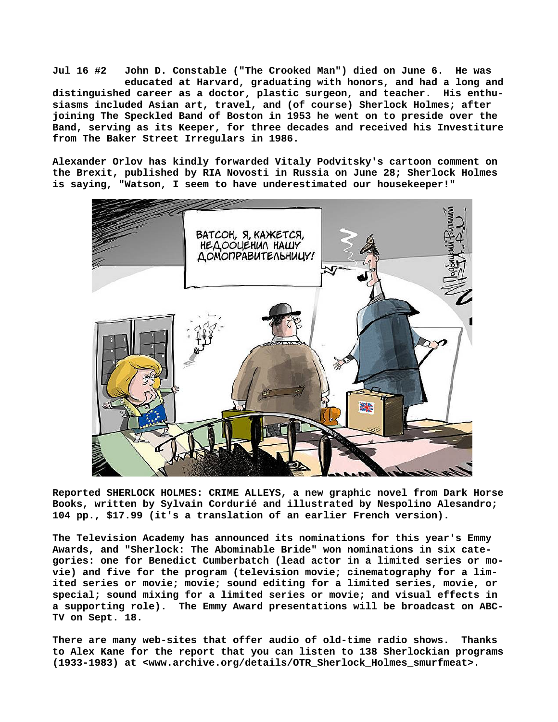**Jul 16 #2 John D. Constable ("The Crooked Man") died on June 6. He was educated at Harvard, graduating with honors, and had a long and distinguished career as a doctor, plastic surgeon, and teacher. His enthusiasms included Asian art, travel, and (of course) Sherlock Holmes; after joining The Speckled Band of Boston in 1953 he went on to preside over the Band, serving as its Keeper, for three decades and received his Investiture from The Baker Street Irregulars in 1986.**

**Alexander Orlov has kindly forwarded Vitaly Podvitsky's cartoon comment on the Brexit, published by RIA Novosti in Russia on June 28; Sherlock Holmes is saying, "Watson, I seem to have underestimated our housekeeper!"**



**Reported SHERLOCK HOLMES: CRIME ALLEYS, a new graphic novel from Dark Horse Books, written by Sylvain Cordurié and illustrated by Nespolino Alesandro; 104 pp., \$17.99 (it's a translation of an earlier French version).**

**The Television Academy has announced its nominations for this year's Emmy Awards, and "Sherlock: The Abominable Bride" won nominations in six categories: one for Benedict Cumberbatch (lead actor in a limited series or movie) and five for the program (television movie; cinematography for a limited series or movie; movie; sound editing for a limited series, movie, or special; sound mixing for a limited series or movie; and visual effects in a supporting role). The Emmy Award presentations will be broadcast on ABC-TV on Sept. 18.**

**There are many web-sites that offer audio of old-time radio shows. Thanks to Alex Kane for the report that you can listen to 138 Sherlockian programs (1933-1983) at [<www.archive.org/details/OTR\\_Sherlock\\_Holmes\\_smurfmeat>.](http://www.archive.org/details/OTR_Sherlock_Holmes_smurfmeat)**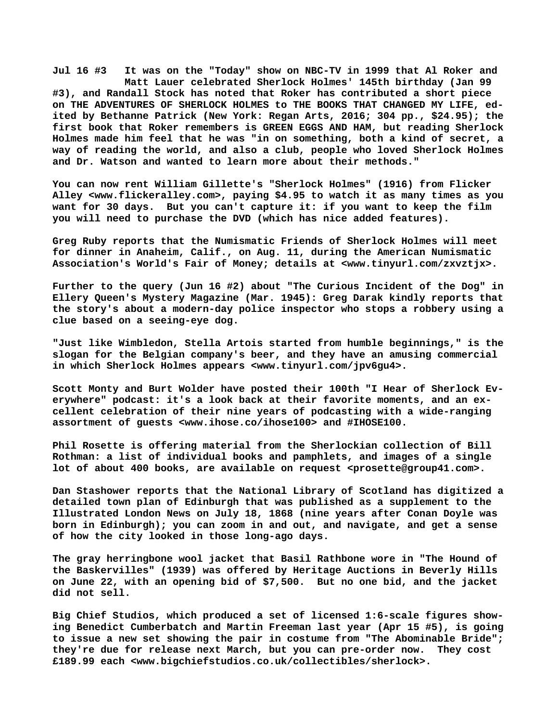**Jul 16 #3 It was on the "Today" show on NBC-TV in 1999 that Al Roker and Matt Lauer celebrated Sherlock Holmes' 145th birthday (Jan 99 #3), and Randall Stock has noted that Roker has contributed a short piece on THE ADVENTURES OF SHERLOCK HOLMES to THE BOOKS THAT CHANGED MY LIFE, edited by Bethanne Patrick (New York: Regan Arts, 2016; 304 pp., \$24.95); the first book that Roker remembers is GREEN EGGS AND HAM, but reading Sherlock Holmes made him feel that he was "in on something, both a kind of secret, a way of reading the world, and also a club, people who loved Sherlock Holmes and Dr. Watson and wanted to learn more about their methods."**

**You can now rent William Gillette's "Sherlock Holmes" (1916) from Flicker Alley <[www.flickeralley.com>, p](http://www.flickeralley.com)aying \$4.95 to watch it as many times as you want for 30 days. But you can't capture it: if you want to keep the film you will need to purchase the DVD (which has nice added features).**

**Greg Ruby reports that the Numismatic Friends of Sherlock Holmes will meet for dinner in Anaheim, Calif., on Aug. 11, during the American Numismatic Association's World's Fair of Money; details at [<www.tinyurl.com/zxvztjx>.](http://www.tinyurl.com/zxvztjx)**

**Further to the query (Jun 16 #2) about "The Curious Incident of the Dog" in Ellery Queen's Mystery Magazine (Mar. 1945): Greg Darak kindly reports that the story's about a modern-day police inspector who stops a robbery using a clue based on a seeing-eye dog.**

**"Just like Wimbledon, Stella Artois started from humble beginnings," is the slogan for the Belgian company's beer, and they have an amusing commercial in which Sherlock Holmes appears [<www.tinyurl.com/jpv6gu4>.](http://www.tinyurl.com/jpv6gu4)**

**Scott Monty and Burt Wolder have posted their 100th "I Hear of Sherlock Everywhere" podcast: it's a look back at their favorite moments, and an excellent celebration of their nine years of podcasting with a wide-ranging assortment of guests <[www.ihose.co/ihose100> a](http://www.ihose.co/ihose100)nd #IHOSE100.**

**Phil Rosette is offering material from the Sherlockian collection of Bill Rothman: a list of individual books and pamphlets, and images of a single lot of about 400 books, are available on request <[prosette@group41.com>.](mailto:prosette@group41.com)**

**Dan Stashower reports that the National Library of Scotland has digitized a detailed town plan of Edinburgh that was published as a supplement to the Illustrated London News on July 18, 1868 (nine years after Conan Doyle was born in Edinburgh); you can zoom in and out, and navigate, and get a sense of how the city looked in those long-ago days.**

**The gray herringbone wool jacket that Basil Rathbone wore in "The Hound of the Baskervilles" (1939) was offered by Heritage Auctions in Beverly Hills on June 22, with an opening bid of \$7,500. But no one bid, and the jacket did not sell.**

**Big Chief Studios, which produced a set of licensed 1:6-scale figures showing Benedict Cumberbatch and Martin Freeman last year (Apr 15 #5), is going to issue a new set showing the pair in costume from "The Abominable Bride"; they're due for release next March, but you can pre-order now. They cost £189.99 each [<www.bigchiefstudios.co.uk/collectibles/sherlock>.](http://www.bigchiefstudios.co.uk/collectibles/sherlock)**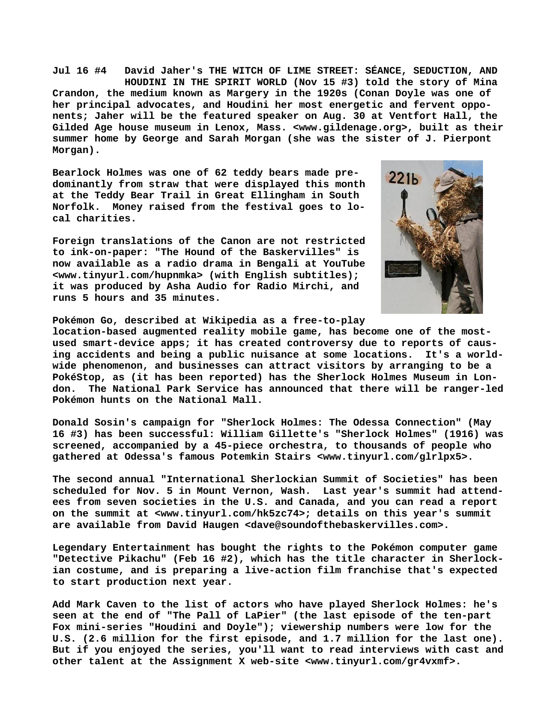**Jul 16 #4 David Jaher's THE WITCH OF LIME STREET: SÉANCE, SEDUCTION, AND HOUDINI IN THE SPIRIT WORLD (Nov 15 #3) told the story of Mina Crandon, the medium known as Margery in the 1920s (Conan Doyle was one of her principal advocates, and Houdini her most energetic and fervent opponents; Jaher will be the featured speaker on Aug. 30 at Ventfort Hall, the Gilded Age house museum in Lenox, Mass. [<www.gildenage.org>, b](http://www.gildenage.org)uilt as their summer home by George and Sarah Morgan (she was the sister of J. Pierpont Morgan).**

**Bearlock Holmes was one of 62 teddy bears made predominantly from straw that were displayed this month at the Teddy Bear Trail in Great Ellingham in South Norfolk. Money raised from the festival goes to local charities.**

**Foreign translations of the Canon are not restricted to ink-on-paper: "The Hound of the Baskervilles" is now available as a radio drama in Bengali at YouTube [<www.tinyurl.com/hupnmka> \(](http://www.tinyurl.com/hupnmka)with English subtitles); it was produced by Asha Audio for Radio Mirchi, and runs 5 hours and 35 minutes.**



**Pokémon Go, described at Wikipedia as a free-to-play**

**location-based augmented reality mobile game, has become one of the mostused smart-device apps; it has created controversy due to reports of causing accidents and being a public nuisance at some locations. It's a worldwide phenomenon, and businesses can attract visitors by arranging to be a PokéStop, as (it has been reported) has the Sherlock Holmes Museum in London. The National Park Service has announced that there will be ranger-led Pokémon hunts on the National Mall.**

**Donald Sosin's campaign for "Sherlock Holmes: The Odessa Connection" (May 16 #3) has been successful: William Gillette's "Sherlock Holmes" (1916) was screened, accompanied by a 45-piece orchestra, to thousands of people who gathered at Odessa's famous Potemkin Stairs <[www.tinyurl.com/glrlpx5>.](http://www.tinyurl.com/glrlpx5)**

**The second annual "International Sherlockian Summit of Societies" has been scheduled for Nov. 5 in Mount Vernon, Wash. Last year's summit had attendees from seven societies in the U.S. and Canada, and you can read a report on the summit at [<www.tinyurl.com/hk5zc74>; d](http://www.tinyurl.com/hk5zc74)etails on this year's summit are available from David Haugen [<dave@soundofthebaskervilles.com>.](mailto:dave@soundofthebaskervilles.com)**

**Legendary Entertainment has bought the rights to the Pokémon computer game "Detective Pikachu" (Feb 16 #2), which has the title character in Sherlockian costume, and is preparing a live-action film franchise that's expected to start production next year.**

**Add Mark Caven to the list of actors who have played Sherlock Holmes: he's seen at the end of "The Pall of LaPier" (the last episode of the ten-part Fox mini-series "Houdini and Doyle"); viewership numbers were low for the U.S. (2.6 million for the first episode, and 1.7 million for the last one). But if you enjoyed the series, you'll want to read interviews with cast and other talent at the Assignment X web-site [<www.tinyurl.com/gr4vxmf>.](http://www.tinyurl.com/gr4vxmf)**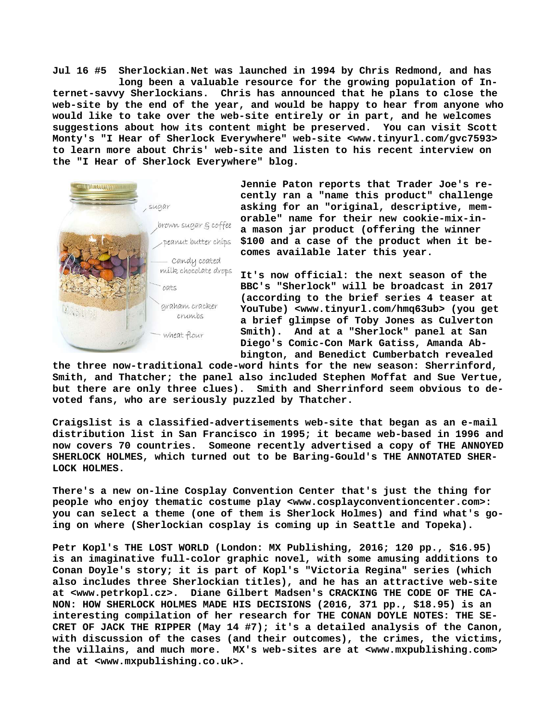**Jul 16 #5 Sherlockian.Net was launched in 1994 by Chris Redmond, and has long been a valuable resource for the growing population of Internet-savvy Sherlockians. Chris has announced that he plans to close the web-site by the end of the year, and would be happy to hear from anyone who would like to take over the web-site entirely or in part, and he welcomes suggestions about how its content might be preserved. You can visit Scott Monty's "I Hear of Sherlock Everywhere" web-site <[www.tinyurl.com/gvc7593>](http://www.tinyurl.com/gvc7593) to learn more about Chris' web-site and listen to his recent interview on the "I Hear of Sherlock Everywhere" blog.**



**Jennie Paton reports that Trader Joe's recently ran a "name this product" challenge asking for an "original, descriptive, memorable" name for their new cookie-mix-ina mason jar product (offering the winner \$100 and a case of the product when it becomes available later this year.**

**It's now official: the next season of the BBC's "Sherlock" will be broadcast in 2017 (according to the brief series 4 teaser at YouTube) <[www.tinyurl.com/hmq63ub> \(](http://www.tinyurl.com/hmq63ub)you get a brief glimpse of Toby Jones as Culverton Smith). And at a "Sherlock" panel at San Diego's Comic-Con Mark Gatiss, Amanda Abbington, and Benedict Cumberbatch revealed**

**the three now-traditional code-word hints for the new season: Sherrinford, Smith, and Thatcher; the panel also included Stephen Moffat and Sue Vertue, but there are only three clues). Smith and Sherrinford seem obvious to devoted fans, who are seriously puzzled by Thatcher.**

**Craigslist is a classified-advertisements web-site that began as an e-mail distribution list in San Francisco in 1995; it became web-based in 1996 and now covers 70 countries. Someone recently advertised a copy of THE ANNOYED SHERLOCK HOLMES, which turned out to be Baring-Gould's THE ANNOTATED SHER-LOCK HOLMES.**

**There's a new on-line Cosplay Convention Center that's just the thing for people who enjoy thematic costume play <[www.cosplayconventioncenter.com>:](http://www.cosplayconventioncenter.com>:) you can select a theme (one of them is Sherlock Holmes) and find what's going on where (Sherlockian cosplay is coming up in Seattle and Topeka).**

**Petr Kopl's THE LOST WORLD (London: MX Publishing, 2016; 120 pp., \$16.95) is an imaginative full-color graphic novel, with some amusing additions to Conan Doyle's story; it is part of Kopl's "Victoria Regina" series (which also includes three Sherlockian titles), and he has an attractive web-site at [<www.petrkopl.cz>.](http://www.petrkopl.cz) Diane Gilbert Madsen's CRACKING THE CODE OF THE CA-NON: HOW SHERLOCK HOLMES MADE HIS DECISIONS (2016, 371 pp., \$18.95) is an interesting compilation of her research for THE CONAN DOYLE NOTES: THE SE-CRET OF JACK THE RIPPER (May 14 #7); it's a detailed analysis of the Canon, with discussion of the cases (and their outcomes), the crimes, the victims, the villains, and much more. MX's web-sites are at [<www.mxpublishing.com>](http://www.mxpublishing.com) and at [<www.mxpublishing.co.uk>.](http://www.mxpublishing.co.uk)**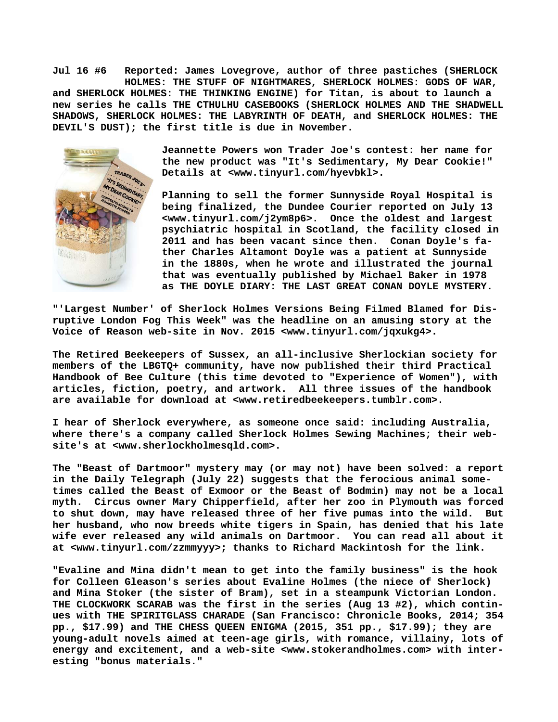**Jul 16 #6 Reported: James Lovegrove, author of three pastiches (SHERLOCK HOLMES: THE STUFF OF NIGHTMARES, SHERLOCK HOLMES: GODS OF WAR, and SHERLOCK HOLMES: THE THINKING ENGINE) for Titan, is about to launch a new series he calls THE CTHULHU CASEBOOKS (SHERLOCK HOLMES AND THE SHADWELL SHADOWS, SHERLOCK HOLMES: THE LABYRINTH OF DEATH, and SHERLOCK HOLMES: THE DEVIL'S DUST); the first title is due in November.**



**Jeannette Powers won Trader Joe's contest: her name for the new product was "It's Sedimentary, My Dear Cookie!" Details at <[www.tinyurl.com/hyevbkl>.](http://www.tinyurl.com/hyevbkl)**

**Planning to sell the former Sunnyside Royal Hospital is being finalized, the Dundee Courier reported on July 13 [<www.tinyurl.com/j2ym8p6>.](http://www.tinyurl.com/j2ym8p6) Once the oldest and largest psychiatric hospital in Scotland, the facility closed in 2011 and has been vacant since then. Conan Doyle's father Charles Altamont Doyle was a patient at Sunnyside in the 1880s, when he wrote and illustrated the journal that was eventually published by Michael Baker in 1978 as THE DOYLE DIARY: THE LAST GREAT CONAN DOYLE MYSTERY.**

**"'Largest Number' of Sherlock Holmes Versions Being Filmed Blamed for Disruptive London Fog This Week" was the headline on an amusing story at the Voice of Reason web-site in Nov. 2015 [<www.tinyurl.com/jqxukg4>.](http://www.tinyurl.com/jqxukg4)**

**The Retired Beekeepers of Sussex, an all-inclusive Sherlockian society for members of the LBGTQ+ community, have now published their third Practical Handbook of Bee Culture (this time devoted to "Experience of Women"), with articles, fiction, poetry, and artwork. All three issues of the handbook are available for download at [<www.retiredbeekeepers.tumblr.com>.](http://www.retiredbeekeepers.tumblr.com)**

**I hear of Sherlock everywhere, as someone once said: including Australia, where there's a company called Sherlock Holmes Sewing Machines; their website's at [<www.sherlockholmesqld.com>.](http://www.sherlockholmesqld.com)**

**The "Beast of Dartmoor" mystery may (or may not) have been solved: a report in the Daily Telegraph (July 22) suggests that the ferocious animal sometimes called the Beast of Exmoor or the Beast of Bodmin) may not be a local myth. Circus owner Mary Chipperfield, after her zoo in Plymouth was forced to shut down, may have released three of her five pumas into the wild. But her husband, who now breeds white tigers in Spain, has denied that his late wife ever released any wild animals on Dartmoor. You can read all about it at [<www.tinyurl.com/zzmmyyy>; t](http://www.tinyurl.com/zzmmyyy)hanks to Richard Mackintosh for the link.**

**"Evaline and Mina didn't mean to get into the family business" is the hook for Colleen Gleason's series about Evaline Holmes (the niece of Sherlock) and Mina Stoker (the sister of Bram), set in a steampunk Victorian London. THE CLOCKWORK SCARAB was the first in the series (Aug 13 #2), which continues with THE SPIRITGLASS CHARADE (San Francisco: Chronicle Books, 2014; 354 pp., \$17.99) and THE CHESS QUEEN ENIGMA (2015, 351 pp., \$17.99); they are young-adult novels aimed at teen-age girls, with romance, villainy, lots of energy and excitement, and a web-site [<www.stokerandholmes.com> w](http://www.stokerandholmes.com)ith interesting "bonus materials."**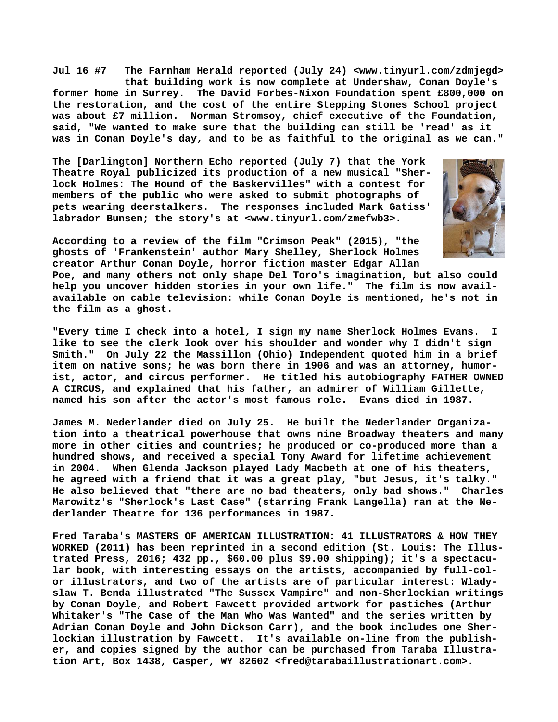**Jul 16 #7 The Farnham Herald reported (July 24) [<www.tinyurl.com/zdmjegd>](http://www.tinyurl.com/zdmjegd) that building work is now complete at Undershaw, Conan Doyle's former home in Surrey. The David Forbes-Nixon Foundation spent £800,000 on the restoration, and the cost of the entire Stepping Stones School project was about £7 million. Norman Stromsoy, chief executive of the Foundation, said, "We wanted to make sure that the building can still be 'read' as it was in Conan Doyle's day, and to be as faithful to the original as we can."**

**The [Darlington] Northern Echo reported (July 7) that the York Theatre Royal publicized its production of a new musical "Sherlock Holmes: The Hound of the Baskervilles" with a contest for members of the public who were asked to submit photographs of pets wearing deerstalkers. The responses included Mark Gatiss' labrador Bunsen; the story's at [<www.tinyurl.com/zmefwb3>.](http://www.tinyurl.com/zmefwb3)**



**According to a review of the film "Crimson Peak" (2015), "the ghosts of 'Frankenstein' author Mary Shelley, Sherlock Holmes creator Arthur Conan Doyle, horror fiction master Edgar Allan**

**Poe, and many others not only shape Del Toro's imagination, but also could help you uncover hidden stories in your own life." The film is now availavailable on cable television: while Conan Doyle is mentioned, he's not in the film as a ghost.**

**"Every time I check into a hotel, I sign my name Sherlock Holmes Evans. I like to see the clerk look over his shoulder and wonder why I didn't sign Smith." On July 22 the Massillon (Ohio) Independent quoted him in a brief item on native sons; he was born there in 1906 and was an attorney, humorist, actor, and circus performer. He titled his autobiography FATHER OWNED A CIRCUS, and explained that his father, an admirer of William Gillette, named his son after the actor's most famous role. Evans died in 1987.**

**James M. Nederlander died on July 25. He built the Nederlander Organization into a theatrical powerhouse that owns nine Broadway theaters and many more in other cities and countries; he produced or co-produced more than a hundred shows, and received a special Tony Award for lifetime achievement in 2004. When Glenda Jackson played Lady Macbeth at one of his theaters, he agreed with a friend that it was a great play, "but Jesus, it's talky." He also believed that "there are no bad theaters, only bad shows." Charles Marowitz's "Sherlock's Last Case" (starring Frank Langella) ran at the Nederlander Theatre for 136 performances in 1987.**

**Fred Taraba's MASTERS OF AMERICAN ILLUSTRATION: 41 ILLUSTRATORS & HOW THEY WORKED (2011) has been reprinted in a second edition (St. Louis: The Illustrated Press, 2016; 432 pp., \$60.00 plus \$9.00 shipping); it's a spectacular book, with interesting essays on the artists, accompanied by full-color illustrators, and two of the artists are of particular interest: Wladyslaw T. Benda illustrated "The Sussex Vampire" and non-Sherlockian writings by Conan Doyle, and Robert Fawcett provided artwork for pastiches (Arthur Whitaker's "The Case of the Man Who Was Wanted" and the series written by Adrian Conan Doyle and John Dickson Carr), and the book includes one Sherlockian illustration by Fawcett. It's available on-line from the publisher, and copies signed by the author can be purchased from Taraba Illustration Art, Box 1438, Casper, WY 82602 [<fred@tarabaillustrationart.com>.](mailto:fred@tarabaillustrationart.com)**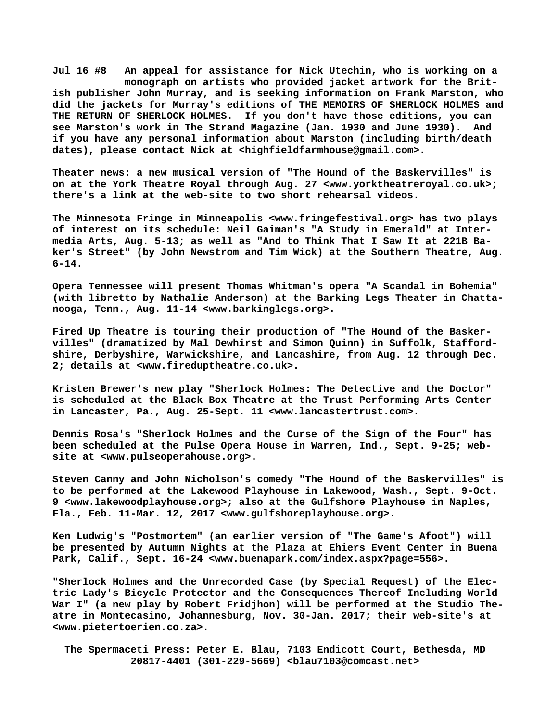**Jul 16 #8 An appeal for assistance for Nick Utechin, who is working on a monograph on artists who provided jacket artwork for the British publisher John Murray, and is seeking information on Frank Marston, who did the jackets for Murray's editions of THE MEMOIRS OF SHERLOCK HOLMES and** If you don't have those editions, you can **see Marston's work in The Strand Magazine (Jan. 1930 and June 1930). And if you have any personal information about Marston (including birth/death dates), please contact Nick at <[highfieldfarmhouse@gmail.com>.](mailto:highfieldfarmhouse@gmail.com)**

**Theater [news: a n](news:a)ew musical version of "The Hound of the Baskervilles" is on at the York Theatre Royal through Aug. 27 [<www.yorktheatreroyal.co.uk>;](http://www.yorktheatreroyal.co.uk) there's a link at the web-site to two short rehearsal videos.**

**The Minnesota Fringe in Minneapolis <[www.fringefestival.org> h](http://www.fringefestival.org)as two plays of interest on its schedule: Neil Gaiman's "A Study in Emerald" at Intermedia Arts, Aug. 5-13; as well as "And to Think That I Saw It at 221B Baker's Street" (by John Newstrom and Tim Wick) at the Southern Theatre, Aug. 6-14.**

**Opera Tennessee will present Thomas Whitman's opera "A Scandal in Bohemia" (with libretto by Nathalie Anderson) at the Barking Legs Theater in Chattanooga, Tenn., Aug. 11-14 [<www.barkinglegs.org>.](http://www.barkinglegs.org)**

**Fired Up Theatre is touring their production of "The Hound of the Baskervilles" (dramatized by Mal Dewhirst and Simon Quinn) in Suffolk, Staffordshire, Derbyshire, Warwickshire, and Lancashire, from Aug. 12 through Dec. 2; details at <[www.fireduptheatre.co.uk>.](http://www.fireduptheatre.co.uk)**

**Kristen Brewer's new play "Sherlock Holmes: The Detective and the Doctor" is scheduled at the Black Box Theatre at the Trust Performing Arts Center in Lancaster, Pa., Aug. 25-Sept. 11 <[www.lancastertrust.com>.](http://www.lancastertrust.com)**

**Dennis Rosa's "Sherlock Holmes and the Curse of the Sign of the Four" has been scheduled at the Pulse Opera House in Warren, Ind., Sept. 9-25; website at [<www.pulseoperahouse.org>.](http://www.pulseoperahouse.org)**

**Steven Canny and John Nicholson's comedy "The Hound of the Baskervilles" is to be performed at the Lakewood Playhouse in Lakewood, Wash., Sept. 9-Oct. 9 [<www.lakewoodplayhouse.org>; a](http://www.lakewoodplayhouse.org)lso at the Gulfshore Playhouse in Naples, Fla., Feb. 11-Mar. 12, 2017 [<www.gulfshoreplayhouse.org>.](http://www.gulfshoreplayhouse.org)**

**Ken Ludwig's "Postmortem" (an earlier version of "The Game's Afoot") will be presented by Autumn Nights at the Plaza at Ehiers Event Center in Buena Park, Calif., Sept. 16-24 <[www.buenapark.com/index.aspx?page=556>.](http://www.buenapark.com/index.aspx?page=556)**

**"Sherlock Holmes and the Unrecorded Case (by Special Request) of the Electric Lady's Bicycle Protector and the Consequences Thereof Including World War I" (a new play by Robert Fridjhon) will be performed at the Studio Theatre in Montecasino, Johannesburg, Nov. 30-Jan. 2017; their web-site's at [<www.pietertoerien.co.za>.](http://www.pietertoerien.co.za)**

 **The Spermaceti Press: Peter E. Blau, 7103 Endicott Court, Bethesda, MD 20817-4401 (301-229-5669) <[blau7103@comcast.net>](mailto:blau7103@comcast.net)**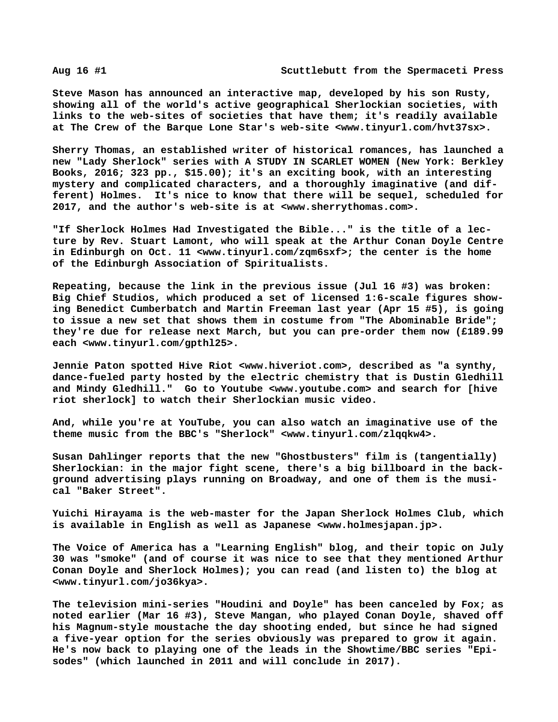**Steve Mason has announced an interactive map, developed by his son Rusty, showing all of the world's active geographical Sherlockian societies, with links to the web-sites of societies that have them; it's readily available at The Crew of the Barque Lone Star's web-site [<www.tinyurl.com/hvt37sx>.](http://www.tinyurl.com/hvt37sx)**

**Sherry Thomas, an established writer of historical romances, has launched a new "Lady Sherlock" series with A STUDY IN SCARLET WOMEN (New York: Berkley Books, 2016; 323 pp., \$15.00); it's an exciting book, with an interesting mystery and complicated characters, and a thoroughly imaginative (and different) Holmes. It's nice to know that there will be sequel, scheduled for 2017, and the author's web-site is at [<www.sherrythomas.com>.](http://www.sherrythomas.com)**

**"If Sherlock Holmes Had Investigated the Bible..." is the title of a lecture by Rev. Stuart Lamont, who will speak at the Arthur Conan Doyle Centre in Edinburgh on Oct. 11 <[www.tinyurl.com/zqm6sxf>; t](http://www.tinyurl.com/zqm6sxf)he center is the home of the Edinburgh Association of Spiritualists.**

**Repeating, because the link in the previous issue (Jul 16 #3) was broken: Big Chief Studios, which produced a set of licensed 1:6-scale figures showing Benedict Cumberbatch and Martin Freeman last year (Apr 15 #5), is going to issue a new set that shows them in costume from "The Abominable Bride"; they're due for release next March, but you can pre-order them now (£189.99 each [<www.tinyurl.com/gpthl25>.](http://www.tinyurl.com/gpthl25)**

**Jennie Paton spotted Hive Riot <[www.hiveriot.com>, d](http://www.hiveriot.com)escribed as "a synthy, dance-fueled party hosted by the electric chemistry that is Dustin Gledhill and Mindy Gledhill." Go to Youtube <[www.youtube.com> a](http://www.youtube.com)nd search for [hive riot sherlock] to watch their Sherlockian music video.**

**And, while you're at YouTube, you can also watch an imaginative use of the theme music from the BBC's "Sherlock" [<www.tinyurl.com/zlqqkw4>.](http://www.tinyurl.com/zlqqkw4)**

**Susan Dahlinger reports that the new "Ghostbusters" film is (tangentially) Sherlockian: in the major fight scene, there's a big billboard in the background advertising plays running on Broadway, and one of them is the musical "Baker Street".**

**Yuichi Hirayama is the web-master for the Japan Sherlock Holmes Club, which is available in English as well as Japanese <[www.holmesjapan.jp>.](http://www.holmesjapan.jp)**

**The Voice of America has a "Learning English" blog, and their topic on July 30 was "smoke" (and of course it was nice to see that they mentioned Arthur Conan Doyle and Sherlock Holmes); you can read (and listen to) the blog at [<www.tinyurl.com/jo36kya>.](http://www.tinyurl.com/jo36kya)**

**The television mini-series "Houdini and Doyle" has been canceled by Fox; as noted earlier (Mar 16 #3), Steve Mangan, who played Conan Doyle, shaved off his Magnum-style moustache the day shooting ended, but since he had signed a five-year option for the series obviously was prepared to grow it again. He's now back to playing one of the leads in the Showtime/BBC series "Episodes" (which launched in 2011 and will conclude in 2017).**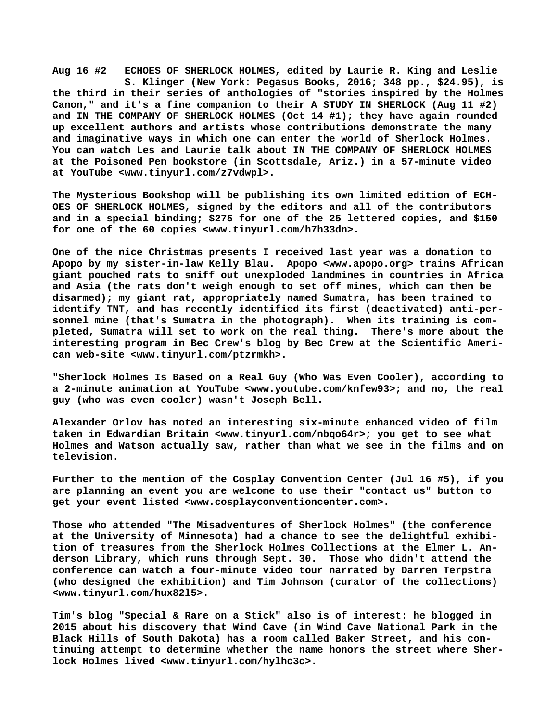**Aug 16 #2 ECHOES OF SHERLOCK HOLMES, edited by Laurie R. King and Leslie S. Klinger (New York: Pegasus Books, 2016; 348 pp., \$24.95), is the third in their series of anthologies of "stories inspired by the Holmes Canon," and it's a fine companion to their A STUDY IN SHERLOCK (Aug 11 #2) and IN THE COMPANY OF SHERLOCK HOLMES (Oct 14 #1); they have again rounded up excellent authors and artists whose contributions demonstrate the many and imaginative ways in which one can enter the world of Sherlock Holmes. You can watch Les and Laurie talk about IN THE COMPANY OF SHERLOCK HOLMES at the Poisoned Pen bookstore (in Scottsdale, Ariz.) in a 57-minute video at YouTube <[www.tinyurl.com/z7vdwpl>.](http://www.tinyurl.com/z7vdwpl)**

**The Mysterious Bookshop will be publishing its own limited edition of ECH-OES OF SHERLOCK HOLMES, signed by the editors and all of the contributors and in a special binding; \$275 for one of the 25 lettered copies, and \$150 for one of the 60 copies [<www.tinyurl.com/h7h33dn>.](http://www.tinyurl.com/h7h33dn)**

**One of the nice Christmas presents I received last year was a donation to Apopo by my sister-in-law Kelly Blau. Apopo [<www.apopo.org> t](http://www.apopo.org)rains African giant pouched rats to sniff out unexploded landmines in countries in Africa and Asia (the rats don't weigh enough to set off mines, which can then be disarmed); my giant rat, appropriately named Sumatra, has been trained to identify TNT, and has recently identified its first (deactivated) anti-personnel mine (that's Sumatra in the photograph). When its training is completed, Sumatra will set to work on the real thing. There's more about the interesting program in Bec Crew's blog by Bec Crew at the Scientific American web-site [<www.tinyurl.com/ptzrmkh>.](http://www.tinyurl.com/ptzrmkh)**

**"Sherlock Holmes Is Based on a Real Guy (Who Was Even Cooler), according to a 2-minute animation at YouTube [<www.youtube.com/knfew93>; a](http://www.youtube.com/knfew93)nd no, the real guy (who was even cooler) wasn't Joseph Bell.**

**Alexander Orlov has noted an interesting six-minute enhanced video of film taken in Edwardian Britain [<www.tinyurl.com/nbqo64r>; y](http://www.tinyurl.com/nbqo64r)ou get to see what Holmes and Watson actually saw, rather than what we see in the films and on television.**

**Further to the mention of the Cosplay Convention Center (Jul 16 #5), if you are planning an event you are welcome to use their "contact us" button to get your event listed [<www.cosplayconventioncenter.com>.](http://www.cosplayconventioncenter.com)**

**Those who attended "The Misadventures of Sherlock Holmes" (the conference at the University of Minnesota) had a chance to see the delightful exhibition of treasures from the Sherlock Holmes Collections at the Elmer L. Anderson Library, which runs through Sept. 30. Those who didn't attend the conference can watch a four-minute video tour narrated by Darren Terpstra (who designed the exhibition) and Tim Johnson (curator of the collections) [<www.tinyurl.com/hux82l5>.](http://www.tinyurl.com/hux82l5)**

**Tim's blog "Special & Rare on a Stick" also is of interest: he blogged in 2015 about his discovery that Wind Cave (in Wind Cave National Park in the Black Hills of South Dakota) has a room called Baker Street, and his continuing attempt to determine whether the name honors the street where Sherlock Holmes lived [<www.tinyurl.com/hylhc3c>.](http://www.tinyurl.com/hylhc3c)**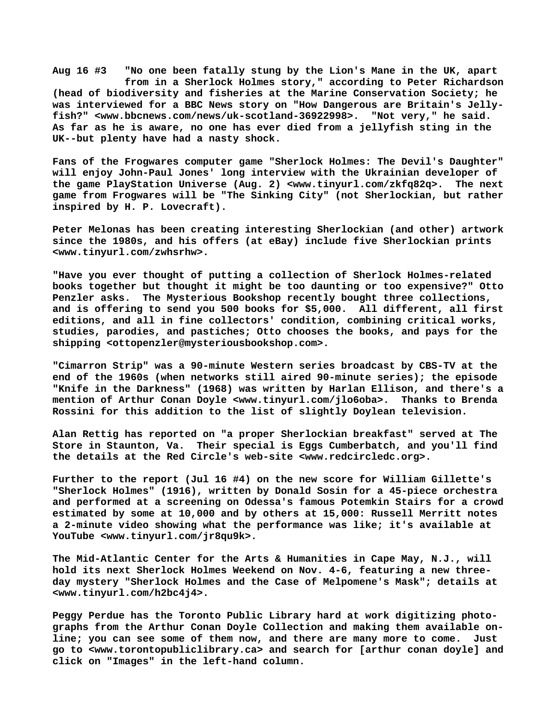**Aug 16 #3 "No one been fatally stung by the Lion's Mane in the UK, apart from in a Sherlock Holmes story," according to Peter Richardson (head of biodiversity and fisheries at the Marine Conservation Society; he was interviewed for a BBC News story on "How Dangerous are Britain's Jellyfish?" [<www.bbcnews.com/news/uk-scotland-36922998>.](http://www.bbcnews.com/news/uk-scotland-36922998) "Not very," he said. As far as he is aware, no one has ever died from a jellyfish sting in the UK--but plenty have had a nasty shock.**

**Fans of the Frogwares computer game "Sherlock Holmes: The Devil's Daughter" will enjoy John-Paul Jones' long interview with the Ukrainian developer of the game PlayStation Universe (Aug. 2) <[www.tinyurl.com/zkfq82q>.](http://www.tinyurl.com/zkfq82q) The next game from Frogwares will be "The Sinking City" (not Sherlockian, but rather inspired by H. P. Lovecraft).**

**Peter Melonas has been creating interesting Sherlockian (and other) artwork since the 1980s, and his offers (at eBay) include five Sherlockian prints [<www.tinyurl.com/zwhsrhw>.](http://www.tinyurl.com/zwhsrhw)**

**"Have you ever thought of putting a collection of Sherlock Holmes-related books together but thought it might be too daunting or too expensive?" Otto Penzler asks. The Mysterious Bookshop recently bought three collections, and is offering to send you 500 books for \$5,000. All different, all first editions, and all in fine collectors' condition, combining critical works, studies, parodies, and pastiches; Otto chooses the books, and pays for the shipping <[ottopenzler@mysteriousbookshop.com>.](mailto:ottopenzler@mysteriousbookshop.com)**

**"Cimarron Strip" was a 90-minute Western series broadcast by CBS-TV at the end of the 1960s (when networks still aired 90-minute series); the episode "Knife in the Darkness" (1968) was written by Harlan Ellison, and there's a mention of Arthur Conan Doyle [<www.tinyurl.com/jlo6oba>.](http://www.tinyurl.com/jlo6oba) Thanks to Brenda Rossini for this addition to the list of slightly Doylean television.**

**Alan Rettig has reported on "a proper Sherlockian breakfast" served at The Store in Staunton, Va. Their special is Eggs Cumberbatch, and you'll find the details at the Red Circle's web-site <[www.redcircledc.org>.](http://www.redcircledc.org)**

**Further to the report (Jul 16 #4) on the new score for William Gillette's "Sherlock Holmes" (1916), written by Donald Sosin for a 45-piece orchestra and performed at a screening on Odessa's famous Potemkin Stairs for a crowd estimated by some at 10,000 and by others at 15,000: Russell Merritt notes a 2-minute video showing what the performance was like; it's available at YouTube [<www.tinyurl.com/jr8qu9k>.](http://www.tinyurl.com/jr8qu9k)**

**The Mid-Atlantic Center for the Arts & Humanities in Cape May, N.J., will hold its next Sherlock Holmes Weekend on Nov. 4-6, featuring a new threeday mystery "Sherlock Holmes and the Case of Melpomene's Mask"; details at [<www.tinyurl.com/h2bc4j4>.](http://www.tinyurl.com/h2bc4j4)**

**Peggy Perdue has the Toronto Public Library hard at work digitizing photographs from the Arthur Conan Doyle Collection and making them available online; you can see some of them now, and there are many more to come. Just go to <[www.torontopubliclibrary.ca> a](http://www.torontopubliclibrary.ca)nd search for [arthur conan doyle] and click on "Images" in the left-hand column.**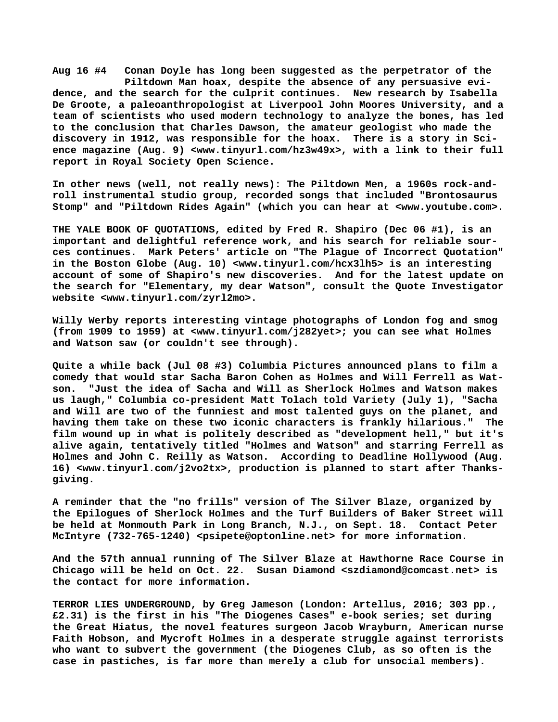**Aug 16 #4 Conan Doyle has long been suggested as the perpetrator of the Piltdown Man hoax, despite the absence of any persuasive evidence, and the search for the culprit continues. New research by Isabella De Groote, a paleoanthropologist at Liverpool John Moores University, and a team of scientists who used modern technology to analyze the bones, has led to the conclusion that Charles Dawson, the amateur geologist who made the discovery in 1912, was responsible for the hoax. There is a story in Science magazine (Aug. 9) [<www.tinyurl.com/hz3w49x>, w](http://www.tinyurl.com/hz3w49x)ith a link to their full report in Royal Society Open Science.**

**In other news (well, not really news): The Piltdown Men, a 1960s rock-androll instrumental studio group, recorded songs that included "Brontosaurus Stomp" and "Piltdown Rides Again" (which you can hear at <[www.youtube.com>.](http://www.youtube.com)**

**THE YALE BOOK OF QUOTATIONS, edited by Fred R. Shapiro (Dec 06 #1), is an important and delightful reference work, and his search for reliable sources continues. Mark Peters' article on "The Plague of Incorrect Quotation" in the Boston Globe (Aug. 10) [<www.tinyurl.com/hcx3lh5> i](http://www.tinyurl.com/hcx3lh5)s an interesting account of some of Shapiro's new discoveries. And for the latest update on the search for "Elementary, my dear Watson", consult the Quote Investigator website [<www.tinyurl.com/zyrl2mo>.](http://www.tinyurl.com/zyrl2mo)**

**Willy Werby reports interesting vintage photographs of London fog and smog (from 1909 to 1959) at [<www.tinyurl.com/j282yet>; y](http://www.tinyurl.com/j282yet)ou can see what Holmes and Watson saw (or couldn't see through).**

**Quite a while back (Jul 08 #3) Columbia Pictures announced plans to film a comedy that would star Sacha Baron Cohen as Holmes and Will Ferrell as Watson. "Just the idea of Sacha and Will as Sherlock Holmes and Watson makes us laugh," Columbia co-president Matt Tolach told Variety (July 1), "Sacha and Will are two of the funniest and most talented guys on the planet, and having them take on these two iconic characters is frankly hilarious." The film wound up in what is politely described as "development hell," but it's alive again, tentatively titled "Holmes and Watson" and starring Ferrell as Holmes and John C. Reilly as Watson. According to Deadline Hollywood (Aug. 16) <[www.tinyurl.com/j2vo2tx>, p](http://www.tinyurl.com/j2vo2tx)roduction is planned to start after Thanksgiving.**

**A reminder that the "no frills" version of The Silver Blaze, organized by the Epilogues of Sherlock Holmes and the Turf Builders of Baker Street will be held at Monmouth Park in Long Branch, N.J., on Sept. 18. Contact Peter McIntyre (732-765-1240) <[psipete@optonline.net> f](mailto:psipete@optonline.net)or more information.**

**And the 57th annual running of The Silver Blaze at Hawthorne Race Course in Chicago will be held on Oct. 22. Susan Diamond [<szdiamond@comcast.net> i](mailto:szdiamond@comcast.net)s the contact for more information.**

**TERROR LIES UNDERGROUND, by Greg Jameson (London: Artellus, 2016; 303 pp., £2.31) is the first in his "The Diogenes Cases" e-book series; set during the Great Hiatus, the novel features surgeon Jacob Wrayburn, American nurse Faith Hobson, and Mycroft Holmes in a desperate struggle against terrorists who want to subvert the government (the Diogenes Club, as so often is the case in pastiches, is far more than merely a club for unsocial members).**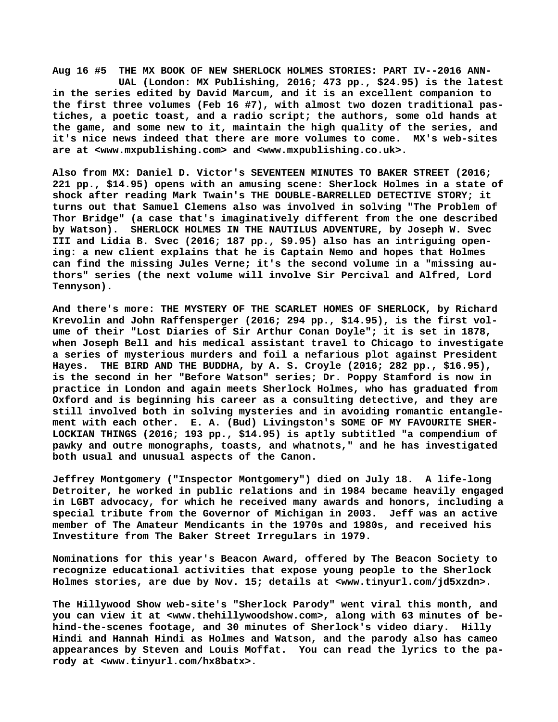**Aug 16 #5 THE MX BOOK OF NEW SHERLOCK HOLMES STORIES: PART IV--2016 ANN- UAL (London: MX Publishing, 2016; 473 pp., \$24.95) is the latest in the series edited by David Marcum, and it is an excellent companion to the first three volumes (Feb 16 #7), with almost two dozen traditional pastiches, a poetic toast, and a radio script; the authors, some old hands at the game, and some new to it, maintain the high quality of the series, and it's nice news indeed that there are more volumes to come. MX's web-sites are at [<www.mxpublishing.com> a](http://www.mxpublishing.com)nd <[www.mxpublishing.co.uk>.](http://www.mxpublishing.co.uk)**

**Also from MX: Daniel D. Victor's SEVENTEEN MINUTES TO BAKER STREET (2016; 221 pp., \$14.95) opens with an amusing scene: Sherlock Holmes in a state of shock after reading Mark Twain's THE DOUBLE-BARRELLED DETECTIVE STORY; it turns out that Samuel Clemens also was involved in solving "The Problem of Thor Bridge" (a case that's imaginatively different from the one described by Watson). SHERLOCK HOLMES IN THE NAUTILUS ADVENTURE, by Joseph W. Svec III and Lidia B. Svec (2016; 187 pp., \$9.95) also has an intriguing opening: a new client explains that he is Captain Nemo and hopes that Holmes can find the missing Jules Verne; it's the second volume in a "missing authors" series (the next volume will involve Sir Percival and Alfred, Lord Tennyson).**

**And there's more: THE MYSTERY OF THE SCARLET HOMES OF SHERLOCK, by Richard Krevolin and John Raffensperger (2016; 294 pp., \$14.95), is the first volume of their "Lost Diaries of Sir Arthur Conan Doyle"; it is set in 1878, when Joseph Bell and his medical assistant travel to Chicago to investigate a series of mysterious murders and foil a nefarious plot against President Hayes. THE BIRD AND THE BUDDHA, by A. S. Croyle (2016; 282 pp., \$16.95), is the second in her "Before Watson" series; Dr. Poppy Stamford is now in practice in London and again meets Sherlock Holmes, who has graduated from Oxford and is beginning his career as a consulting detective, and they are still involved both in solving mysteries and in avoiding romantic entanglement with each other. E. A. (Bud) Livingston's SOME OF MY FAVOURITE SHER-LOCKIAN THINGS (2016; 193 pp., \$14.95) is aptly subtitled "a compendium of pawky and outre monographs, toasts, and whatnots," and he has investigated both usual and unusual aspects of the Canon.**

**Jeffrey Montgomery ("Inspector Montgomery") died on July 18. A life-long Detroiter, he worked in public relations and in 1984 became heavily engaged in LGBT advocacy, for which he received many awards and honors, including a special tribute from the Governor of Michigan in 2003. Jeff was an active member of The Amateur Mendicants in the 1970s and 1980s, and received his Investiture from The Baker Street Irregulars in 1979.**

**Nominations for this year's Beacon Award, offered by The Beacon Society to recognize educational activities that expose young people to the Sherlock Holmes stories, are due by Nov. 15; details at [<www.tinyurl.com/jd5xzdn>.](http://www.tinyurl.com/jd5xzdn)**

**The Hillywood Show web-site's "Sherlock Parody" went viral this month, and you can view it at <[www.thehillywoodshow.com>, a](http://www.thehillywoodshow.com)long with 63 minutes of behind-the-scenes footage, and 30 minutes of Sherlock's video diary. Hilly Hindi and Hannah Hindi as Holmes and Watson, and the parody also has cameo appearances by Steven and Louis Moffat. You can read the lyrics to the parody at [<www.tinyurl.com/hx8batx>.](http://www.tinyurl.com/hx8batx)**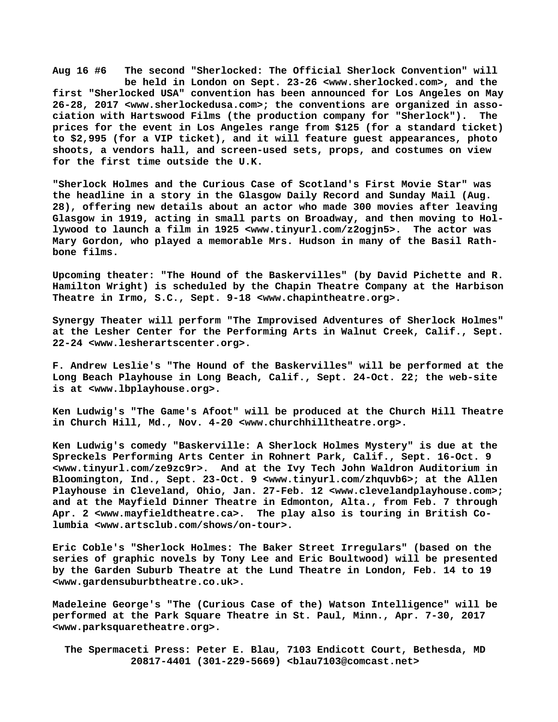**Aug 16 #6 The second "Sherlocked: The Official Sherlock Convention" will be held in London on Sept. 23-26 [<www.sherlocked.com>, a](http://www.sherlocked.com)nd the first "Sherlocked USA" convention has been announced for Los Angeles on May 26-28, 2017 [<www.sherlockedusa.com>; t](http://www.sherlockedusa.com)he conventions are organized in association with Hartswood Films (the production company for "Sherlock"). The prices for the event in Los Angeles range from \$125 (for a standard ticket) to \$2,995 (for a VIP ticket), and it will feature guest appearances, photo shoots, a vendors hall, and screen-used sets, props, and costumes on view for the first time outside the U.K.**

**"Sherlock Holmes and the Curious Case of Scotland's First Movie Star" was the headline in a story in the Glasgow Daily Record and Sunday Mail (Aug. 28), offering new details about an actor who made 300 movies after leaving Glasgow in 1919, acting in small parts on Broadway, and then moving to Hollywood to launch a film in 1925 [<www.tinyurl.com/z2ogjn5>.](http://www.tinyurl.com/z2ogjn5) The actor was Mary Gordon, who played a memorable Mrs. Hudson in many of the Basil Rathbone films.**

**Upcoming theater: "The Hound of the Baskervilles" (by David Pichette and R. Hamilton Wright) is scheduled by the Chapin Theatre Company at the Harbison Theatre in Irmo, S.C., Sept. 9-18 <[www.chapintheatre.org>.](http://www.chapintheatre.org)**

**Synergy Theater will perform "The Improvised Adventures of Sherlock Holmes" at the Lesher Center for the Performing Arts in Walnut Creek, Calif., Sept. 22-24 <[www.lesherartscenter.org>.](http://www.lesherartscenter.org)**

**F. Andrew Leslie's "The Hound of the Baskervilles" will be performed at the Long Beach Playhouse in Long Beach, Calif., Sept. 24-Oct. 22; the web-site is at <[www.lbplayhouse.org>.](http://www.lbplayhouse.org)**

**Ken Ludwig's "The Game's Afoot" will be produced at the Church Hill Theatre in Church Hill, Md., Nov. 4-20 <[www.churchhilltheatre.org>.](http://www.churchhilltheatre.org)**

**Ken Ludwig's comedy "Baskerville: A Sherlock Holmes Mystery" is due at the Spreckels Performing Arts Center in Rohnert Park, Calif., Sept. 16-Oct. 9 [<www.tinyurl.com/ze9zc9r>.](http://www.tinyurl.com/ze9zc9r) And at the Ivy Tech John Waldron Auditorium in Bloomington, Ind., Sept. 23-Oct. 9 [<www.tinyurl.com/zhquvb6>; a](http://www.tinyurl.com/zhquvb6)t the Allen Playhouse in Cleveland, Ohio, Jan. 27-Feb. 12 <[www.clevelandplayhouse.com>;](http://www.clevelandplayhouse.com) and at the Mayfield Dinner Theatre in Edmonton, Alta., from Feb. 7 through Apr. 2 [<www.mayfieldtheatre.ca>.](http://www.mayfieldtheatre.ca) The play also is touring in British Columbia [<www.artsclub.com/shows/on-tour>.](http://www.artsclub.com/shows/on-tour)**

**Eric Coble's "Sherlock Holmes: The Baker Street Irregulars" (based on the series of graphic novels by Tony Lee and Eric Boultwood) will be presented by the Garden Suburb Theatre at the Lund Theatre in London, Feb. 14 to 19 [<www.gardensuburbtheatre.co.uk>.](http://www.gardensuburbtheatre.co.uk)**

**Madeleine George's "The (Curious Case of the) Watson Intelligence" will be performed at the Park Square Theatre in St. Paul, Minn., Apr. 7-30, 2017 [<www.parksquaretheatre.org>.](http://www.parksquaretheatre.org)**

 **The Spermaceti Press: Peter E. Blau, 7103 Endicott Court, Bethesda, MD 20817-4401 (301-229-5669) <[blau7103@comcast.net>](mailto:blau7103@comcast.net)**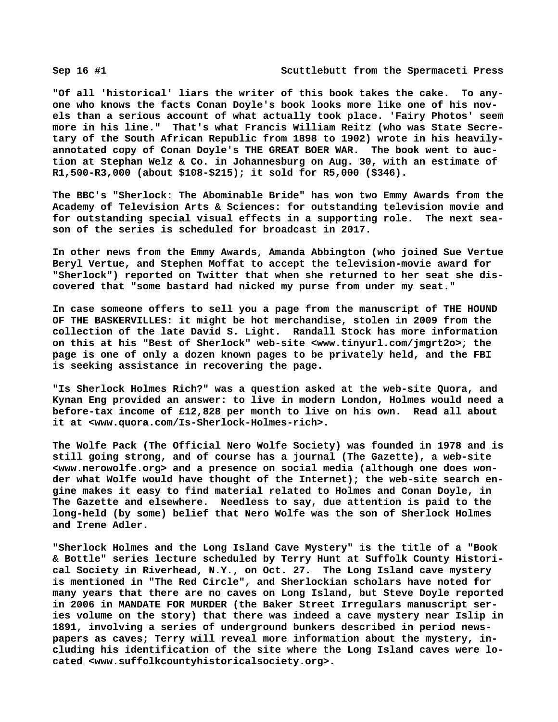**"Of all 'historical' liars the writer of this book takes the cake. To anyone who knows the facts Conan Doyle's book looks more like one of his novels than a serious account of what actually took place. 'Fairy Photos' seem more in his line." That's what Francis William Reitz (who was State Secretary of the South African Republic from 1898 to 1902) wrote in his heavilyannotated copy of Conan Doyle's THE GREAT BOER WAR. The book went to auction at Stephan Welz & Co. in Johannesburg on Aug. 30, with an estimate of R1,500-R3,000 (about \$108-\$215); it sold for R5,000 (\$346).**

**The BBC's "Sherlock: The Abominable Bride" has won two Emmy Awards from the Academy of Television Arts & Sciences: for outstanding television movie and for outstanding special visual effects in a supporting role. The next season of the series is scheduled for broadcast in 2017.**

**In other news from the Emmy Awards, Amanda Abbington (who joined Sue Vertue Beryl Vertue, and Stephen Moffat to accept the television-movie award for "Sherlock") reported on Twitter that when she returned to her seat she discovered that "some bastard had nicked my purse from under my seat."**

**In case someone offers to sell you a page from the manuscript of THE HOUND OF THE BASKERVILLES: it might be hot merchandise, stolen in 2009 from the collection of the late David S. Light. Randall Stock has more information on this at his "Best of Sherlock" web-site [<www.tinyurl.com/jmgrt2o>; t](http://www.tinyurl.com/jmgrt2o)he page is one of only a dozen known pages to be privately held, and the FBI is seeking assistance in recovering the page.**

**"Is Sherlock Holmes Rich?" was a question asked at the web-site Quora, and Kynan Eng provided an answer: to live in modern London, Holmes would need a before-tax income of £12,828 per month to live on his own. Read all about it at <[www.quora.com/Is-Sherlock-Holmes-rich>.](http://www.quora.com/Is-Sherlock-Holmes-rich)**

**The Wolfe Pack (The Official Nero Wolfe Society) was founded in 1978 and is still going strong, and of course has a journal (The Gazette), a web-site [<www.nerowolfe.org> a](http://www.nerowolfe.org)nd a presence on social media (although one does wonder what Wolfe would have thought of the Internet); the web-site search engine makes it easy to find material related to Holmes and Conan Doyle, in The Gazette and elsewhere. Needless to say, due attention is paid to the long-held (by some) belief that Nero Wolfe was the son of Sherlock Holmes and Irene Adler.**

**"Sherlock Holmes and the Long Island Cave Mystery" is the title of a "Book & Bottle" series lecture scheduled by Terry Hunt at Suffolk County Historical Society in Riverhead, N.Y., on Oct. 27. The Long Island cave mystery is mentioned in "The Red Circle", and Sherlockian scholars have noted for many years that there are no caves on Long Island, but Steve Doyle reported in 2006 in MANDATE FOR MURDER (the Baker Street Irregulars manuscript series volume on the story) that there was indeed a cave mystery near Islip in 1891, involving a series of underground bunkers described in period newspapers as caves; Terry will reveal more information about the mystery, including his identification of the site where the Long Island caves were located <[www.suffolkcountyhistoricalsociety.org>.](http://www.suffolkcountyhistoricalsociety.org)**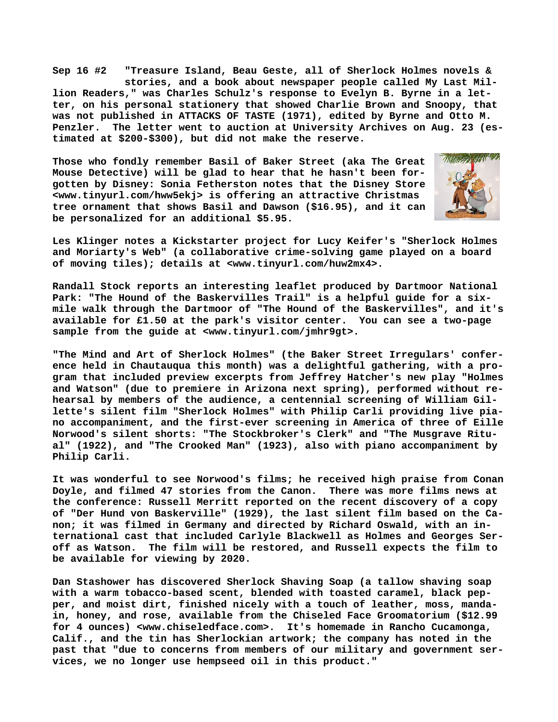**Sep 16 #2 "Treasure Island, Beau Geste, all of Sherlock Holmes novels & stories, and a book about newspaper people called My Last Million Readers," was Charles Schulz's response to Evelyn B. Byrne in a letter, on his personal stationery that showed Charlie Brown and Snoopy, that was not published in ATTACKS OF TASTE (1971), edited by Byrne and Otto M. Penzler. The letter went to auction at University Archives on Aug. 23 (estimated at \$200-\$300), but did not make the reserve.**

**Those who fondly remember Basil of Baker Street (aka The Great Mouse Detective) will be glad to hear that he hasn't been forgotten by Disney: Sonia Fetherston notes that the Disney Store [<www.tinyurl.com/hww5ekj> i](http://www.tinyurl.com/hww5ekj)s offering an attractive Christmas tree ornament that shows Basil and Dawson (\$16.95), and it can be personalized for an additional \$5.95.**



**Les Klinger notes a Kickstarter project for Lucy Keifer's "Sherlock Holmes and Moriarty's Web" (a collaborative crime-solving game played on a board of moving tiles); details at <[www.tinyurl.com/huw2mx4>.](http://www.tinyurl.com/huw2mx4)**

**Randall Stock reports an interesting leaflet produced by Dartmoor National Park: "The Hound of the Baskervilles Trail" is a helpful guide for a sixmile walk through the Dartmoor of "The Hound of the Baskervilles", and it's available for £1.50 at the park's visitor center. You can see a two-page sample from the guide at [<www.tinyurl.com/jmhr9gt>.](http://www.tinyurl.com/jmhr9gt)**

**"The Mind and Art of Sherlock Holmes" (the Baker Street Irregulars' conference held in Chautauqua this month) was a delightful gathering, with a program that included preview excerpts from Jeffrey Hatcher's new play "Holmes and Watson" (due to premiere in Arizona next spring), performed without rehearsal by members of the audience, a centennial screening of William Gillette's silent film "Sherlock Holmes" with Philip Carli providing live piano accompaniment, and the first-ever screening in America of three of Eille Norwood's silent shorts: "The Stockbroker's Clerk" and "The Musgrave Ritual" (1922), and "The Crooked Man" (1923), also with piano accompaniment by Philip Carli.**

**It was wonderful to see Norwood's films; he received high praise from Conan Doyle, and filmed 47 stories from the Canon. There was more films news at the conference: Russell Merritt reported on the recent discovery of a copy of "Der Hund von Baskerville" (1929), the last silent film based on the Canon; it was filmed in Germany and directed by Richard Oswald, with an international cast that included Carlyle Blackwell as Holmes and Georges Seroff as Watson. The film will be restored, and Russell expects the film to be available for viewing by 2020.**

**Dan Stashower has discovered Sherlock Shaving Soap (a tallow shaving soap with a warm tobacco-based scent, blended with toasted caramel, black pepper, and moist dirt, finished nicely with a touch of leather, moss, mandain, honey, and rose, available from the Chiseled Face Groomatorium (\$12.99 for 4 ounces) <[www.chiseledface.com>.](http://www.chiseledface.com) It's homemade in Rancho Cucamonga, Calif., and the tin has Sherlockian artwork; the company has noted in the past that "due to concerns from members of our military and government services, we no longer use hempseed oil in this product."**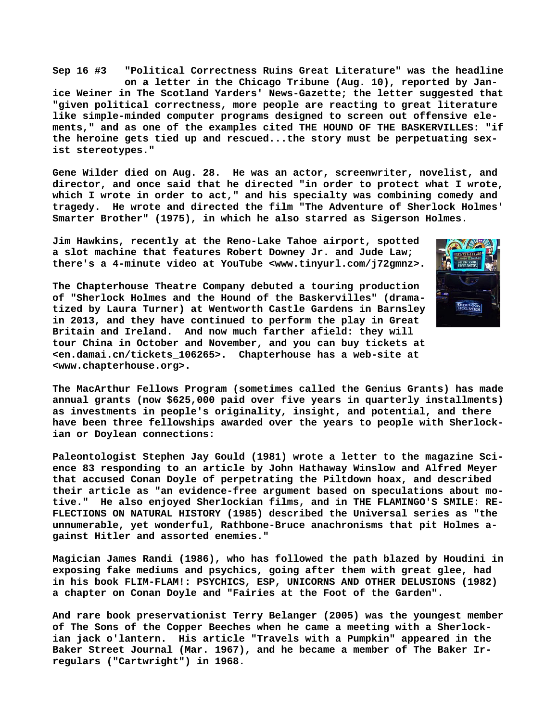**Sep 16 #3 "Political Correctness Ruins Great Literature" was the headline on a letter in the Chicago Tribune (Aug. 10), reported by Janice Weiner in The Scotland Yarders' News-Gazette; the letter suggested that "given political correctness, more people are reacting to great literature like simple-minded computer programs designed to screen out offensive elements," and as one of the examples cited THE HOUND OF THE BASKERVILLES: "if the heroine gets tied up and rescued...the story must be perpetuating sexist stereotypes."**

**Gene Wilder died on Aug. 28. He was an actor, screenwriter, novelist, and director, and once said that he directed "in order to protect what I wrote, which I wrote in order to act," and his specialty was combining comedy and tragedy. He wrote and directed the film "The Adventure of Sherlock Holmes' Smarter Brother" (1975), in which he also starred as Sigerson Holmes.**

**Jim Hawkins, recently at the Reno-Lake Tahoe airport, spotted a slot machine that features Robert Downey Jr. and Jude Law; there's a 4-minute video at YouTube <[www.tinyurl.com/j72gmnz>.](http://www.tinyurl.com/j72gmnz)**



**The Chapterhouse Theatre Company debuted a touring production of "Sherlock Holmes and the Hound of the Baskervilles" (dramatized by Laura Turner) at Wentworth Castle Gardens in Barnsley in 2013, and they have continued to perform the play in Great Britain and Ireland. And now much farther afield: they will tour China in October and November, and you can buy tickets at <en.damai.cn/tickets\_106265>. Chapterhouse has a web-site at [<www.chapterhouse.org>.](http://www.chapterhouse.org)**

**The MacArthur Fellows Program (sometimes called the Genius Grants) has made annual grants (now \$625,000 paid over five years in quarterly installments) as investments in people's originality, insight, and potential, and there have been three fellowships awarded over the years to people with Sherlockian or Doylean connections:**

**Paleontologist Stephen Jay Gould (1981) wrote a letter to the magazine Science 83 responding to an article by John Hathaway Winslow and Alfred Meyer that accused Conan Doyle of perpetrating the Piltdown hoax, and described their article as "an evidence-free argument based on speculations about motive." He also enjoyed Sherlockian films, and in THE FLAMINGO'S SMILE: RE-FLECTIONS ON NATURAL HISTORY (1985) described the Universal series as "the unnumerable, yet wonderful, Rathbone-Bruce anachronisms that pit Holmes against Hitler and assorted enemies."**

**Magician James Randi (1986), who has followed the path blazed by Houdini in exposing fake mediums and psychics, going after them with great glee, had in his book FLIM-FLAM!: PSYCHICS, ESP, UNICORNS AND OTHER DELUSIONS (1982) a chapter on Conan Doyle and "Fairies at the Foot of the Garden".**

**And rare book preservationist Terry Belanger (2005) was the youngest member of The Sons of the Copper Beeches when he came a meeting with a Sherlockian jack o'lantern. His article "Travels with a Pumpkin" appeared in the Baker Street Journal (Mar. 1967), and he became a member of The Baker Irregulars ("Cartwright") in 1968.**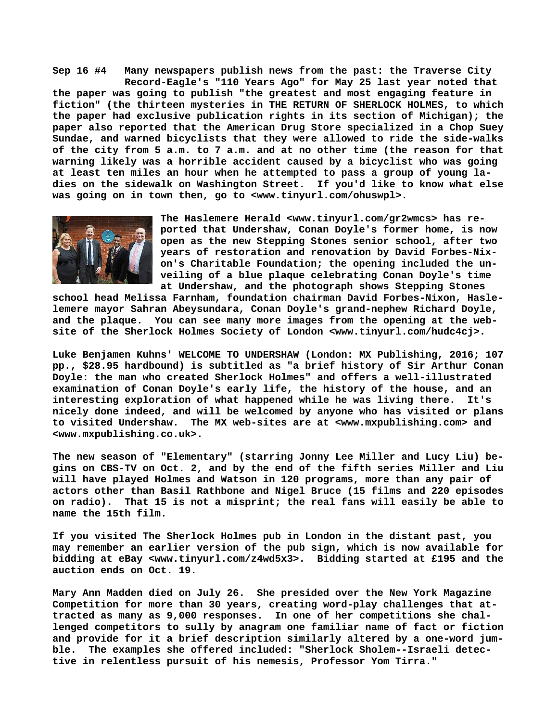**Sep 16 #4 Many newspapers publish news from the past: the Traverse City Record-Eagle's "110 Years Ago" for May 25 last year noted that the paper was going to publish "the greatest and most engaging feature in fiction" (the thirteen mysteries in THE RETURN OF SHERLOCK HOLMES, to which the paper had exclusive publication rights in its section of Michigan); the paper also reported that the American Drug Store specialized in a Chop Suey Sundae, and warned bicyclists that they were allowed to ride the side-walks of the city from 5 a.m. to 7 a.m. and at no other time (the reason for that warning likely was a horrible accident caused by a bicyclist who was going at least ten miles an hour when he attempted to pass a group of young ladies on the sidewalk on Washington Street. If you'd like to know what else was going on in town then, go to [<www.tinyurl.com/ohuswpl>.](http://www.tinyurl.com/ohuswpl)**



**The Haslemere Herald [<www.tinyurl.com/gr2wmcs> h](http://www.tinyurl.com/gr2wmcs)as reported that Undershaw, Conan Doyle's former home, is now open as the new Stepping Stones senior school, after two years of restoration and renovation by David Forbes-Nixon's Charitable Foundation; the opening included the unveiling of a blue plaque celebrating Conan Doyle's time at Undershaw, and the photograph shows Stepping Stones**

**school head Melissa Farnham, foundation chairman David Forbes-Nixon, Haslelemere mayor Sahran Abeysundara, Conan Doyle's grand-nephew Richard Doyle, and the plaque. You can see many more images from the opening at the website of the Sherlock Holmes Society of London <[www.tinyurl.com/hudc4cj>.](http://www.tinyurl.com/hudc4cj)**

**Luke Benjamen Kuhns' WELCOME TO UNDERSHAW (London: MX Publishing, 2016; 107 pp., \$28.95 hardbound) is subtitled as "a brief history of Sir Arthur Conan Doyle: the man who created Sherlock Holmes" and offers a well-illustrated examination of Conan Doyle's early life, the history of the house, and an interesting exploration of what happened while he was living there. It's nicely done indeed, and will be welcomed by anyone who has visited or plans to visited Undershaw. The MX web-sites are at [<www.mxpublishing.com> a](http://www.mxpublishing.com)nd [<www.mxpublishing.co.uk>.](http://www.mxpublishing.co.uk)**

**The new season of "Elementary" (starring Jonny Lee Miller and Lucy Liu) begins on CBS-TV on Oct. 2, and by the end of the fifth series Miller and Liu will have played Holmes and Watson in 120 programs, more than any pair of actors other than Basil Rathbone and Nigel Bruce (15 films and 220 episodes on radio). That 15 is not a misprint; the real fans will easily be able to name the 15th film.**

**If you visited The Sherlock Holmes pub in London in the distant past, you may remember an earlier version of the pub sign, which is now available for bidding at eBay <[www.tinyurl.com/z4wd5x3>.](http://www.tinyurl.com/z4wd5x3) Bidding started at £195 and the auction ends on Oct. 19.**

**Mary Ann Madden died on July 26. She presided over the New York Magazine Competition for more than 30 years, creating word-play challenges that attracted as many as 9,000 responses. In one of her competitions she challenged competitors to sully by anagram one familiar name of fact or fiction and provide for it a brief description similarly altered by a one-word jumble. The examples she offered included: "Sherlock Sholem--Israeli detective in relentless pursuit of his nemesis, Professor Yom Tirra."**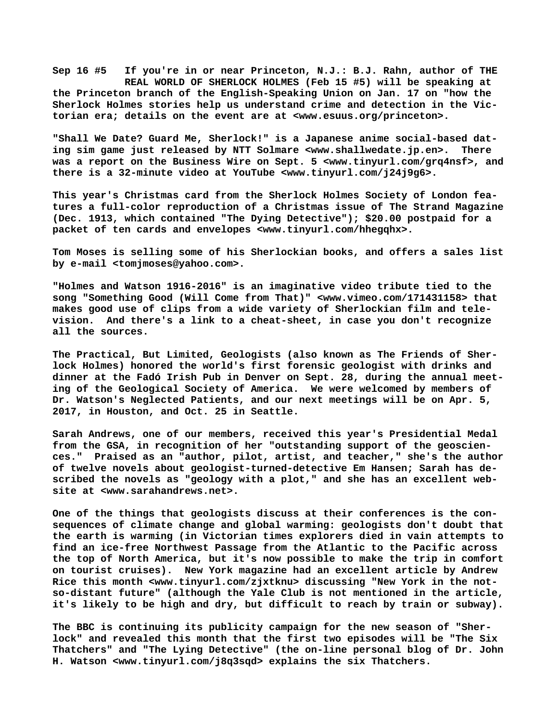**Sep 16 #5 If you're in or near Princeton, N.J.: B.J. Rahn, author of THE REAL WORLD OF SHERLOCK HOLMES (Feb 15 #5) will be speaking at the Princeton branch of the English-Speaking Union on Jan. 17 on "how the Sherlock Holmes stories help us understand crime and detection in the Victorian era; details on the event are at [<www.esuus.org/princeton>.](http://www.esuus.org/princeton)**

**"Shall We Date? Guard Me, Sherlock!" is a Japanese anime social-based dating sim game just released by NTT Solmare [<www.shallwedate.jp.en>.](http://www.shallwedate.jp.en) There was a report on the Business Wire on Sept. 5 [<www.tinyurl.com/grq4nsf>, a](http://www.tinyurl.com/grq4nsf)nd there is a 32-minute video at YouTube [<www.tinyurl.com/j24j9g6>.](http://www.tinyurl.com/j24j9g6)**

**This year's Christmas card from the Sherlock Holmes Society of London features a full-color reproduction of a Christmas issue of The Strand Magazine (Dec. 1913, which contained "The Dying Detective"); \$20.00 postpaid for a packet of ten cards and envelopes <[www.tinyurl.com/hhegqhx>.](http://www.tinyurl.com/hhegqhx)**

**Tom Moses is selling some of his Sherlockian books, and offers a sales list by e-mail [<tomjmoses@yahoo.com>.](mailto:tomjmoses@yahoo.com)**

**"Holmes and Watson 1916-2016" is an imaginative video tribute tied to the song "Something Good (Will Come from That)" <[www.vimeo.com/171431158> t](http://www.vimeo.com/171431158)hat makes good use of clips from a wide variety of Sherlockian film and television. And there's a link to a cheat-sheet, in case you don't recognize all the sources.**

**The Practical, But Limited, Geologists (also known as The Friends of Sherlock Holmes) honored the world's first forensic geologist with drinks and dinner at the Fadó Irish Pub in Denver on Sept. 28, during the annual meeting of the Geological Society of America. We were welcomed by members of Dr. Watson's Neglected Patients, and our next meetings will be on Apr. 5, 2017, in Houston, and Oct. 25 in Seattle.**

**Sarah Andrews, one of our members, received this year's Presidential Medal from the GSA, in recognition of her "outstanding support of the geosciences." Praised as an "author, pilot, artist, and teacher," she's the author of twelve novels about geologist-turned-detective Em Hansen; Sarah has described the novels as "geology with a plot," and she has an excellent website at [<www.sarahandrews.net>.](http://www.sarahandrews.net)**

**One of the things that geologists discuss at their conferences is the consequences of climate change and global warming: geologists don't doubt that the earth is warming (in Victorian times explorers died in vain attempts to find an ice-free Northwest Passage from the Atlantic to the Pacific across the top of North America, but it's now possible to make the trip in comfort on tourist cruises). New York magazine had an excellent article by Andrew Rice this month <[www.tinyurl.com/zjxtknu> d](http://www.tinyurl.com/zjxtknu)iscussing "New York in the notso-distant future" (although the Yale Club is not mentioned in the article, it's likely to be high and dry, but difficult to reach by train or subway).**

**The BBC is continuing its publicity campaign for the new season of "Sherlock" and revealed this month that the first two episodes will be "The Six Thatchers" and "The Lying Detective" (the on-line personal blog of Dr. John H. Watson [<www.tinyurl.com/j8q3sqd> e](http://www.tinyurl.com/j8q3sqd)xplains the six Thatchers.**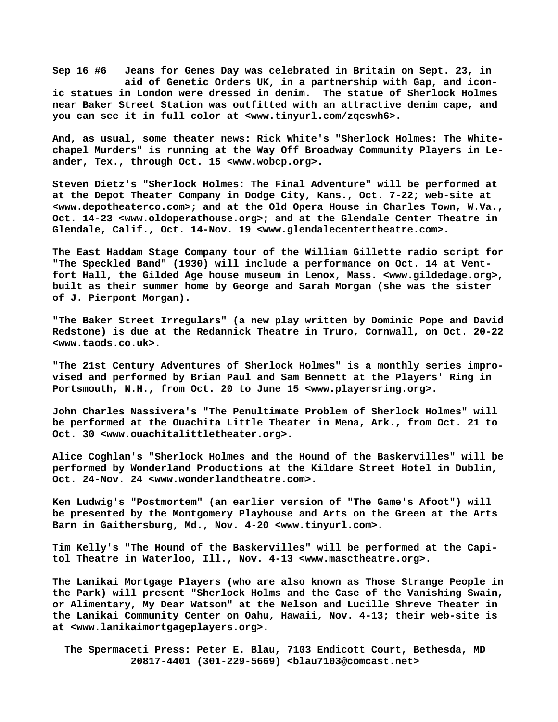**Sep 16 #6 Jeans for Genes Day was celebrated in Britain on Sept. 23, in aid of Genetic Orders UK, in a partnership with Gap, and iconic statues in London were dressed in denim. The statue of Sherlock Holmes near Baker Street Station was outfitted with an attractive denim cape, and you can see it in full color at [<www.tinyurl.com/zqcswh6>.](http://www.tinyurl.com/zqcswh6)**

**And, as usual, some theater [news: Rick W](news:Rick)hite's "Sherlock Holmes: The Whitechapel Murders" is running at the Way Off Broadway Community Players in Leander, Tex., through Oct. 15 <[www.wobcp.org>.](http://www.wobcp.org)**

**Steven Dietz's "Sherlock Holmes: The Final Adventure" will be performed at at the Depot Theater Company in Dodge City, Kans., Oct. 7-22; web-site at [<www.depotheaterco.com>; a](http://www.depotheaterco.com)nd at the Old Opera House in Charles Town, W.Va., Oct. 14-23 <[www.oldoperathouse.org>; a](http://www.oldoperathouse.org)nd at the Glendale Center Theatre in Glendale, Calif., Oct. 14-Nov. 19 <[www.glendalecentertheatre.com>.](http://www.glendalecentertheatre.com)**

**The East Haddam Stage Company tour of the William Gillette radio script for "The Speckled Band" (1930) will include a performance on Oct. 14 at Ventfort Hall, the Gilded Age house museum in Lenox, Mass. [<www.gildedage.org>,](http://www.gildedage.org) built as their summer home by George and Sarah Morgan (she was the sister of J. Pierpont Morgan).**

**"The Baker Street Irregulars" (a new play written by Dominic Pope and David Redstone) is due at the Redannick Theatre in Truro, Cornwall, on Oct. 20-22 [<www.taods.co.uk>.](http://www.taods.co.uk)**

**"The 21st Century Adventures of Sherlock Holmes" is a monthly series improvised and performed by Brian Paul and Sam Bennett at the Players' Ring in Portsmouth, N.H., from Oct. 20 to June 15 [<www.playersring.org>.](http://www.playersring.org)**

**John Charles Nassivera's "The Penultimate Problem of Sherlock Holmes" will be performed at the Ouachita Little Theater in Mena, Ark., from Oct. 21 to Oct. 30 [<www.ouachitalittletheater.org>.](http://www.ouachitalittletheater.org)**

**Alice Coghlan's "Sherlock Holmes and the Hound of the Baskervilles" will be performed by Wonderland Productions at the Kildare Street Hotel in Dublin, Oct. 24-Nov. 24 <[www.wonderlandtheatre.com>.](http://www.wonderlandtheatre.com)**

**Ken Ludwig's "Postmortem" (an earlier version of "The Game's Afoot") will be presented by the Montgomery Playhouse and Arts on the Green at the Arts Barn in Gaithersburg, Md., Nov. 4-20 [<www.tinyurl.com>.](http://www.tinyurl.com)**

**Tim Kelly's "The Hound of the Baskervilles" will be performed at the Capitol Theatre in Waterloo, Ill., Nov. 4-13 <[www.masctheatre.org>.](http://www.masctheatre.org)**

**The Lanikai Mortgage Players (who are also known as Those Strange People in the Park) will present "Sherlock Holms and the Case of the Vanishing Swain, or Alimentary, My Dear Watson" at the Nelson and Lucille Shreve Theater in the Lanikai Community Center on Oahu, Hawaii, Nov. 4-13; their web-site is at [<www.lanikaimortgageplayers.org>.](http://www.lanikaimortgageplayers.org)**

 **The Spermaceti Press: Peter E. Blau, 7103 Endicott Court, Bethesda, MD 20817-4401 (301-229-5669) <[blau7103@comcast.net>](mailto:blau7103@comcast.net)**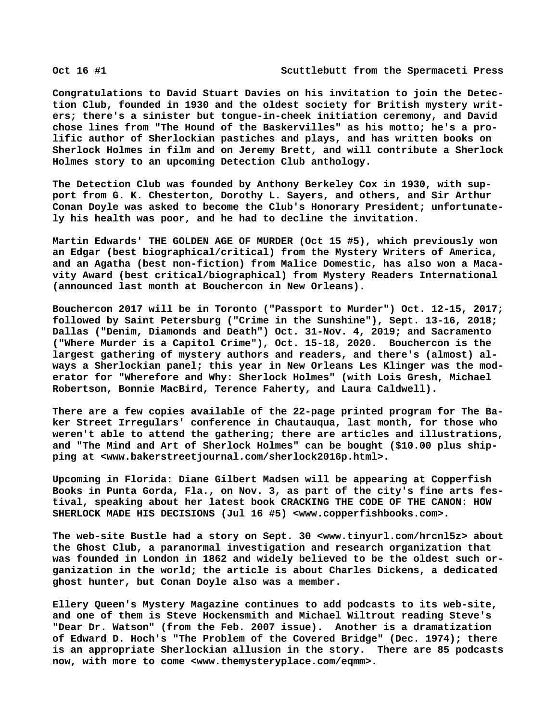**Congratulations to David Stuart Davies on his invitation to join the Detection Club, founded in 1930 and the oldest society for British mystery writers; there's a sinister but tongue-in-cheek initiation ceremony, and David chose lines from "The Hound of the Baskervilles" as his motto; he's a prolific author of Sherlockian pastiches and plays, and has written books on Sherlock Holmes in film and on Jeremy Brett, and will contribute a Sherlock Holmes story to an upcoming Detection Club anthology.**

**The Detection Club was founded by Anthony Berkeley Cox in 1930, with support from G. K. Chesterton, Dorothy L. Sayers, and others, and Sir Arthur Conan Doyle was asked to become the Club's Honorary President; unfortunately his health was poor, and he had to decline the invitation.**

**Martin Edwards' THE GOLDEN AGE OF MURDER (Oct 15 #5), which previously won an Edgar (best biographical/critical) from the Mystery Writers of America, and an Agatha (best non-fiction) from Malice Domestic, has also won a Macavity Award (best critical/biographical) from Mystery Readers International (announced last month at Bouchercon in New Orleans).**

**Bouchercon 2017 will be in Toronto ("Passport to Murder") Oct. 12-15, 2017; followed by Saint Petersburg ("Crime in the Sunshine"), Sept. 13-16, 2018; Dallas ("Denim, Diamonds and Death") Oct. 31-Nov. 4, 2019; and Sacramento ("Where Murder is a Capitol Crime"), Oct. 15-18, 2020. Bouchercon is the largest gathering of mystery authors and readers, and there's (almost) always a Sherlockian panel; this year in New Orleans Les Klinger was the moderator for "Wherefore and Why: Sherlock Holmes" (with Lois Gresh, Michael Robertson, Bonnie MacBird, Terence Faherty, and Laura Caldwell).**

**There are a few copies available of the 22-page printed program for The Baker Street Irregulars' conference in Chautauqua, last month, for those who weren't able to attend the gathering; there are articles and illustrations, and "The Mind and Art of Sherlock Holmes" can be bought (\$10.00 plus shipping at [<www.bakerstreetjournal.com/sherlock2016p.html>.](http://www.bakerstreetjournal.com/sherlock2016p.html)**

**Upcoming in Florida: Diane Gilbert Madsen will be appearing at Copperfish Books in Punta Gorda, Fla., on Nov. 3, as part of the city's fine arts festival, speaking about her latest book CRACKING THE CODE OF THE CANON: HOW SHERLOCK MADE HIS DECISIONS (Jul 16 #5) [<www.copperfishbooks.com>.](http://www.copperfishbooks.com)**

**The web-site Bustle had a story on Sept. 30 <[www.tinyurl.com/hrcnl5z> a](http://www.tinyurl.com/hrcnl5z)bout the Ghost Club, a paranormal investigation and research organization that was founded in London in 1862 and widely believed to be the oldest such organization in the world; the article is about Charles Dickens, a dedicated ghost hunter, but Conan Doyle also was a member.**

**Ellery Queen's Mystery Magazine continues to add podcasts to its web-site, and one of them is Steve Hockensmith and Michael Wiltrout reading Steve's "Dear Dr. Watson" (from the Feb. 2007 issue). Another is a dramatization of Edward D. Hoch's "The Problem of the Covered Bridge" (Dec. 1974); there is an appropriate Sherlockian allusion in the story. There are 85 podcasts now, with more to come [<www.themysteryplace.com/eqmm>.](http://www.themysteryplace.com/eqmm)**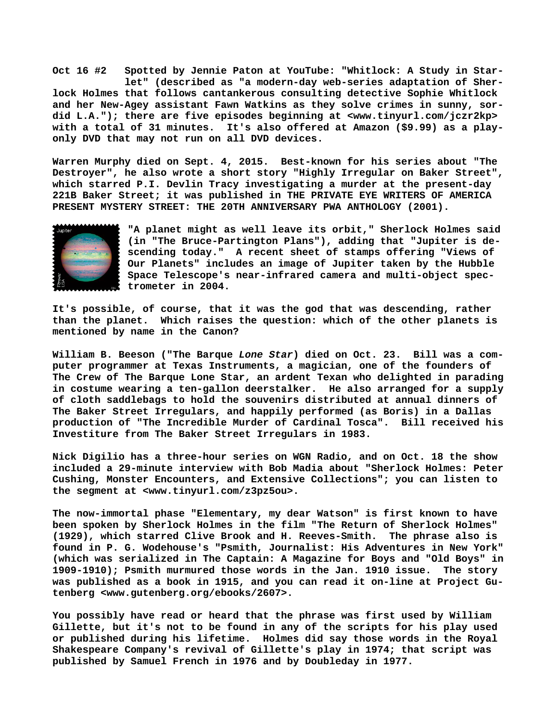**Oct 16 #2 Spotted by Jennie Paton at YouTube: "Whitlock: A Study in Star let" (described as "a modern-day web-series adaptation of Sherlock Holmes that follows cantankerous consulting detective Sophie Whitlock and her New-Agey assistant Fawn Watkins as they solve crimes in sunny, sordid L.A."); there are five episodes beginning at <[www.tinyurl.com/jczr2kp>](http://www.tinyurl.com/jczr2kp) with a total of 31 minutes. It's also offered at Amazon (\$9.99) as a playonly DVD that may not run on all DVD devices.**

**Warren Murphy died on Sept. 4, 2015. Best-known for his series about "The Destroyer", he also wrote a short story "Highly Irregular on Baker Street", which starred P.I. Devlin Tracy investigating a murder at the present-day 221B Baker Street; it was published in THE PRIVATE EYE WRITERS OF AMERICA PRESENT MYSTERY STREET: THE 20TH ANNIVERSARY PWA ANTHOLOGY (2001).**



**"A planet might as well leave its orbit," Sherlock Holmes said (in "The Bruce-Partington Plans"), adding that "Jupiter is descending today." A recent sheet of stamps offering "Views of Our Planets" includes an image of Jupiter taken by the Hubble Space Telescope's near-infrared camera and multi-object spectrometer in 2004.**

**It's possible, of course, that it was the god that was descending, rather than the planet. Which raises the question: which of the other planets is mentioned by name in the Canon?**

**William B. Beeson ("The Barque** *Lone Star***) died on Oct. 23. Bill was a computer programmer at Texas Instruments, a magician, one of the founders of The Crew of The Barque Lone Star, an ardent Texan who delighted in parading in costume wearing a ten-gallon deerstalker. He also arranged for a supply of cloth saddlebags to hold the souvenirs distributed at annual dinners of The Baker Street Irregulars, and happily performed (as Boris) in a Dallas production of "The Incredible Murder of Cardinal Tosca". Bill received his Investiture from The Baker Street Irregulars in 1983.**

**Nick Digilio has a three-hour series on WGN Radio, and on Oct. 18 the show included a 29-minute interview with Bob Madia about "Sherlock Holmes: Peter Cushing, Monster Encounters, and Extensive Collections"; you can listen to the segment at [<www.tinyurl.com/z3pz5ou>.](http://www.tinyurl.com/z3pz5ou)**

**The now-immortal phase "Elementary, my dear Watson" is first known to have been spoken by Sherlock Holmes in the film "The Return of Sherlock Holmes" (1929), which starred Clive Brook and H. Reeves-Smith. The phrase also is found in P. G. Wodehouse's "Psmith, Journalist: His Adventures in New York" (which was serialized in The Captain: A Magazine for Boys and "Old Boys" in 1909-1910); Psmith murmured those words in the Jan. 1910 issue. The story was published as a book in 1915, and you can read it on-line at Project Gutenberg [<www.gutenberg.org/ebooks/2607>.](http://www.gutenberg.org/ebooks/2607)**

**You possibly have read or heard that the phrase was first used by William Gillette, but it's not to be found in any of the scripts for his play used or published during his lifetime. Holmes did say those words in the Royal Shakespeare Company's revival of Gillette's play in 1974; that script was published by Samuel French in 1976 and by Doubleday in 1977.**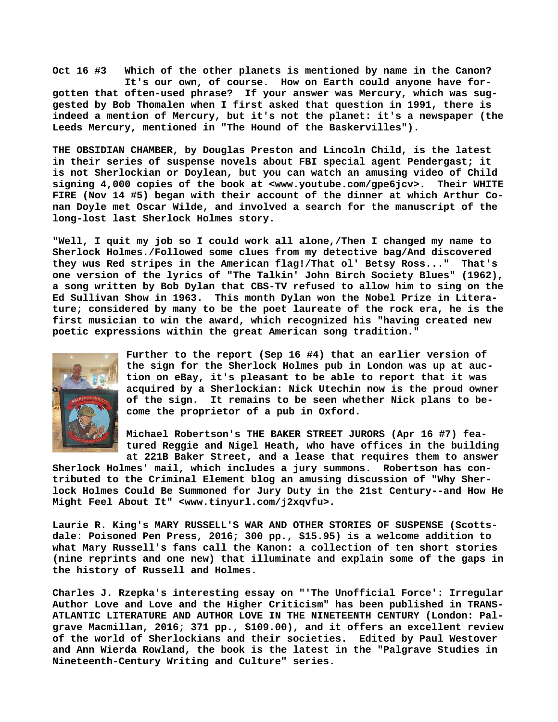**Oct 16 #3 Which of the other planets is mentioned by name in the Canon? It's our own, of course. How on Earth could anyone have forgotten that often-used phrase? If your answer was Mercury, which was suggested by Bob Thomalen when I first asked that question in 1991, there is indeed a mention of Mercury, but it's not the planet: it's a newspaper (the Leeds Mercury, mentioned in "The Hound of the Baskervilles").**

**THE OBSIDIAN CHAMBER, by Douglas Preston and Lincoln Child, is the latest in their series of suspense novels about FBI special agent Pendergast; it is not Sherlockian or Doylean, but you can watch an amusing video of Child signing 4,000 copies of the book at <[www.youtube.com/gpe6jcv>.](http://www.youtube.com/gpe6jcv) Their WHITE FIRE (Nov 14 #5) began with their account of the dinner at which Arthur Conan Doyle met Oscar Wilde, and involved a search for the manuscript of the long-lost last Sherlock Holmes story.**

**"Well, I quit my job so I could work all alone,/Then I changed my name to Sherlock Holmes./Followed some clues from my detective bag/And discovered they wus Red stripes in the American flag!/That ol' Betsy Ross..." That's one version of the lyrics of "The Talkin' John Birch Society Blues" (1962), a song written by Bob Dylan that CBS-TV refused to allow him to sing on the Ed Sullivan Show in 1963. This month Dylan won the Nobel Prize in Literature; considered by many to be the poet laureate of the rock era, he is the first musician to win the award, which recognized his "having created new poetic expressions within the great American song tradition."**



**Further to the report (Sep 16 #4) that an earlier version of the sign for the Sherlock Holmes pub in London was up at auction on eBay, it's pleasant to be able to report that it was acquired by a Sherlockian: Nick Utechin now is the proud owner of the sign. It remains to be seen whether Nick plans to become the proprietor of a pub in Oxford.**

**Michael Robertson's THE BAKER STREET JURORS (Apr 16 #7) featured Reggie and Nigel Heath, who have offices in the building**

**at 221B Baker Street, and a lease that requires them to answer Sherlock Holmes' mail, which includes a jury summons. Robertson has contributed to the Criminal Element blog an amusing discussion of "Why Sherlock Holmes Could Be Summoned for Jury Duty in the 21st Century--and How He Might Feel About It" <[www.tinyurl.com/j2xqvfu>.](http://www.tinyurl.com/j2xqvfu)**

**Laurie R. King's MARY RUSSELL'S WAR AND OTHER STORIES OF SUSPENSE (Scottsdale: Poisoned Pen Press, 2016; 300 pp., \$15.95) is a welcome addition to what Mary Russell's fans call the Kanon: a collection of ten short stories (nine reprints and one new) that illuminate and explain some of the gaps in the history of Russell and Holmes.**

**Charles J. Rzepka's interesting essay on "'The Unofficial Force': Irregular Author Love and Love and the Higher Criticism" has been published in TRANS-ATLANTIC LITERATURE AND AUTHOR LOVE IN THE NINETEENTH CENTURY (London: Palgrave Macmillan, 2016; 371 pp., \$109.00), and it offers an excellent review of the world of Sherlockians and their societies. Edited by Paul Westover and Ann Wierda Rowland, the book is the latest in the "Palgrave Studies in Nineteenth-Century Writing and Culture" series.**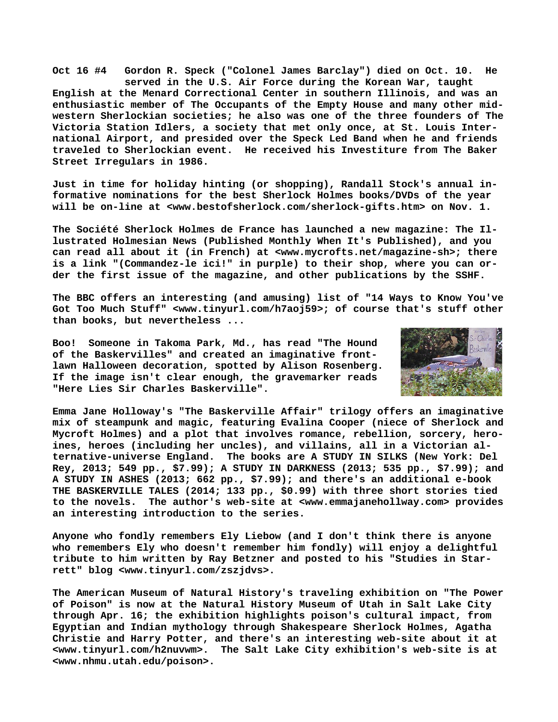**Oct 16 #4 Gordon R. Speck ("Colonel James Barclay") died on Oct. 10. He served in the U.S. Air Force during the Korean War, taught English at the Menard Correctional Center in southern Illinois, and was an enthusiastic member of The Occupants of the Empty House and many other midwestern Sherlockian societies; he also was one of the three founders of The Victoria Station Idlers, a society that met only once, at St. Louis International Airport, and presided over the Speck Led Band when he and friends traveled to Sherlockian event. He received his Investiture from The Baker Street Irregulars in 1986.**

**Just in time for holiday hinting (or shopping), Randall Stock's annual informative nominations for the best Sherlock Holmes books/DVDs of the year will be on-line at <[www.bestofsherlock.com/sherlock-gifts.htm> o](http://www.bestofsherlock.com/sherlock-gifts.htm)n Nov. 1.**

**The Société Sherlock Holmes de France has launched a new magazine: The Illustrated Holmesian News (Published Monthly When It's Published), and you can read all about it (in French) at [<www.mycrofts.net/magazine-sh>; t](http://www.mycrofts.net/magazine-sh)here is a link "(Commandez-le ici!" in purple) to their shop, where you can order the first issue of the magazine, and other publications by the SSHF.**

**The BBC offers an interesting (and amusing) list of "14 Ways to Know You've Got Too Much Stuff" [<www.tinyurl.com/h7aoj59>; o](http://www.tinyurl.com/h7aoj59)f course that's stuff other than books, but nevertheless ...**

**Boo! Someone in Takoma Park, Md., has read "The Hound of the Baskervilles" and created an imaginative frontlawn Halloween decoration, spotted by Alison Rosenberg. If the image isn't clear enough, the gravemarker reads "Here Lies Sir Charles Baskerville".**



**Emma Jane Holloway's "The Baskerville Affair" trilogy offers an imaginative mix of steampunk and magic, featuring Evalina Cooper (niece of Sherlock and Mycroft Holmes) and a plot that involves romance, rebellion, sorcery, heroines, heroes (including her uncles), and villains, all in a Victorian al-**The books are A STUDY IN SILKS (New York: Del **Rey, 2013; 549 pp., \$7.99); A STUDY IN DARKNESS (2013; 535 pp., \$7.99); and A STUDY IN ASHES (2013; 662 pp., \$7.99); and there's an additional e-book THE BASKERVILLE TALES (2014; 133 pp., \$0.99) with three short stories tied to the novels. The author's web-site at <[www.emmajanehollway.com> p](http://www.emmajanehollway.com)rovides an interesting introduction to the series.**

**Anyone who fondly remembers Ely Liebow (and I don't think there is anyone who remembers Ely who doesn't remember him fondly) will enjoy a delightful tribute to him written by Ray Betzner and posted to his "Studies in Starrett" blog <[www.tinyurl.com/zszjdvs>.](http://www.tinyurl.com/zszjdvs)**

**The American Museum of Natural History's traveling exhibition on "The Power of Poison" is now at the Natural History Museum of Utah in Salt Lake City through Apr. 16; the exhibition highlights poison's cultural impact, from Egyptian and Indian mythology through Shakespeare Sherlock Holmes, Agatha Christie and Harry Potter, and there's an interesting web-site about it at [<www.tinyurl.com/h2nuvwm>.](http://www.tinyurl.com/h2nuvwm) The Salt Lake City exhibition's web-site is at [<www.nhmu.utah.edu/poison>.](http://www.nhmu.utah.edu/poison)**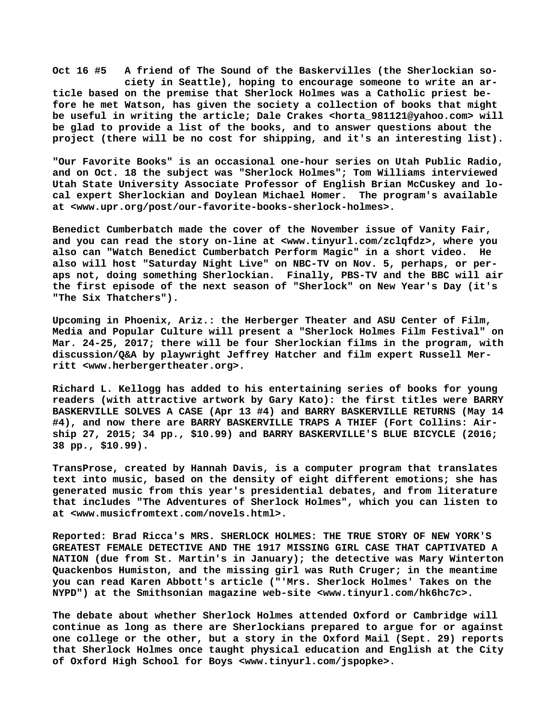**Oct 16 #5 A friend of The Sound of the Baskervilles (the Sherlockian so ciety in Seattle), hoping to encourage someone to write an article based on the premise that Sherlock Holmes was a Catholic priest before he met Watson, has given the society a collection of books that might be useful in writing the article; Dale Crakes <[horta\\_981121@yahoo.com> w](mailto:horta_981121@yahoo.com)ill be glad to provide a list of the books, and to answer questions about the project (there will be no cost for shipping, and it's an interesting list).**

**"Our Favorite Books" is an occasional one-hour series on Utah Public Radio, and on Oct. 18 the subject was "Sherlock Holmes"; Tom Williams interviewed Utah State University Associate Professor of English Brian McCuskey and local expert Sherlockian and Doylean Michael Homer. The program's available at [<www.upr.org/post/our-favorite-books-sherlock-holmes>.](http://www.upr.org/post/our-favorite-books-sherlock-holmes)**

**Benedict Cumberbatch made the cover of the November issue of Vanity Fair, and you can read the story on-line at [<www.tinyurl.com/zclqfdz>, w](http://www.tinyurl.com/zclqfdz)here you also can "Watch Benedict Cumberbatch Perform Magic" in a short video. He also will host "Saturday Night Live" on NBC-TV on Nov. 5, perhaps, or peraps not, doing something Sherlockian. Finally, PBS-TV and the BBC will air the first episode of the next season of "Sherlock" on New Year's Day (it's "The Six Thatchers").**

**Upcoming in Phoenix, Ariz.: the Herberger Theater and ASU Center of Film, Media and Popular Culture will present a "Sherlock Holmes Film Festival" on Mar. 24-25, 2017; there will be four Sherlockian films in the program, with discussion/Q&A by playwright Jeffrey Hatcher and film expert Russell Merritt [<www.herbergertheater.org>.](http://www.herbergertheater.org)**

**Richard L. Kellogg has added to his entertaining series of books for young readers (with attractive artwork by Gary Kato): the first titles were BARRY BASKERVILLE SOLVES A CASE (Apr 13 #4) and BARRY BASKERVILLE RETURNS (May 14 #4), and now there are BARRY BASKERVILLE TRAPS A THIEF (Fort Collins: Airship 27, 2015; 34 pp., \$10.99) and BARRY BASKERVILLE'S BLUE BICYCLE (2016; 38 pp., \$10.99).**

**TransProse, created by Hannah Davis, is a computer program that translates text into music, based on the density of eight different emotions; she has generated music from this year's presidential debates, and from literature that includes "The Adventures of Sherlock Holmes", which you can listen to at [<www.musicfromtext.com/novels.html>.](http://www.musicfromtext.com/novels.html)**

**Reported: Brad Ricca's MRS. SHERLOCK HOLMES: THE TRUE STORY OF NEW YORK'S GREATEST FEMALE DETECTIVE AND THE 1917 MISSING GIRL CASE THAT CAPTIVATED A NATION (due from St. Martin's in January); the detective was Mary Winterton Quackenbos Humiston, and the missing girl was Ruth Cruger; in the meantime you can read Karen Abbott's article ("'Mrs. Sherlock Holmes' Takes on the NYPD") at the Smithsonian magazine web-site <[www.tinyurl.com/hk6hc7c>.](http://www.tinyurl.com/hk6hc7c)**

**The debate about whether Sherlock Holmes attended Oxford or Cambridge will continue as long as there are Sherlockians prepared to argue for or against one college or the other, but a story in the Oxford Mail (Sept. 29) reports that Sherlock Holmes once taught physical education and English at the City of Oxford High School for Boys <[www.tinyurl.com/jspopke>.](http://www.tinyurl.com/jspopke)**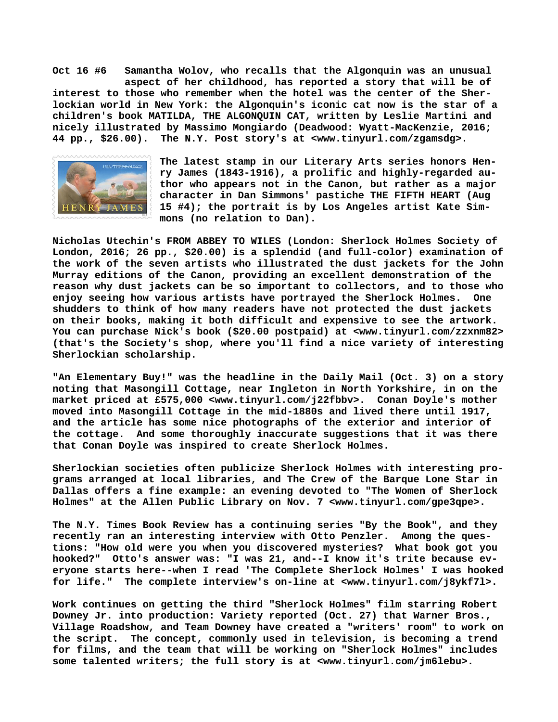**Oct 16 #6 Samantha Wolov, who recalls that the Algonquin was an unusual aspect of her childhood, has reported a story that will be of interest to those who remember when the hotel was the center of the Sherlockian world in New York: the Algonquin's iconic cat now is the star of a children's book MATILDA, THE ALGONQUIN CAT, written by Leslie Martini and nicely illustrated by Massimo Mongiardo (Deadwood: Wyatt-MacKenzie, 2016; 44 pp., \$26.00). The N.Y. Post story's at [<www.tinyurl.com/zgamsdg>.](http://www.tinyurl.com/zgamsdg)**



**The latest stamp in our Literary Arts series honors Henry James (1843-1916), a prolific and highly-regarded author who appears not in the Canon, but rather as a major character in Dan Simmons' pastiche THE FIFTH HEART (Aug 15 #4); the portrait is by Los Angeles artist Kate Simmons (no relation to Dan).**

**Nicholas Utechin's FROM ABBEY TO WILES (London: Sherlock Holmes Society of London, 2016; 26 pp., \$20.00) is a splendid (and full-color) examination of the work of the seven artists who illustrated the dust jackets for the John Murray editions of the Canon, providing an excellent demonstration of the reason why dust jackets can be so important to collectors, and to those who enjoy seeing how various artists have portrayed the Sherlock Holmes. One shudders to think of how many readers have not protected the dust jackets on their books, making it both difficult and expensive to see the artwork. You can purchase Nick's book (\$20.00 postpaid) at [<www.tinyurl.com/zzxnm82>](http://www.tinyurl.com/zzxnm82) (that's the Society's shop, where you'll find a nice variety of interesting Sherlockian scholarship.**

**"An Elementary Buy!" was the headline in the Daily Mail (Oct. 3) on a story noting that Masongill Cottage, near Ingleton in North Yorkshire, in on the market priced at £575,000 <[www.tinyurl.com/j22fbbv>.](http://www.tinyurl.com/j22fbbv) Conan Doyle's mother moved into Masongill Cottage in the mid-1880s and lived there until 1917, and the article has some nice photographs of the exterior and interior of the cottage. And some thoroughly inaccurate suggestions that it was there that Conan Doyle was inspired to create Sherlock Holmes.**

**Sherlockian societies often publicize Sherlock Holmes with interesting programs arranged at local libraries, and The Crew of the Barque Lone Star in Dallas offers a fine example: an evening devoted to "The Women of Sherlock Holmes" at the Allen Public Library on Nov. 7 <[www.tinyurl.com/gpe3qpe>.](http://www.tinyurl.com/gpe3qpe)**

**The N.Y. Times Book Review has a continuing series "By the Book", and they recently ran an interesting interview with Otto Penzler. Among the questions: "How old were you when you discovered mysteries? What book got you hooked?" Otto's answer was: "I was 21, and--I know it's trite because everyone starts here--when I read 'The Complete Sherlock Holmes' I was hooked for life." The complete interview's on-line at [<www.tinyurl.com/j8ykf7l>.](http://www.tinyurl.com/j8ykf7l)**

**Work continues on getting the third "Sherlock Holmes" film starring Robert Downey Jr. into production: Variety reported (Oct. 27) that Warner Bros., Village Roadshow, and Team Downey have created a "writers' room" to work on the script. The concept, commonly used in television, is becoming a trend for films, and the team that will be working on "Sherlock Holmes" includes some talented writers; the full story is at <[www.tinyurl.com/jm6lebu>.](http://www.tinyurl.com/jm6lebu)**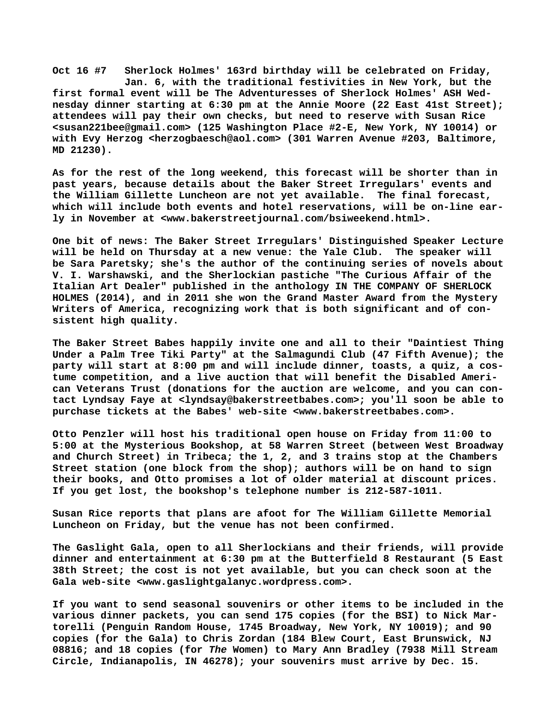**Oct 16 #7 Sherlock Holmes' 163rd birthday will be celebrated on Friday, Jan. 6, with the traditional festivities in New York, but the first formal event will be The Adventuresses of Sherlock Holmes' ASH Wednesday dinner starting at 6:30 pm at the Annie Moore (22 East 41st Street); attendees will pay their own checks, but need to reserve with Susan Rice [<susan221bee@gmail.com> \(](mailto:susan221bee@gmail.com)125 Washington Place #2-E, New York, NY 10014) or with Evy Herzog <[herzogbaesch@aol.com> \(](mailto:herzogbaesch@aol.com)301 Warren Avenue #203, Baltimore, MD 21230).**

**As for the rest of the long weekend, this forecast will be shorter than in past years, because details about the Baker Street Irregulars' events and the William Gillette Luncheon are not yet available. The final forecast, which will include both events and hotel reservations, will be on-line early in November at [<www.bakerstreetjournal.com/bsiweekend.html>.](http://www.bakerstreetjournal.com/bsiweekend.html)**

**One bit of [news: The B](news:The)aker Street Irregulars' Distinguished Speaker Lecture will be held on Thursday at a new venue: the Yale Club. The speaker will be Sara Paretsky; she's the author of the continuing series of novels about V. I. Warshawski, and the Sherlockian pastiche "The Curious Affair of the Italian Art Dealer" published in the anthology IN THE COMPANY OF SHERLOCK HOLMES (2014), and in 2011 she won the Grand Master Award from the Mystery Writers of America, recognizing work that is both significant and of consistent high quality.**

**The Baker Street Babes happily invite one and all to their "Daintiest Thing Under a Palm Tree Tiki Party" at the Salmagundi Club (47 Fifth Avenue); the party will start at 8:00 pm and will include dinner, toasts, a quiz, a costume competition, and a live auction that will benefit the Disabled American Veterans Trust (donations for the auction are welcome, and you can contact Lyndsay Faye at <[lyndsay@bakerstreetbabes.com>; y](mailto:lyndsay@bakerstreetbabes.com)ou'll soon be able to purchase tickets at the Babes' web-site [<www.bakerstreetbabes.com>.](http://www.bakerstreetbabes.com)**

**Otto Penzler will host his traditional open house on Friday from 11:00 to 5:00 at the Mysterious Bookshop, at 58 Warren Street (between West Broadway and Church Street) in Tribeca; the 1, 2, and 3 trains stop at the Chambers Street station (one block from the shop); authors will be on hand to sign their books, and Otto promises a lot of older material at discount prices. If you get lost, the bookshop's telephone number is 212-587-1011.**

**Susan Rice reports that plans are afoot for The William Gillette Memorial Luncheon on Friday, but the venue has not been confirmed.**

**The Gaslight Gala, open to all Sherlockians and their friends, will provide dinner and entertainment at 6:30 pm at the Butterfield 8 Restaurant (5 East 38th Street; the cost is not yet available, but you can check soon at the Gala web-site <[www.gaslightgalanyc.wordpress.com>.](http://www.gaslightgalanyc.wordpress.com)**

**If you want to send seasonal souvenirs or other items to be included in the various dinner packets, you can send 175 copies (for the BSI) to Nick Martorelli (Penguin Random House, 1745 Broadway, New York, NY 10019); and 90 copies (for the Gala) to Chris Zordan (184 Blew Court, East Brunswick, NJ 08816; and 18 copies (for** *The* **Women) to Mary Ann Bradley (7938 Mill Stream Circle, Indianapolis, IN 46278); your souvenirs must arrive by Dec. 15.**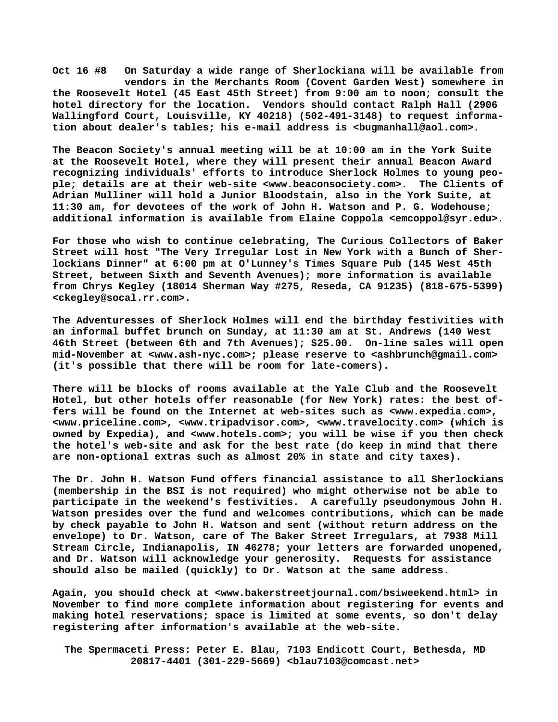**Oct 16 #8 On Saturday a wide range of Sherlockiana will be available from vendors in the Merchants Room (Covent Garden West) somewhere in the Roosevelt Hotel (45 East 45th Street) from 9:00 am to noon; consult the hotel directory for the location. Vendors should contact Ralph Hall (2906 Wallingford Court, Louisville, KY 40218) (502-491-3148) to request information about dealer's tables; his e-mail address is [<bugmanhall@aol.com>.](mailto:bugmanhall@aol.com)**

**The Beacon Society's annual meeting will be at 10:00 am in the York Suite at the Roosevelt Hotel, where they will present their annual Beacon Award recognizing individuals' efforts to introduce Sherlock Holmes to young people; details are at their web-site [<www.beaconsociety.com>.](http://www.beaconsociety.com) The Clients of Adrian Mulliner will hold a Junior Bloodstain, also in the York Suite, at 11:30 am, for devotees of the work of John H. Watson and P. G. Wodehouse; additional information is available from Elaine Coppola <[emcoppol@syr.edu>.](mailto:emcoppol@syr.edu)**

**For those who wish to continue celebrating, The Curious Collectors of Baker Street will host "The Very Irregular Lost in New York with a Bunch of Sherlockians Dinner" at 6:00 pm at O'Lunney's Times Square Pub (145 West 45th Street, between Sixth and Seventh Avenues); more information is available from Chrys Kegley (18014 Sherman Way #275, Reseda, CA 91235) (818-675-5399) [<ckegley@socal.rr.com>.](mailto:ckegley@socal.rr.com)**

**The Adventuresses of Sherlock Holmes will end the birthday festivities with an informal buffet brunch on Sunday, at 11:30 am at St. Andrews (140 West 46th Street (between 6th and 7th Avenues); \$25.00. On-line sales will open mid-November at <[www.ash-nyc.com>; p](http://www.ash-nyc.com)lease reserve to [<ashbrunch@gmail.com>](mailto:ashbrunch@gmail.com) (it's possible that there will be room for late-comers).**

**There will be blocks of rooms available at the Yale Club and the Roosevelt Hotel, but other hotels offer reasonable (for New York) rates: the best offers will be found on the Internet at web-sites such as <[www.expedia.com>,](http://www.expedia.com) [<www.priceline.com>, <](http://www.priceline.com)[www.tripadvisor.com>, <](http://www.tripadvisor.com)[www.travelocity.com> \(](http://www.travelocity.com)which is owned by Expedia), and [<www.hotels.com>; y](http://www.hotels.com)ou will be wise if you then check the hotel's web-site and ask for the best rate (do keep in mind that there are non-optional extras such as almost 20% in state and city taxes).**

**The Dr. John H. Watson Fund offers financial assistance to all Sherlockians (membership in the BSI is not required) who might otherwise not be able to participate in the weekend's festivities. A carefully pseudonymous John H. Watson presides over the fund and welcomes contributions, which can be made by check payable to John H. Watson and sent (without return address on the envelope) to Dr. Watson, care of The Baker Street Irregulars, at 7938 Mill Stream Circle, Indianapolis, IN 46278; your letters are forwarded unopened, and Dr. Watson will acknowledge your generosity. Requests for assistance should also be mailed (quickly) to Dr. Watson at the same address.**

**Again, you should check at [<www.bakerstreetjournal.com/bsiweekend.html> i](http://www.bakerstreetjournal.com/bsiweekend.html)n November to find more complete information about registering for events and making hotel reservations; space is limited at some events, so don't delay registering after information's available at the web-site.**

 **The Spermaceti Press: Peter E. Blau, 7103 Endicott Court, Bethesda, MD 20817-4401 (301-229-5669) <[blau7103@comcast.net>](mailto:blau7103@comcast.net)**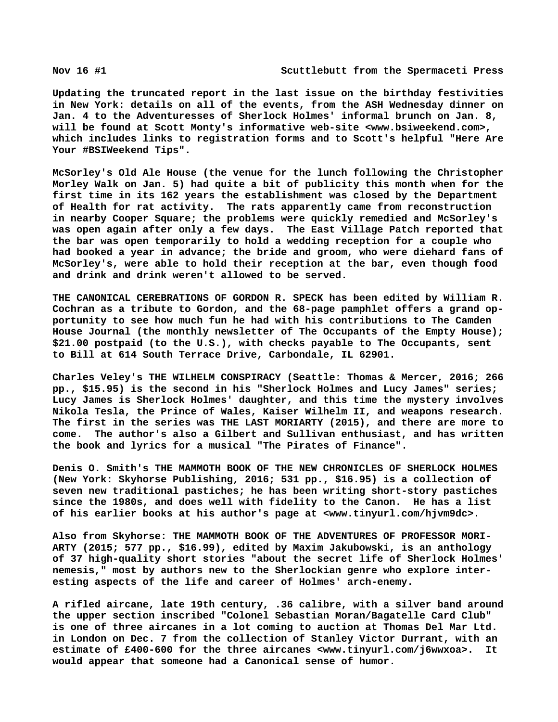**Updating the truncated report in the last issue on the birthday festivities in New York: details on all of the events, from the ASH Wednesday dinner on Jan. 4 to the Adventuresses of Sherlock Holmes' informal brunch on Jan. 8, will be found at Scott Monty's informative web-site [<www.bsiweekend.com>,](http://www.bsiweekend.com) which includes links to registration forms and to Scott's helpful "Here Are Your #BSIWeekend Tips".**

**McSorley's Old Ale House (the venue for the lunch following the Christopher Morley Walk on Jan. 5) had quite a bit of publicity this month when for the first time in its 162 years the establishment was closed by the Department of Health for rat activity. The rats apparently came from reconstruction in nearby Cooper Square; the problems were quickly remedied and McSorley's was open again after only a few days. The East Village Patch reported that the bar was open temporarily to hold a wedding reception for a couple who had booked a year in advance; the bride and groom, who were diehard fans of McSorley's, were able to hold their reception at the bar, even though food and drink and drink weren't allowed to be served.**

**THE CANONICAL CEREBRATIONS OF GORDON R. SPECK has been edited by William R. Cochran as a tribute to Gordon, and the 68-page pamphlet offers a grand opportunity to see how much fun he had with his contributions to The Camden House Journal (the monthly newsletter of The Occupants of the Empty House); \$21.00 postpaid (to the U.S.), with checks payable to The Occupants, sent to Bill at 614 South Terrace Drive, Carbondale, IL 62901.**

**Charles Veley's THE WILHELM CONSPIRACY (Seattle: Thomas & Mercer, 2016; 266 pp., \$15.95) is the second in his "Sherlock Holmes and Lucy James" series; Lucy James is Sherlock Holmes' daughter, and this time the mystery involves Nikola Tesla, the Prince of Wales, Kaiser Wilhelm II, and weapons research. The first in the series was THE LAST MORIARTY (2015), and there are more to come. The author's also a Gilbert and Sullivan enthusiast, and has written the book and lyrics for a musical "The Pirates of Finance".**

**Denis O. Smith's THE MAMMOTH BOOK OF THE NEW CHRONICLES OF SHERLOCK HOLMES (New York: Skyhorse Publishing, 2016; 531 pp., \$16.95) is a collection of seven new traditional pastiches; he has been writing short-story pastiches since the 1980s, and does well with fidelity to the Canon. He has a list of his earlier books at his author's page at [<www.tinyurl.com/hjvm9dc>.](http://www.tinyurl.com/hjvm9dc)**

**Also from Skyhorse: THE MAMMOTH BOOK OF THE ADVENTURES OF PROFESSOR MORI-ARTY (2015; 577 pp., \$16.99), edited by Maxim Jakubowski, is an anthology of 37 high-quality short stories "about the secret life of Sherlock Holmes' nemesis," most by authors new to the Sherlockian genre who explore interesting aspects of the life and career of Holmes' arch-enemy.**

**A rifled aircane, late 19th century, .36 calibre, with a silver band around the upper section inscribed "Colonel Sebastian Moran/Bagatelle Card Club" is one of three aircanes in a lot coming to auction at Thomas Del Mar Ltd. in London on Dec. 7 from the collection of Stanley Victor Durrant, with an estimate of £400-600 for the three aircanes <[www.tinyurl.com/j6wwxoa>.](http://www.tinyurl.com/j6wwxoa) It would appear that someone had a Canonical sense of humor.**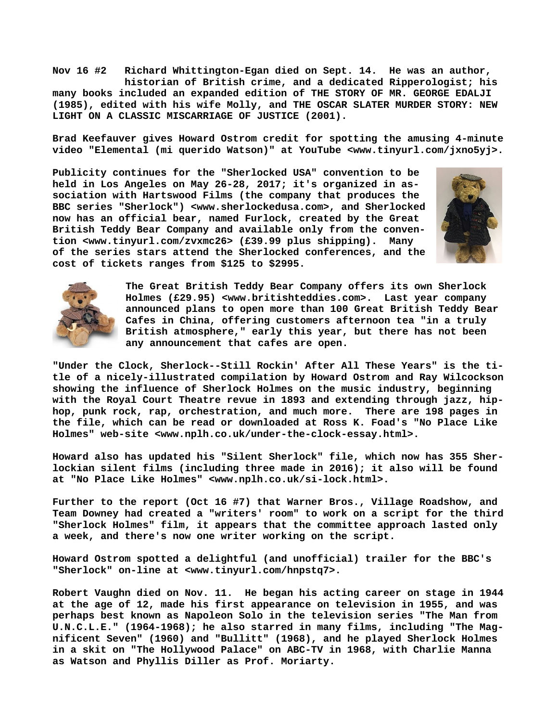**Nov 16 #2 Richard Whittington-Egan died on Sept. 14. He was an author, historian of British crime, and a dedicated Ripperologist; his many books included an expanded edition of THE STORY OF MR. GEORGE EDALJI (1985), edited with his wife Molly, and THE OSCAR SLATER MURDER STORY: NEW LIGHT ON A CLASSIC MISCARRIAGE OF JUSTICE (2001).**

**Brad Keefauver gives Howard Ostrom credit for spotting the amusing 4-minute video "Elemental (mi querido Watson)" at YouTube <[www.tinyurl.com/jxno5yj>.](http://www.tinyurl.com/jxno5yj)**

**Publicity continues for the "Sherlocked USA" convention to be held in Los Angeles on May 26-28, 2017; it's organized in association with Hartswood Films (the company that produces the BBC series "Sherlock") [<www.sherlockedusa.com>, a](http://www.sherlockedusa.com)nd Sherlocked now has an official bear, named Furlock, created by the Great British Teddy Bear Company and available only from the convention [<www.tinyurl.com/zvxmc26> \(](http://www.tinyurl.com/zvxmc26)£39.99 plus shipping). Many of the series stars attend the Sherlocked conferences, and the cost of tickets ranges from \$125 to \$2995.**





**The Great British Teddy Bear Company offers its own Sherlock Holmes (£29.95) [<www.britishteddies.com>.](http://www.britishteddies.com) Last year company announced plans to open more than 100 Great British Teddy Bear Cafes in China, offering customers afternoon tea "in a truly British atmosphere," early this year, but there has not been any announcement that cafes are open.**

**"Under the Clock, Sherlock--Still Rockin' After All These Years" is the title of a nicely-illustrated compilation by Howard Ostrom and Ray Wilcockson showing the influence of Sherlock Holmes on the music industry, beginning with the Royal Court Theatre revue in 1893 and extending through jazz, hiphop, punk rock, rap, orchestration, and much more. There are 198 pages in the file, which can be read or downloaded at Ross K. Foad's "No Place Like Holmes" web-site [<www.nplh.co.uk/under-the-clock-essay.html>.](http://www.nplh.co.uk/under-the-clock-essay.html)**

**Howard also has updated his "Silent Sherlock" file, which now has 355 Sherlockian silent films (including three made in 2016); it also will be found at "No Place Like Holmes" <[www.nplh.co.uk/si-lock.html>.](http://www.nplh.co.uk/si-lock.html)**

**Further to the report (Oct 16 #7) that Warner Bros., Village Roadshow, and Team Downey had created a "writers' room" to work on a script for the third "Sherlock Holmes" film, it appears that the committee approach lasted only a week, and there's now one writer working on the script.**

**Howard Ostrom spotted a delightful (and unofficial) trailer for the BBC's "Sherlock" on-line at [<www.tinyurl.com/hnpstq7>.](http://www.tinyurl.com/hnpstq7)**

**Robert Vaughn died on Nov. 11. He began his acting career on stage in 1944 at the age of 12, made his first appearance on television in 1955, and was perhaps best known as Napoleon Solo in the television series "The Man from U.N.C.L.E." (1964-1968); he also starred in many films, including "The Magnificent Seven" (1960) and "Bullitt" (1968), and he played Sherlock Holmes in a skit on "The Hollywood Palace" on ABC-TV in 1968, with Charlie Manna as Watson and Phyllis Diller as Prof. Moriarty.**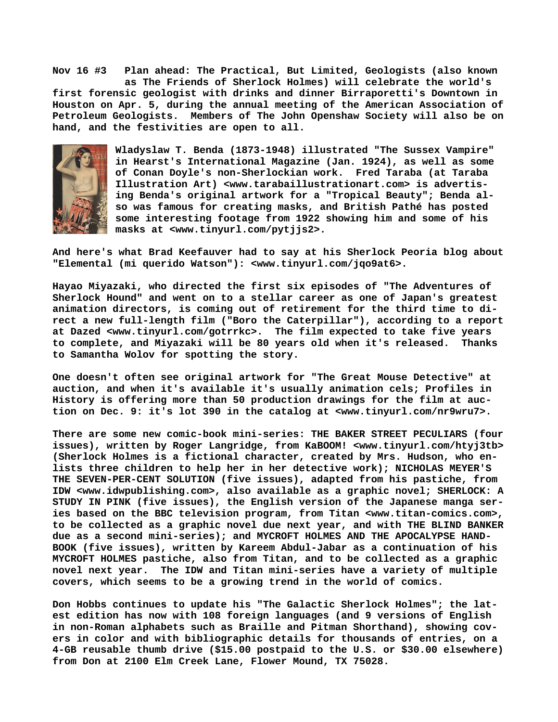**Nov 16 #3 Plan ahead: The Practical, But Limited, Geologists (also known as The Friends of Sherlock Holmes) will celebrate the world's first forensic geologist with drinks and dinner Birraporetti's Downtown in Houston on Apr. 5, during the annual meeting of the American Association of Petroleum Geologists. Members of The John Openshaw Society will also be on hand, and the festivities are open to all.**



**Wladyslaw T. Benda (1873-1948) illustrated "The Sussex Vampire" in Hearst's International Magazine (Jan. 1924), as well as some of Conan Doyle's non-Sherlockian work. Fred Taraba (at Taraba Illustration Art) [<www.tarabaillustrationart.com> i](http://www.tarabaillustrationart.com)s advertising Benda's original artwork for a "Tropical Beauty"; Benda also was famous for creating masks, and British Pathé has posted some interesting footage from 1922 showing him and some of his masks at <[www.tinyurl.com/pytjjs2>.](http://www.tinyurl.com/pytjjs2)**

**And here's what Brad Keefauver had to say at his Sherlock Peoria blog about "Elemental (mi querido Watson"): [<www.tinyurl.com/jqo9at6>.](http://www.tinyurl.com/jqo9at6)**

**Hayao Miyazaki, who directed the first six episodes of "The Adventures of Sherlock Hound" and went on to a stellar career as one of Japan's greatest animation directors, is coming out of retirement for the third time to direct a new full-length film ("Boro the Caterpillar"), according to a report at Dazed <[www.tinyurl.com/gotrrkc>.](http://www.tinyurl.com/gotrrkc) The film expected to take five years to complete, and Miyazaki will be 80 years old when it's released. Thanks to Samantha Wolov for spotting the story.**

**One doesn't often see original artwork for "The Great Mouse Detective" at auction, and when it's available it's usually animation cels; Profiles in History is offering more than 50 production drawings for the film at auction on Dec. 9: it's lot 390 in the catalog at [<www.tinyurl.com/nr9wru7>.](http://www.tinyurl.com/nr9wru7)**

**There are some new comic-book mini-series: THE BAKER STREET PECULIARS (four issues), written by Roger Langridge, from KaBOOM! [<www.tinyurl.com/htyj3tb>](http://www.tinyurl.com/htyj3tb) (Sherlock Holmes is a fictional character, created by Mrs. Hudson, who enlists three children to help her in her detective work); NICHOLAS MEYER'S THE SEVEN-PER-CENT SOLUTION (five issues), adapted from his pastiche, from IDW <[www.idwpublishing.com>, a](http://www.idwpublishing.com)lso available as a graphic novel; SHERLOCK: A STUDY IN PINK (five issues), the English version of the Japanese manga series based on the BBC television program, from Titan [<www.titan-comics.com>,](http://www.titan-comics.com) to be collected as a graphic novel due next year, and with THE BLIND BANKER due as a second mini-series); and MYCROFT HOLMES AND THE APOCALYPSE HAND-BOOK (five issues), written by Kareem Abdul-Jabar as a continuation of his MYCROFT HOLMES pastiche, also from Titan, and to be collected as a graphic novel next year. The IDW and Titan mini-series have a variety of multiple covers, which seems to be a growing trend in the world of comics.**

**Don Hobbs continues to update his "The Galactic Sherlock Holmes"; the latest edition has now with 108 foreign languages (and 9 versions of English in non-Roman alphabets such as Braille and Pitman Shorthand), showing covers in color and with bibliographic details for thousands of entries, on a 4-GB reusable thumb drive (\$15.00 postpaid to the U.S. or \$30.00 elsewhere) from Don at 2100 Elm Creek Lane, Flower Mound, TX 75028.**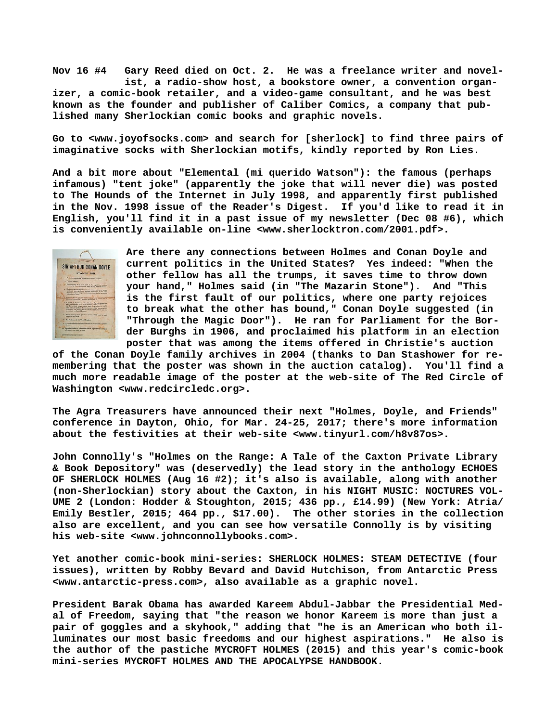**Nov 16 #4 Gary Reed died on Oct. 2. He was a freelance writer and novel ist, a radio-show host, a bookstore owner, a convention organizer, a comic-book retailer, and a video-game consultant, and he was best known as the founder and publisher of Caliber Comics, a company that published many Sherlockian comic books and graphic novels.**

**Go to <[www.joyofsocks.com> a](http://www.joyofsocks.com)nd search for [sherlock] to find three pairs of imaginative socks with Sherlockian motifs, kindly reported by Ron Lies.**

**And a bit more about "Elemental (mi querido Watson"): the famous (perhaps infamous) "tent joke" (apparently the joke that will never die) was posted to The Hounds of the Internet in July 1998, and apparently first published in the Nov. 1998 issue of the Reader's Digest. If you'd like to read it in English, you'll find it in a past issue of my newsletter (Dec 08 #6), which is conveniently available on-line <[www.sherlocktron.com/2001.pdf>.](http://www.sherlocktron.com/2001.pdf)**



**Are there any connections between Holmes and Conan Doyle and current politics in the United States? Yes indeed: "When the other fellow has all the trumps, it saves time to throw down your hand," Holmes said (in "The Mazarin Stone"). And "This is the first fault of our politics, where one party rejoices to break what the other has bound," Conan Doyle suggested (in "Through the Magic Door"). He ran for Parliament for the Border Burghs in 1906, and proclaimed his platform in an election poster that was among the items offered in Christie's auction**

**of the Conan Doyle family archives in 2004 (thanks to Dan Stashower for remembering that the poster was shown in the auction catalog). You'll find a much more readable image of the poster at the web-site of The Red Circle of Washington <[www.redcircledc.org>.](http://www.redcircledc.org)**

**The Agra Treasurers have announced their next "Holmes, Doyle, and Friends" conference in Dayton, Ohio, for Mar. 24-25, 2017; there's more information about the festivities at their web-site [<www.tinyurl.com/h8v87os>.](http://www.tinyurl.com/h8v87os)**

**John Connolly's "Holmes on the Range: A Tale of the Caxton Private Library & Book Depository" was (deservedly) the lead story in the anthology ECHOES OF SHERLOCK HOLMES (Aug 16 #2); it's also is available, along with another (non-Sherlockian) story about the Caxton, in his NIGHT MUSIC: NOCTURES VOL-UME 2 (London: Hodder & Stoughton, 2015; 436 pp., £14.99) (New York: Atria/ Emily Bestler, 2015; 464 pp., \$17.00). The other stories in the collection also are excellent, and you can see how versatile Connolly is by visiting his web-site [<www.johnconnollybooks.com>.](http://www.johnconnollybooks.com)**

**Yet another comic-book mini-series: SHERLOCK HOLMES: STEAM DETECTIVE (four issues), written by Robby Bevard and David Hutchison, from Antarctic Press [<www.antarctic-press.com>, a](http://www.antarctic-press.com)lso available as a graphic novel.**

**President Barak Obama has awarded Kareem Abdul-Jabbar the Presidential Medal of Freedom, saying that "the reason we honor Kareem is more than just a pair of goggles and a skyhook," adding that "he is an American who both illuminates our most basic freedoms and our highest aspirations." He also is the author of the pastiche MYCROFT HOLMES (2015) and this year's comic-book mini-series MYCROFT HOLMES AND THE APOCALYPSE HANDBOOK.**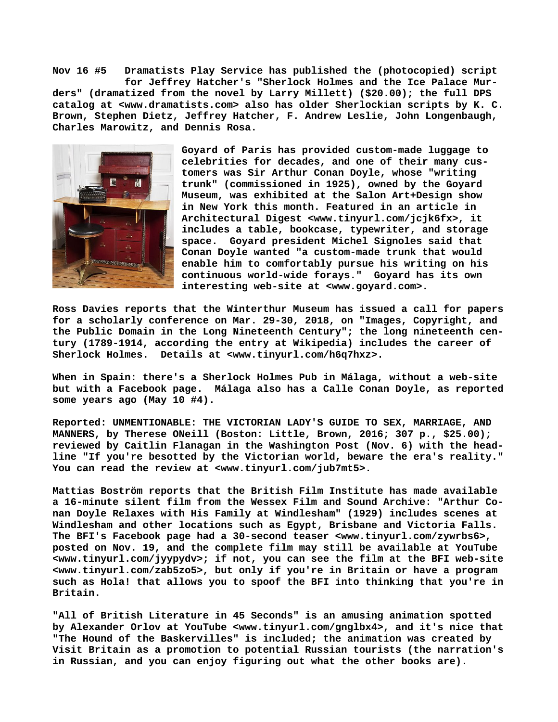**Nov 16 #5 Dramatists Play Service has published the (photocopied) script for Jeffrey Hatcher's "Sherlock Holmes and the Ice Palace Murders" (dramatized from the novel by Larry Millett) (\$20.00); the full DPS catalog at <[www.dramatists.com> a](http://www.dramatists.com)lso has older Sherlockian scripts by K. C. Brown, Stephen Dietz, Jeffrey Hatcher, F. Andrew Leslie, John Longenbaugh, Charles Marowitz, and Dennis Rosa.**



**Goyard of Paris has provided custom-made luggage to celebrities for decades, and one of their many customers was Sir Arthur Conan Doyle, whose "writing trunk" (commissioned in 1925), owned by the Goyard Museum, was exhibited at the Salon Art+Design show in New York this month. Featured in an article in Architectural Digest <[www.tinyurl.com/jcjk6fx>, i](http://www.tinyurl.com/jcjk6fx)t includes a table, bookcase, typewriter, and storage space. Goyard president Michel Signoles said that Conan Doyle wanted "a custom-made trunk that would enable him to comfortably pursue his writing on his continuous world-wide forays." Goyard has its own interesting web-site at [<www.goyard.com>.](http://www.goyard.com)**

**Ross Davies reports that the Winterthur Museum has issued a call for papers for a scholarly conference on Mar. 29-30, 2018, on "Images, Copyright, and the Public Domain in the Long Nineteenth Century"; the long nineteenth century (1789-1914, according the entry at Wikipedia) includes the career of Sherlock Holmes. Details at <[www.tinyurl.com/h6q7hxz>.](http://www.tinyurl.com/h6q7hxz)**

**When in Spain: there's a Sherlock Holmes Pub in Málaga, without a web-site but with a Facebook page. Málaga also has a Calle Conan Doyle, as reported some years ago (May 10 #4).**

**Reported: UNMENTIONABLE: THE VICTORIAN LADY'S GUIDE TO SEX, MARRIAGE, AND MANNERS, by Therese ONeill (Boston: Little, Brown, 2016; 307 p., \$25.00); reviewed by Caitlin Flanagan in the Washington Post (Nov. 6) with the headline "If you're besotted by the Victorian world, beware the era's reality." You can read the review at [<www.tinyurl.com/jub7mt5>.](http://www.tinyurl.com/jub7mt5)**

**Mattias Boström reports that the British Film Institute has made available a 16-minute silent film from the Wessex Film and Sound Archive: "Arthur Conan Doyle Relaxes with His Family at Windlesham" (1929) includes scenes at Windlesham and other locations such as Egypt, Brisbane and Victoria Falls. The BFI's Facebook page had a 30-second teaser [<www.tinyurl.com/zywrbs6>,](http://www.tinyurl.com/zywrbs6) posted on Nov. 19, and the complete film may still be available at YouTube [<www.tinyurl.com/jyypydv>; i](http://www.tinyurl.com/jyypydv)f not, you can see the film at the BFI web-site [<www.tinyurl.com/zab5zo5>, b](http://www.tinyurl.com/zab5zo5)ut only if you're in Britain or have a program such as Hola! that allows you to spoof the BFI into thinking that you're in Britain.**

**"All of British Literature in 45 Seconds" is an amusing animation spotted by Alexander Orlov at YouTube [<www.tinyurl.com/gnglbx4>, a](http://www.tinyurl.com/gnglbx4)nd it's nice that "The Hound of the Baskervilles" is included; the animation was created by Visit Britain as a promotion to potential Russian tourists (the narration's in Russian, and you can enjoy figuring out what the other books are).**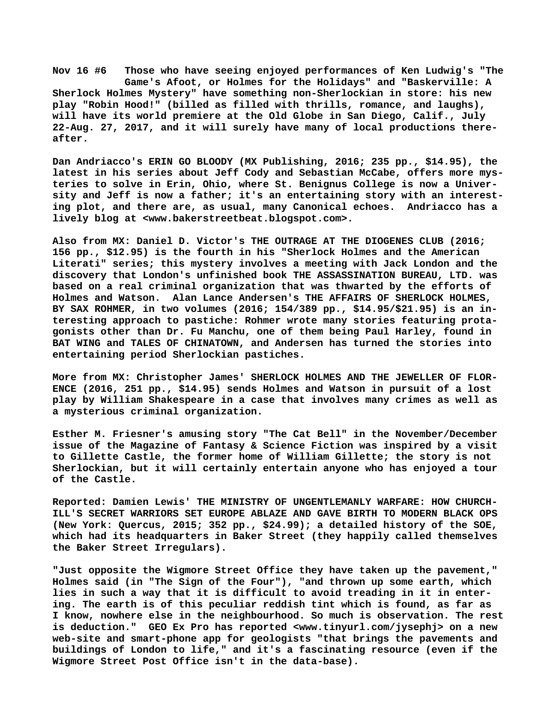**Nov 16 #6 Those who have seeing enjoyed performances of Ken Ludwig's "The Game's Afoot, or Holmes for the Holidays" and "Baskerville: A Sherlock Holmes Mystery" have something non-Sherlockian in store: his new play "Robin Hood!" (billed as filled with thrills, romance, and laughs), will have its world premiere at the Old Globe in San Diego, Calif., July 22-Aug. 27, 2017, and it will surely have many of local productions thereafter.**

**Dan Andriacco's ERIN GO BLOODY (MX Publishing, 2016; 235 pp., \$14.95), the latest in his series about Jeff Cody and Sebastian McCabe, offers more mysteries to solve in Erin, Ohio, where St. Benignus College is now a University and Jeff is now a father; it's an entertaining story with an interesting plot, and there are, as usual, many Canonical echoes. Andriacco has a lively blog at [<www.bakerstreetbeat.blogspot.com>.](http://www.bakerstreetbeat.blogspot.com)**

**Also from MX: Daniel D. Victor's THE OUTRAGE AT THE DIOGENES CLUB (2016; 156 pp., \$12.95) is the fourth in his "Sherlock Holmes and the American Literati" series; this mystery involves a meeting with Jack London and the discovery that London's unfinished book THE ASSASSINATION BUREAU, LTD. was based on a real criminal organization that was thwarted by the efforts of Holmes and Watson. Alan Lance Andersen's THE AFFAIRS OF SHERLOCK HOLMES, BY SAX ROHMER, in two volumes (2016; 154/389 pp., \$14.95/\$21.95) is an interesting approach to pastiche: Rohmer wrote many stories featuring protagonists other than Dr. Fu Manchu, one of them being Paul Harley, found in BAT WING and TALES OF CHINATOWN, and Andersen has turned the stories into entertaining period Sherlockian pastiches.**

**More from MX: Christopher James' SHERLOCK HOLMES AND THE JEWELLER OF FLOR-ENCE (2016, 251 pp., \$14.95) sends Holmes and Watson in pursuit of a lost play by William Shakespeare in a case that involves many crimes as well as a mysterious criminal organization.**

**Esther M. Friesner's amusing story "The Cat Bell" in the November/December issue of the Magazine of Fantasy & Science Fiction was inspired by a visit to Gillette Castle, the former home of William Gillette; the story is not Sherlockian, but it will certainly entertain anyone who has enjoyed a tour of the Castle.**

**Reported: Damien Lewis' THE MINISTRY OF UNGENTLEMANLY WARFARE: HOW CHURCH-ILL'S SECRET WARRIORS SET EUROPE ABLAZE AND GAVE BIRTH TO MODERN BLACK OPS (New York: Quercus, 2015; 352 pp., \$24.99); a detailed history of the SOE, which had its headquarters in Baker Street (they happily called themselves the Baker Street Irregulars).**

**"Just opposite the Wigmore Street Office they have taken up the pavement," Holmes said (in "The Sign of the Four"), "and thrown up some earth, which lies in such a way that it is difficult to avoid treading in it in entering. The earth is of this peculiar reddish tint which is found, as far as I know, nowhere else in the neighbourhood. So much is observation. The rest is deduction." GEO Ex Pro has reported [<www.tinyurl.com/jysephj> o](http://www.tinyurl.com/jysephj)n a new web-site and smart-phone app for geologists "that brings the pavements and buildings of London to life," and it's a fascinating resource (even if the Wigmore Street Post Office isn't in the data-base).**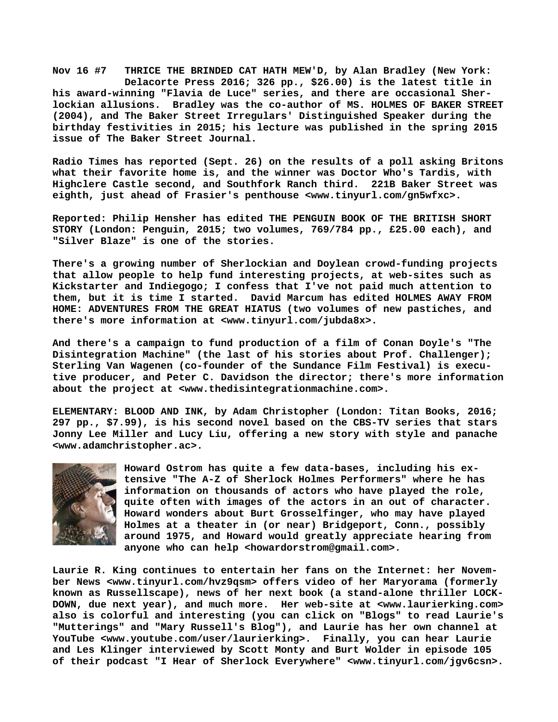**Nov 16 #7 THRICE THE BRINDED CAT HATH MEW'D, by Alan Bradley (New York: Delacorte Press 2016; 326 pp., \$26.00) is the latest title in his award-winning "Flavia de Luce" series, and there are occasional Sherlockian allusions. Bradley was the co-author of MS. HOLMES OF BAKER STREET (2004), and The Baker Street Irregulars' Distinguished Speaker during the birthday festivities in 2015; his lecture was published in the spring 2015 issue of The Baker Street Journal.**

**Radio Times has reported (Sept. 26) on the results of a poll asking Britons what their favorite home is, and the winner was Doctor Who's Tardis, with Highclere Castle second, and Southfork Ranch third. 221B Baker Street was eighth, just ahead of Frasier's penthouse [<www.tinyurl.com/gn5wfxc>.](http://www.tinyurl.com/gn5wfxc)**

**Reported: Philip Hensher has edited THE PENGUIN BOOK OF THE BRITISH SHORT STORY (London: Penguin, 2015; two volumes, 769/784 pp., £25.00 each), and "Silver Blaze" is one of the stories.**

**There's a growing number of Sherlockian and Doylean crowd-funding projects that allow people to help fund interesting projects, at web-sites such as Kickstarter and Indiegogo; I confess that I've not paid much attention to them, but it is time I started. David Marcum has edited HOLMES AWAY FROM HOME: ADVENTURES FROM THE GREAT HIATUS (two volumes of new pastiches, and there's more information at [<www.tinyurl.com/jubda8x>.](http://www.tinyurl.com/jubda8x)**

**And there's a campaign to fund production of a film of Conan Doyle's "The Disintegration Machine" (the last of his stories about Prof. Challenger); Sterling Van Wagenen (co-founder of the Sundance Film Festival) is executive producer, and Peter C. Davidson the director; there's more information about the project at <[www.thedisintegrationmachine.com>.](http://www.thedisintegrationmachine.com)**

**ELEMENTARY: BLOOD AND INK, by Adam Christopher (London: Titan Books, 2016; 297 pp., \$7.99), is his second novel based on the CBS-TV series that stars Jonny Lee Miller and Lucy Liu, offering a new story with style and panache [<www.adamchristopher.ac>.](http://www.adamchristopher.ac)**



**Howard Ostrom has quite a few data-bases, including his extensive "The A-Z of Sherlock Holmes Performers" where he has information on thousands of actors who have played the role, quite often with images of the actors in an out of character. Howard wonders about Burt Grosselfinger, who may have played Holmes at a theater in (or near) Bridgeport, Conn., possibly around 1975, and Howard would greatly appreciate hearing from anyone who can help <[howardorstrom@gmail.com>.](mailto:howardorstrom@gmail.com)**

**Laurie R. King continues to entertain her fans on the Internet: her November News <[www.tinyurl.com/hvz9qsm> o](http://www.tinyurl.com/hvz9qsm)ffers video of her Maryorama (formerly known as Russellscape), news of her next book (a stand-alone thriller LOCK-DOWN, due next year), and much more. Her web-site at <[www.laurierking.com>](http://www.laurierking.com) also is colorful and interesting (you can click on "Blogs" to read Laurie's "Mutterings" and "Mary Russell's Blog"), and Laurie has her own channel at YouTube [<www.youtube.com/user/laurierking>.](http://www.youtube.com/user/laurierking) Finally, you can hear Laurie and Les Klinger interviewed by Scott Monty and Burt Wolder in episode 105 of their podcast "I Hear of Sherlock Everywhere" <[www.tinyurl.com/jgv6csn>.](http://www.tinyurl.com/jgv6csn)**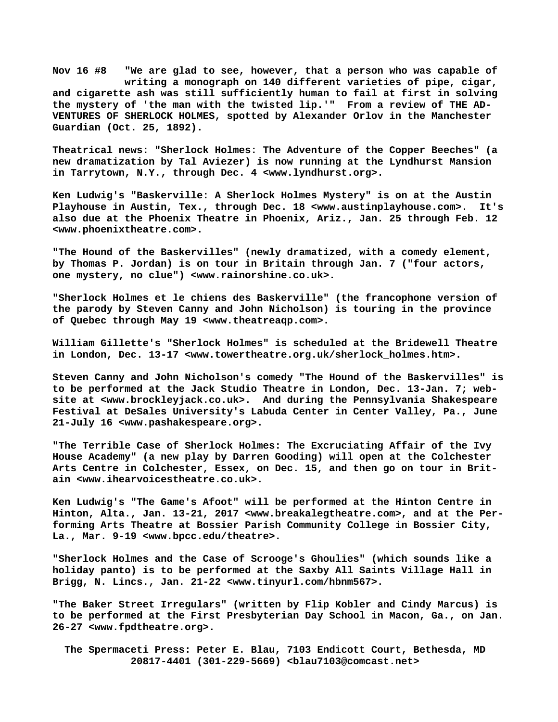**Nov 16 #8 "We are glad to see, however, that a person who was capable of writing a monograph on 140 different varieties of pipe, cigar, and cigarette ash was still sufficiently human to fail at first in solving the mystery of 'the man with the twisted lip.'" From a review of THE AD-VENTURES OF SHERLOCK HOLMES, spotted by Alexander Orlov in the Manchester Guardian (Oct. 25, 1892).**

**Theatrical [news: "Sh](news:)erlock Holmes: The Adventure of the Copper Beeches" (a new dramatization by Tal Aviezer) is now running at the Lyndhurst Mansion in Tarrytown, N.Y., through Dec. 4 [<www.lyndhurst.org>.](http://www.lyndhurst.org)**

**Ken Ludwig's "Baskerville: A Sherlock Holmes Mystery" is on at the Austin Playhouse in Austin, Tex., through Dec. 18 [<www.austinplayhouse.com>.](http://www.austinplayhouse.com) It's also due at the Phoenix Theatre in Phoenix, Ariz., Jan. 25 through Feb. 12 [<www.phoenixtheatre.com>.](http://www.phoenixtheatre.com)**

**"The Hound of the Baskervilles" (newly dramatized, with a comedy element, by Thomas P. Jordan) is on tour in Britain through Jan. 7 ("four actors, one mystery, no clue") [<www.rainorshine.co.uk>.](http://www.rainorshine.co.uk)**

**"Sherlock Holmes et le chiens des Baskerville" (the francophone version of the parody by Steven Canny and John Nicholson) is touring in the province of Quebec through May 19 [<www.theatreaqp.com>.](http://www.theatreaqp.com)**

**William Gillette's "Sherlock Holmes" is scheduled at the Bridewell Theatre in London, Dec. 13-17 [<www.towertheatre.org.uk/sherlock\\_holmes.htm>.](http://www.towertheatre.org.uk/sherlock_holmes.htm)**

**Steven Canny and John Nicholson's comedy "The Hound of the Baskervilles" is to be performed at the Jack Studio Theatre in London, Dec. 13-Jan. 7; website at [<www.brockleyjack.co.uk>.](http://www.brockleyjack.co.uk) And during the Pennsylvania Shakespeare Festival at DeSales University's Labuda Center in Center Valley, Pa., June 21-July 16 <[www.pashakespeare.org>.](http://www.pashakespeare.org)**

**"The Terrible Case of Sherlock Holmes: The Excruciating Affair of the Ivy House Academy" (a new play by Darren Gooding) will open at the Colchester Arts Centre in Colchester, Essex, on Dec. 15, and then go on tour in Britain <[www.ihearvoicestheatre.co.uk>.](http://www.ihearvoicestheatre.co.uk)**

**Ken Ludwig's "The Game's Afoot" will be performed at the Hinton Centre in Hinton, Alta., Jan. 13-21, 2017 [<www.breakalegtheatre.com>, a](http://www.breakalegtheatre.com)nd at the Performing Arts Theatre at Bossier Parish Community College in Bossier City, La., Mar. 9-19 [<www.bpcc.edu/theatre>.](http://www.bpcc.edu/theatre)**

**"Sherlock Holmes and the Case of Scrooge's Ghoulies" (which sounds like a holiday panto) is to be performed at the Saxby All Saints Village Hall in Brigg, N. Lincs., Jan. 21-22 <[www.tinyurl.com/hbnm567>.](http://www.tinyurl.com/hbnm567)**

**"The Baker Street Irregulars" (written by Flip Kobler and Cindy Marcus) is to be performed at the First Presbyterian Day School in Macon, Ga., on Jan. 26-27 <[www.fpdtheatre.org>.](http://www.fpdtheatre.org)**

 **The Spermaceti Press: Peter E. Blau, 7103 Endicott Court, Bethesda, MD 20817-4401 (301-229-5669) <[blau7103@comcast.net>](mailto:blau7103@comcast.net)**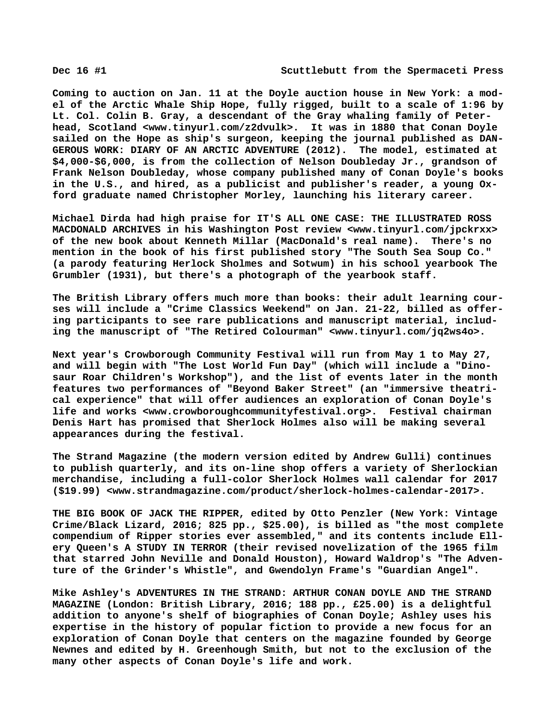**Coming to auction on Jan. 11 at the Doyle auction house in New York: a model of the Arctic Whale Ship Hope, fully rigged, built to a scale of 1:96 by Lt. Col. Colin B. Gray, a descendant of the Gray whaling family of Peterhead, Scotland [<www.tinyurl.com/z2dvulk>.](http://www.tinyurl.com/z2dvulk) It was in 1880 that Conan Doyle sailed on the Hope as ship's surgeon, keeping the journal published as DAN-GEROUS WORK: DIARY OF AN ARCTIC ADVENTURE (2012). The model, estimated at \$4,000-\$6,000, is from the collection of Nelson Doubleday Jr., grandson of Frank Nelson Doubleday, whose company published many of Conan Doyle's books in the U.S., and hired, as a publicist and publisher's reader, a young Oxford graduate named Christopher Morley, launching his literary career.**

**Michael Dirda had high praise for IT'S ALL ONE CASE: THE ILLUSTRATED ROSS MACDONALD ARCHIVES in his Washington Post review <[www.tinyurl.com/jpckrxx>](http://www.tinyurl.com/jpckrxx) of the new book about Kenneth Millar (MacDonald's real name). There's no mention in the book of his first published story "The South Sea Soup Co." (a parody featuring Herlock Sholmes and Sotwum) in his school yearbook The Grumbler (1931), but there's a photograph of the yearbook staff.**

**The British Library offers much more than books: their adult learning courses will include a "Crime Classics Weekend" on Jan. 21-22, billed as offering participants to see rare publications and manuscript material, including the manuscript of "The Retired Colourman" <[www.tinyurl.com/jq2ws4o>.](http://www.tinyurl.com/jq2ws4o)**

**Next year's Crowborough Community Festival will run from May 1 to May 27, and will begin with "The Lost World Fun Day" (which will include a "Dinosaur Roar Children's Workshop"), and the list of events later in the month features two performances of "Beyond Baker Street" (an "immersive theatrical experience" that will offer audiences an exploration of Conan Doyle's life and works [<www.crowboroughcommunityfestival.org>.](http://www.crowboroughcommunityfestival.org) Festival chairman Denis Hart has promised that Sherlock Holmes also will be making several appearances during the festival.**

**The Strand Magazine (the modern version edited by Andrew Gulli) continues to publish quarterly, and its on-line shop offers a variety of Sherlockian merchandise, including a full-color Sherlock Holmes wall calendar for 2017 (\$19.99) <[www.strandmagazine.com/product/sherlock-holmes-calendar-2017>.](http://www.strandmagazine.com/product/sherlock-holmes-calendar-2017)**

**THE BIG BOOK OF JACK THE RIPPER, edited by Otto Penzler (New York: Vintage Crime/Black Lizard, 2016; 825 pp., \$25.00), is billed as "the most complete compendium of Ripper stories ever assembled," and its contents include Ellery Queen's A STUDY IN TERROR (their revised novelization of the 1965 film that starred John Neville and Donald Houston), Howard Waldrop's "The Adventure of the Grinder's Whistle", and Gwendolyn Frame's "Guardian Angel".**

**Mike Ashley's ADVENTURES IN THE STRAND: ARTHUR CONAN DOYLE AND THE STRAND MAGAZINE (London: British Library, 2016; 188 pp., £25.00) is a delightful addition to anyone's shelf of biographies of Conan Doyle; Ashley uses his expertise in the history of popular fiction to provide a new focus for an exploration of Conan Doyle that centers on the magazine founded by George Newnes and edited by H. Greenhough Smith, but not to the exclusion of the many other aspects of Conan Doyle's life and work.**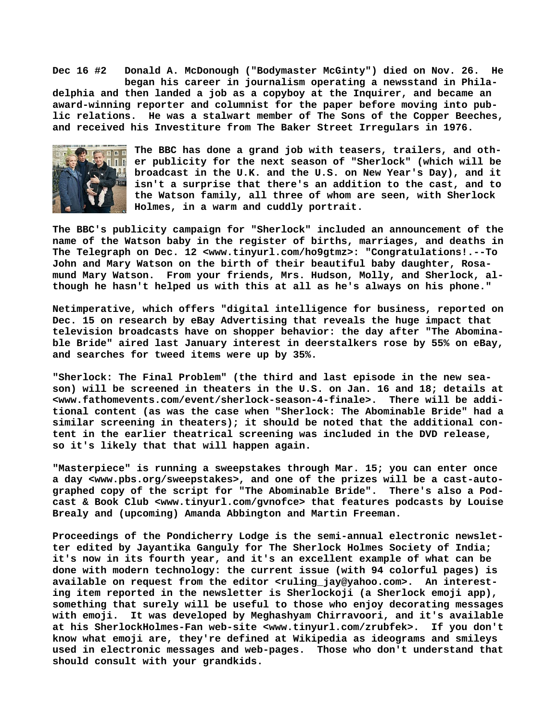**Dec 16 #2 Donald A. McDonough ("Bodymaster McGinty") died on Nov. 26. He began his career in journalism operating a newsstand in Philadelphia and then landed a job as a copyboy at the Inquirer, and became an award-winning reporter and columnist for the paper before moving into public relations. He was a stalwart member of The Sons of the Copper Beeches, and received his Investiture from The Baker Street Irregulars in 1976.**



**The BBC has done a grand job with teasers, trailers, and other publicity for the next season of "Sherlock" (which will be broadcast in the U.K. and the U.S. on New Year's Day), and it isn't a surprise that there's an addition to the cast, and to the Watson family, all three of whom are seen, with Sherlock Holmes, in a warm and cuddly portrait.**

**The BBC's publicity campaign for "Sherlock" included an announcement of the name of the Watson baby in the register of births, marriages, and deaths in The Telegraph on Dec. 12 [<www.tinyurl.com/ho9gtmz>: "](http://www.tinyurl.com/ho9gtmz>:)Congratulations!.--To John and Mary Watson on the birth of their beautiful baby daughter, Rosamund Mary Watson. From your friends, Mrs. Hudson, Molly, and Sherlock, although he hasn't helped us with this at all as he's always on his phone."**

**Netimperative, which offers "digital intelligence for business, reported on Dec. 15 on research by eBay Advertising that reveals the huge impact that television broadcasts have on shopper behavior: the day after "The Abominable Bride" aired last January interest in deerstalkers rose by 55% on eBay, and searches for tweed items were up by 35%.**

**"Sherlock: The Final Problem" (the third and last episode in the new season) will be screened in theaters in the U.S. on Jan. 16 and 18; details at** <www.fathomevents.com/event/sherlock-season-4-finale>. **tional content (as was the case when "Sherlock: The Abominable Bride" had a similar screening in theaters); it should be noted that the additional content in the earlier theatrical screening was included in the DVD release, so it's likely that that will happen again.**

**"Masterpiece" is running a sweepstakes through Mar. 15; you can enter once a day <[www.pbs.org/sweepstakes>, a](http://www.pbs.org/sweepstakes)nd one of the prizes will be a cast-autographed copy of the script for "The Abominable Bride". There's also a Podcast & Book Club [<www.tinyurl.com/gvnofce> t](http://www.tinyurl.com/gvnofce)hat features podcasts by Louise Brealy and (upcoming) Amanda Abbington and Martin Freeman.**

**Proceedings of the Pondicherry Lodge is the semi-annual electronic newsletter edited by Jayantika Ganguly for The Sherlock Holmes Society of India; it's now in its fourth year, and it's an excellent example of what can be done with modern technology: the current issue (with 94 colorful pages) is** available on request from the editor [<ruling\\_jay@yahoo.com>.](mailto:ruling_jay@yahoo.com) An interest**ing item reported in the newsletter is Sherlockoji (a Sherlock emoji app), something that surely will be useful to those who enjoy decorating messages with emoji. It was developed by Meghashyam Chirravoori, and it's available at his SherlockHolmes-Fan web-site [<www.tinyurl.com/zrubfek>.](http://www.tinyurl.com/zrubfek) If you don't know what emoji are, they're defined at Wikipedia as ideograms and smileys used in electronic messages and web-pages. Those who don't understand that should consult with your grandkids.**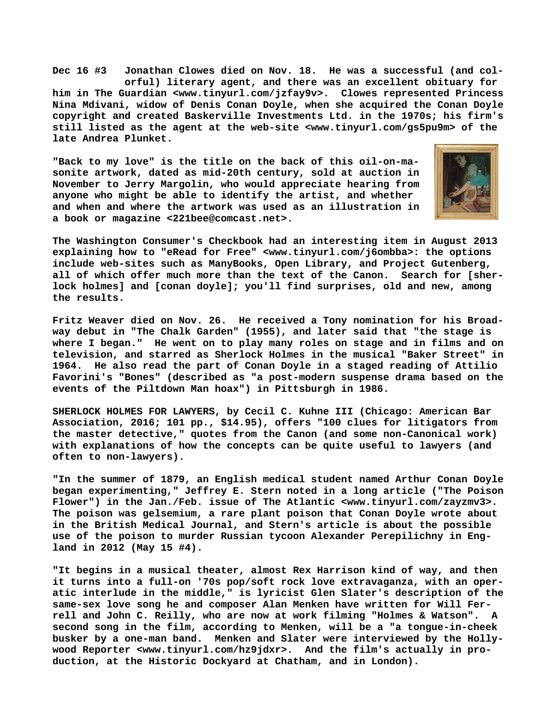**Dec 16 #3 Jonathan Clowes died on Nov. 18. He was a successful (and col orful) literary agent, and there was an excellent obituary for him in The Guardian [<www.tinyurl.com/jzfay9v>.](http://www.tinyurl.com/jzfay9v) Clowes represented Princess Nina Mdivani, widow of Denis Conan Doyle, when she acquired the Conan Doyle copyright and created Baskerville Investments Ltd. in the 1970s; his firm's still listed as the agent at the web-site [<www.tinyurl.com/gs5pu9m> o](http://www.tinyurl.com/gs5pu9m)f the late Andrea Plunket.**

**"Back to my love" is the title on the back of this oil-on-masonite artwork, dated as mid-20th century, sold at auction in November to Jerry Margolin, who would appreciate hearing from anyone who might be able to identify the artist, and whether and when and where the artwork was used as an illustration in a book or magazine <[221bee@comcast.net>.](mailto:221bee@comcast.net)**



**The Washington Consumer's Checkbook had an interesting item in August 2013 explaining how to "eRead for Free" [<www.tinyurl.com/j6ombba>: t](http://www.tinyurl.com/j6ombba>:)he options include web-sites such as ManyBooks, Open Library, and Project Gutenberg, all of which offer much more than the text of the Canon. Search for [sherlock holmes] and [conan doyle]; you'll find surprises, old and new, among the results.**

**Fritz Weaver died on Nov. 26. He received a Tony nomination for his Broadway debut in "The Chalk Garden" (1955), and later said that "the stage is where I began." He went on to play many roles on stage and in films and on television, and starred as Sherlock Holmes in the musical "Baker Street" in 1964. He also read the part of Conan Doyle in a staged reading of Attilio Favorini's "Bones" (described as "a post-modern suspense drama based on the events of the Piltdown Man hoax") in Pittsburgh in 1986.**

**SHERLOCK HOLMES FOR LAWYERS, by Cecil C. Kuhne III (Chicago: American Bar Association, 2016; 101 pp., \$14.95), offers "100 clues for litigators from the master detective," quotes from the Canon (and some non-Canonical work) with explanations of how the concepts can be quite useful to lawyers (and often to non-lawyers).**

**"In the summer of 1879, an English medical student named Arthur Conan Doyle began experimenting," Jeffrey E. Stern noted in a long article ("The Poison Flower") in the Jan./Feb. issue of The Atlantic [<www.tinyurl.com/zayzmv3>.](http://www.tinyurl.com/zayzmv3)  The poison was gelsemium, a rare plant poison that Conan Doyle wrote about in the British Medical Journal, and Stern's article is about the possible use of the poison to murder Russian tycoon Alexander Perepilichny in England in 2012 (May 15 #4).**

**"It begins in a musical theater, almost Rex Harrison kind of way, and then it turns into a full-on '70s pop/soft rock love extravaganza, with an operatic interlude in the middle," is lyricist Glen Slater's description of the same-sex love song he and composer Alan Menken have written for Will Ferrell and John C. Reilly, who are now at work filming "Holmes & Watson". A second song in the film, according to Menken, will be a "a tongue-in-cheek busker by a one-man band. Menken and Slater were interviewed by the Hollywood Reporter <[www.tinyurl.com/hz9jdxr>.](http://www.tinyurl.com/hz9jdxr) And the film's actually in production, at the Historic Dockyard at Chatham, and in London).**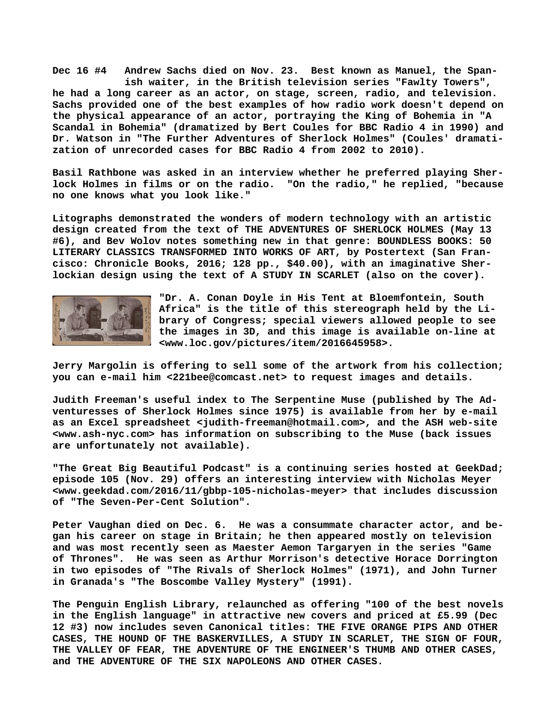**Dec 16 #4 Andrew Sachs died on Nov. 23. Best known as Manuel, the Span ish waiter, in the British television series "Fawlty Towers", he had a long career as an actor, on stage, screen, radio, and television. Sachs provided one of the best examples of how radio work doesn't depend on the physical appearance of an actor, portraying the King of Bohemia in "A Scandal in Bohemia" (dramatized by Bert Coules for BBC Radio 4 in 1990) and Dr. Watson in "The Further Adventures of Sherlock Holmes" (Coules' dramatization of unrecorded cases for BBC Radio 4 from 2002 to 2010).**

**Basil Rathbone was asked in an interview whether he preferred playing Sherlock Holmes in films or on the radio. "On the radio," he replied, "because no one knows what you look like."**

**Litographs demonstrated the wonders of modern technology with an artistic design created from the text of THE ADVENTURES OF SHERLOCK HOLMES (May 13 #6), and Bev Wolov notes something new in that genre: BOUNDLESS BOOKS: 50 LITERARY CLASSICS TRANSFORMED INTO WORKS OF ART, by Postertext (San Francisco: Chronicle Books, 2016; 128 pp., \$40.00), with an imaginative Sherlockian design using the text of A STUDY IN SCARLET (also on the cover).**



**"Dr. A. Conan Doyle in His Tent at Bloemfontein, South Africa" is the title of this stereograph held by the Library of Congress; special viewers allowed people to see the images in 3D, and this image is available on-line at [<www.loc.gov/pictures/item/2016645958>.](http://www.loc.gov/pictures/item/2016645958)**

**Jerry Margolin is offering to sell some of the artwork from his collection; you can e-mail him <[221bee@comcast.net> t](mailto:221bee@comcast.net)o request images and details.**

**Judith Freeman's useful index to The Serpentine Muse (published by The Adventuresses of Sherlock Holmes since 1975) is available from her by e-mail as an Excel spreadsheet <[judith-freeman@hotmail.com>, a](mailto:judith-freeman@hotmail.com)nd the ASH web-site [<www.ash-nyc.com> h](http://www.ash-nyc.com)as information on subscribing to the Muse (back issues are unfortunately not available).**

**"The Great Big Beautiful Podcast" is a continuing series hosted at GeekDad; episode 105 (Nov. 29) offers an interesting interview with Nicholas Meyer [<www.geekdad.com/2016/11/gbbp-105-nicholas-meyer> t](http://www.geekdad.com/2016/11/gbbp-105-nicholas-meyer)hat includes discussion of "The Seven-Per-Cent Solution".**

**Peter Vaughan died on Dec. 6. He was a consummate character actor, and began his career on stage in Britain; he then appeared mostly on television and was most recently seen as Maester Aemon Targaryen in the series "Game of Thrones". He was seen as Arthur Morrison's detective Horace Dorrington in two episodes of "The Rivals of Sherlock Holmes" (1971), and John Turner in Granada's "The Boscombe Valley Mystery" (1991).**

**The Penguin English Library, relaunched as offering "100 of the best novels in the English language" in attractive new covers and priced at £5.99 (Dec 12 #3) now includes seven Canonical titles: THE FIVE ORANGE PIPS AND OTHER CASES, THE HOUND OF THE BASKERVILLES, A STUDY IN SCARLET, THE SIGN OF FOUR, THE VALLEY OF FEAR, THE ADVENTURE OF THE ENGINEER'S THUMB AND OTHER CASES, and THE ADVENTURE OF THE SIX NAPOLEONS AND OTHER CASES.**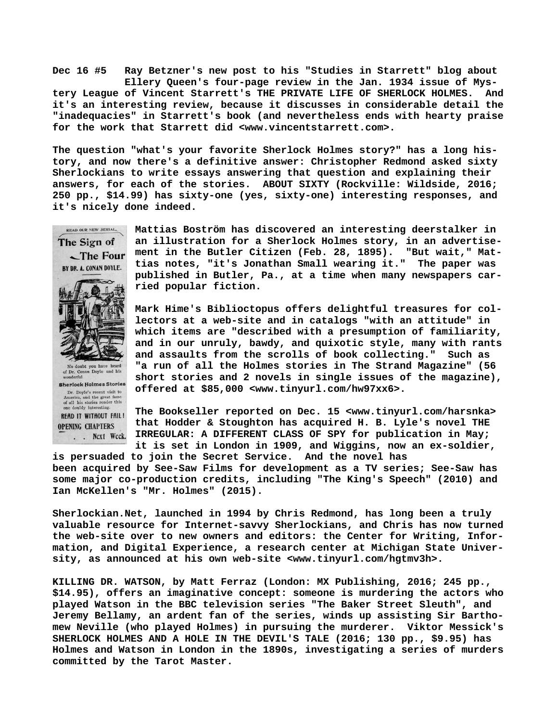**Dec 16 #5 Ray Betzner's new post to his "Studies in Starrett" blog about Ellery Queen's four-page review in the Jan. 1934 issue of Mystery League of Vincent Starrett's THE PRIVATE LIFE OF SHERLOCK HOLMES. And it's an interesting review, because it discusses in considerable detail the "inadequacies" in Starrett's book (and nevertheless ends with hearty praise for the work that Starrett did <[www.vincentstarrett.com>.](http://www.vincentstarrett.com)**

**The question "what's your favorite Sherlock Holmes story?" has a long history, and now there's a definitive answer: Christopher Redmond asked sixty Sherlockians to write essays answering that question and explaining their answers, for each of the stories. ABOUT SIXTY (Rockville: Wildside, 2016; 250 pp., \$14.99) has sixty-one (yes, sixty-one) interesting responses, and it's nicely done indeed.**

**READ OUR NEW SERIAL,** The Sign of

BY DR. A. CONAN DOYLE.

No doubt you have heard<br>of Dr. Conan Doyle and his **Sherlock Holmes Stories** Dr. Doyle's recent visit to<br>America, and the great fame<br>of all his stories render this one doubly interestin READ IT WITHOUT FAIL! **OPENING CHAPTERS** . . Next Week.

**Mattias Boström has discovered an interesting deerstalker in an illustration for a Sherlock Holmes story, in an advertisement in the Butler Citizen (Feb. 28, 1895). "But wait," Mat-** $\sqrt{\frac{1}{1}}$ The Four **tias notes, "it's Jonathan Small wearing it." The paper was published in Butler, Pa., at a time when many newspapers carried popular fiction.**

> **Mark Hime's Biblioctopus offers delightful treasures for collectors at a web-site and in catalogs "with an attitude" in which items are "described with a presumption of familiarity, and in our unruly, bawdy, and quixotic style, many with rants and assaults from the scrolls of book collecting." Such as "a run of all the Holmes stories in The Strand Magazine" (56 short stories and 2 novels in single issues of the magazine), offered at \$85,000 [<www.tinyurl.com/hw97xx6>.](http://www.tinyurl.com/hw97xx6)**

**The Bookseller reported on Dec. 15 <[www.tinyurl.com/harsnka>](http://www.tinyurl.com/harsnka) that Hodder & Stoughton has acquired H. B. Lyle's novel THE IRREGULAR: A DIFFERENT CLASS OF SPY for publication in May; it is set in London in 1909, and Wiggins, now an ex-soldier,**

**is persuaded to join the Secret Service. And the novel has been acquired by See-Saw Films for development as a TV series; See-Saw has some major co-production credits, including "The King's Speech" (2010) and Ian McKellen's "Mr. Holmes" (2015).**

**Sherlockian.Net, launched in 1994 by Chris Redmond, has long been a truly valuable resource for Internet-savvy Sherlockians, and Chris has now turned the web-site over to new owners and editors: the Center for Writing, Information, and Digital Experience, a research center at Michigan State University, as announced at his own web-site <[www.tinyurl.com/hgtmv3h>.](http://www.tinyurl.com/hgtmv3h)**

**KILLING DR. WATSON, by Matt Ferraz (London: MX Publishing, 2016; 245 pp., \$14.95), offers an imaginative concept: someone is murdering the actors who played Watson in the BBC television series "The Baker Street Sleuth", and Jeremy Bellamy, an ardent fan of the series, winds up assisting Sir Barthomew Neville (who played Holmes) in pursuing the murderer. Viktor Messick's SHERLOCK HOLMES AND A HOLE IN THE DEVIL'S TALE (2016; 130 pp., \$9.95) has Holmes and Watson in London in the 1890s, investigating a series of murders committed by the Tarot Master.**